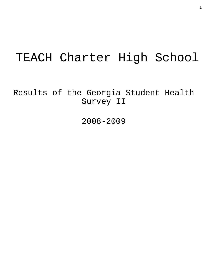# TEACH Charter High School

Results of the Georgia Student Health Survey II

2008-2009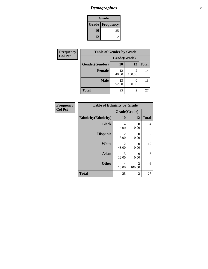# *Demographics* **2**

| Grade                    |    |  |  |
|--------------------------|----|--|--|
| <b>Grade   Frequency</b> |    |  |  |
| 10                       | 25 |  |  |
| 12                       |    |  |  |

| Frequency      | <b>Table of Gender by Grade</b> |              |        |              |
|----------------|---------------------------------|--------------|--------|--------------|
| <b>Col Pct</b> |                                 | Grade(Grade) |        |              |
|                | Gender(Gender)                  | 10           | 12     | <b>Total</b> |
|                | <b>Female</b>                   | 12<br>48.00  | 100.00 | 14           |
|                | <b>Male</b>                     | 13<br>52.00  | 0.00   | 13           |
|                | <b>Total</b>                    | 25           | 2      | 27           |

| Frequency      | <b>Table of Ethnicity by Grade</b> |                                     |                          |                |
|----------------|------------------------------------|-------------------------------------|--------------------------|----------------|
| <b>Col Pct</b> |                                    | Grade(Grade)                        |                          |                |
|                | <b>Ethnicity</b> (Ethnicity)       | 10                                  | 12                       | <b>Total</b>   |
|                | <b>Black</b>                       | 4<br>16.00                          | 0<br>0.00                | $\overline{4}$ |
|                | <b>Hispanic</b>                    | $\mathcal{D}_{\mathcal{L}}$<br>8.00 | 0<br>0.00                | 2              |
|                | <b>White</b>                       | 12<br>48.00                         | 0<br>0.00                | 12             |
|                | <b>Asian</b>                       | 3<br>12.00                          | 0<br>0.00                | 3              |
|                | <b>Other</b>                       | 4<br>16.00                          | $\mathfrak{D}$<br>100.00 | 6              |
|                | <b>Total</b>                       | 25                                  | 2                        | 27             |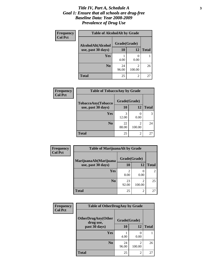#### *Title IV, Part A, Schedule A* **3** *Goal 1: Ensure that all schools are drug-free Baseline Data: Year 2008-2009 Prevalence of Drug Use*

| <b>Frequency</b><br><b>Col Pct</b> | <b>Table of AlcoholAlt by Grade</b> |              |             |              |  |
|------------------------------------|-------------------------------------|--------------|-------------|--------------|--|
|                                    | AlcoholAlt(Alcohol                  | Grade(Grade) |             |              |  |
|                                    | use, past 30 days)                  | <b>10</b>    | 12          | <b>Total</b> |  |
|                                    | Yes                                 | 4.00         | ∩<br>0.00   |              |  |
|                                    | N <sub>0</sub>                      | 24<br>96.00  | 2<br>100.00 | 26           |  |
|                                    | <b>Total</b>                        | 25           | 2           | 27           |  |

| <b>Frequency</b><br><b>Col Pct</b> | <b>Table of TobaccoAny by Grade</b> |              |                |              |  |
|------------------------------------|-------------------------------------|--------------|----------------|--------------|--|
|                                    | TobaccoAny(Tobacco                  | Grade(Grade) |                |              |  |
|                                    | use, past 30 days)                  | 10           | 12             | <b>Total</b> |  |
|                                    | Yes                                 | 3<br>12.00   | 0.00           |              |  |
|                                    | N <sub>0</sub>                      | 22<br>88.00  | 2<br>100.00    | 24           |  |
|                                    | <b>Total</b>                        | 25           | $\mathfrak{D}$ | 27           |  |

| Frequency<br><b>Col Pct</b> | <b>Table of MarijuanaAlt by Grade</b> |              |                          |                |
|-----------------------------|---------------------------------------|--------------|--------------------------|----------------|
|                             | MarijuanaAlt(Marijuana                | Grade(Grade) |                          |                |
|                             | use, past 30 days)                    | 10           | 12                       | <b>Total</b>   |
|                             | Yes                                   | 2<br>8.00    | $\left($<br>0.00         | $\mathfrak{D}$ |
|                             | N <sub>0</sub>                        | 23<br>92.00  | $\mathfrak{D}$<br>100.00 | 25             |
|                             | <b>Total</b>                          | 25           | $\overline{2}$           | 27             |

| <b>Frequency</b> | <b>Table of OtherDrugAny by Grade</b>                  |             |                          |              |
|------------------|--------------------------------------------------------|-------------|--------------------------|--------------|
| <b>Col Pct</b>   | <b>OtherDrugAny(Other</b><br>Grade(Grade)<br>drug use, |             |                          |              |
|                  | past 30 days)                                          | 10          | 12                       | <b>Total</b> |
|                  | Yes                                                    | 4.00        | 0.00                     |              |
|                  | N <sub>0</sub>                                         | 24<br>96.00 | $\mathfrak{D}$<br>100.00 | 26           |
|                  | <b>Total</b>                                           | 25          | 2                        | 27           |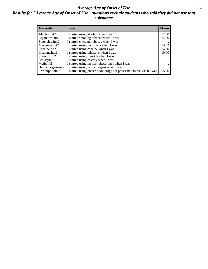#### *Average Age of Onset of Use* **4** *Results for "Average Age of Onset of Use" questions exclude students who said they did not use that substance*

| <b>Variable</b>    | Label                                                              | <b>Mean</b> |
|--------------------|--------------------------------------------------------------------|-------------|
| Alcoholinit2       | I started using alcohol when I was                                 | 12.50       |
| Cigarettesinit2    | I started smoking tobacco when I was                               | 14.00       |
| Smokelessinit2     | I started chewing tobacco when I was                               |             |
| Marijuanainit2     | I started using marijuana when I was                               | 13.33       |
| Cocaineinit2       | I started using cocaine when I was                                 | 14.00       |
| Inhalantsinit2     | I started using inhalants when I was                               | 10.00       |
| Steroidsinit2      | I started using steroids when I was                                |             |
| Ecstasyinit2       | I started using ecstasy when I was                                 |             |
| Methinit2          | I started using methamphetamines when I was                        |             |
| Hallucinogensinit2 | I started using hallucinogens when I was                           |             |
| Prescriptioninit2  | I started using prescription drugs not prescribed to me when I was | 15.00       |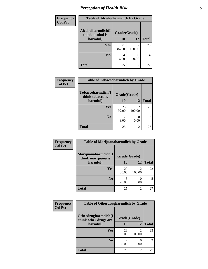# *Perception of Health Risk* **5**

| Frequency      | <b>Table of Alcoholharmdich by Grade</b> |              |        |              |
|----------------|------------------------------------------|--------------|--------|--------------|
| <b>Col Pct</b> | Alcoholharmdich(I<br>think alcohol is    | Grade(Grade) |        |              |
|                | harmful)                                 | 10           | 12     | <b>Total</b> |
|                | <b>Yes</b>                               | 21<br>84.00  | 100.00 | 23           |
|                | N <sub>0</sub>                           | 4<br>16.00   | 0.00   | 4            |
|                | <b>Total</b>                             | 25           | 2      | 27           |

| Frequency      | <b>Table of Tobaccoharmdich by Grade</b> |              |                          |                |
|----------------|------------------------------------------|--------------|--------------------------|----------------|
| <b>Col Pct</b> | Tobaccoharmdich(I<br>think tobacco is    | Grade(Grade) |                          |                |
|                | harmful)                                 | 10           | 12                       | <b>Total</b>   |
|                | <b>Yes</b>                               | 23<br>92.00  | $\mathfrak{D}$<br>100.00 | 25             |
|                | N <sub>0</sub>                           | 8.00         | 0.00                     | $\overline{2}$ |
|                | <b>Total</b>                             | 25           | $\overline{2}$           | 27             |

| Frequency      | <b>Table of Marijuanaharmdich by Grade</b> |              |             |              |
|----------------|--------------------------------------------|--------------|-------------|--------------|
| <b>Col Pct</b> | Marijuanaharmdich(I<br>think marijuana is  | Grade(Grade) |             |              |
|                | harmful)                                   | 10           | <b>12</b>   | <b>Total</b> |
|                | Yes                                        | 20<br>80.00  | 2<br>100.00 | 22           |
|                | N <sub>0</sub>                             | 20.00        | 0.00        | 5            |
|                | <b>Total</b>                               | 25           | 2           | 27           |

| <b>Frequency</b> | <b>Table of Otherdrugharmdich by Grade</b>   |              |                |                |
|------------------|----------------------------------------------|--------------|----------------|----------------|
| <b>Col Pct</b>   | Otherdrugharmdich(I<br>think other drugs are | Grade(Grade) |                |                |
|                  | harmful)                                     | 10           | 12             | <b>Total</b>   |
|                  | <b>Yes</b>                                   | 23<br>92.00  | 2<br>100.00    | 25             |
|                  | N <sub>0</sub>                               | 8.00         | 0.00           | $\overline{2}$ |
|                  | <b>Total</b>                                 | 25           | $\overline{c}$ | 27             |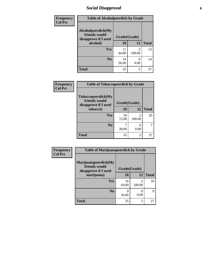### *Social Disapproval* **6**

| <b>Frequency</b> | <b>Table of Alcoholpeerdich by Grade</b>                    |              |                          |              |
|------------------|-------------------------------------------------------------|--------------|--------------------------|--------------|
| <b>Col Pct</b>   | Alcoholpeerdich(My<br>friends would<br>disapprove if I used | Grade(Grade) |                          |              |
|                  | alcohol)                                                    | 10           | 12                       | <b>Total</b> |
|                  | Yes                                                         | 11<br>44.00  | $\mathfrak{D}$<br>100.00 | 13           |
|                  | N <sub>0</sub>                                              | 14<br>56.00  | 0.00                     | 14           |
|                  | <b>Total</b>                                                | 25           | 2                        | 27           |

| <b>Frequency</b> |
|------------------|
| <b>Col Pct</b>   |

| <b>Table of Tobaccopeerdich by Grade</b>                    |              |             |              |  |  |  |
|-------------------------------------------------------------|--------------|-------------|--------------|--|--|--|
| Tobaccopeerdich(My<br>friends would<br>disapprove if I used | Grade(Grade) |             |              |  |  |  |
| tobacco)                                                    | 10           | 12          | <b>Total</b> |  |  |  |
| Yes                                                         | 18<br>72.00  | 2<br>100.00 | 20           |  |  |  |
| N <sub>0</sub>                                              | 28.00        | 0.00        |              |  |  |  |
| <b>Total</b>                                                | 25           | 2           | 27           |  |  |  |

| Frequency      | <b>Table of Marijuanapeerdich by Grade</b>                    |              |                          |              |  |
|----------------|---------------------------------------------------------------|--------------|--------------------------|--------------|--|
| <b>Col Pct</b> | Marijuanapeerdich(My<br>friends would<br>disapprove if I used | Grade(Grade) |                          |              |  |
|                | marijuana)                                                    | 10           | 12                       | <b>Total</b> |  |
|                | <b>Yes</b>                                                    | 16<br>64.00  | $\mathfrak{D}$<br>100.00 | 18           |  |
|                | N <sub>0</sub>                                                | 9<br>36.00   | 0<br>0.00                | 9            |  |
|                | <b>Total</b>                                                  | 25           | $\overline{c}$           | 27           |  |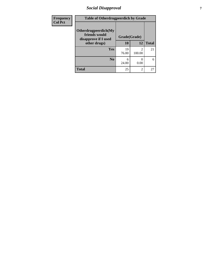### *Social Disapproval* **7**

| Frequency      | <b>Table of Otherdrugpeerdich by Grade</b>                    |              |                |              |  |
|----------------|---------------------------------------------------------------|--------------|----------------|--------------|--|
| <b>Col Pct</b> | Otherdrugpeerdich(My<br>friends would<br>disapprove if I used | Grade(Grade) |                |              |  |
|                | other drugs)                                                  | 10           | 12             | <b>Total</b> |  |
|                | <b>Yes</b>                                                    | 19<br>76.00  | 2<br>100.00    | 21           |  |
|                | N <sub>0</sub>                                                | 6<br>24.00   | 0.00           | 6            |  |
|                | <b>Total</b>                                                  | 25           | $\overline{2}$ | 27           |  |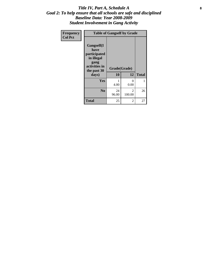#### Title IV, Part A, Schedule A **8** *Goal 2: To help ensure that all schools are safe and disciplined Baseline Data: Year 2008-2009 Student Involvement in Gang Activity*

| Frequency      | <b>Table of Gangself by Grade</b>                                                                 |                    |                  |              |
|----------------|---------------------------------------------------------------------------------------------------|--------------------|------------------|--------------|
| <b>Col Pct</b> | Gangself(I<br>have<br>participated<br>in illegal<br>gang<br>activities in<br>the past 30<br>days) | Grade(Grade)<br>10 | 12               | <b>Total</b> |
|                | Yes                                                                                               | 1<br>4.00          | $\theta$<br>0.00 | 1            |
|                | N <sub>0</sub>                                                                                    | 24<br>96.00        | 2<br>100.00      | 26           |
|                | <b>Total</b>                                                                                      | 25                 | 2                | 27           |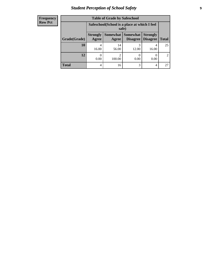# *Student Perception of School Safety* **9**

| <b>Frequency</b><br>Row Pct |
|-----------------------------|
|                             |

| <b>Table of Grade by Safeschool</b> |                                                                                                                                      |                                                        |            |            |    |  |
|-------------------------------------|--------------------------------------------------------------------------------------------------------------------------------------|--------------------------------------------------------|------------|------------|----|--|
|                                     |                                                                                                                                      | Safeschool (School is a place at which I feel<br>safe) |            |            |    |  |
| Grade(Grade)                        | Somewhat  <br><b>Somewhat</b><br><b>Strongly</b><br><b>Strongly</b><br><b>Disagree</b><br>Agree<br>Disagree<br><b>Total</b><br>Agree |                                                        |            |            |    |  |
| 10                                  | 4<br>16.00                                                                                                                           | 14<br>56.00                                            | 3<br>12.00 | 4<br>16.00 | 25 |  |
| 12                                  | 0.00                                                                                                                                 | っ<br>100.00                                            | 0.00       | 0.00       | 2  |  |
| <b>Total</b>                        | 4                                                                                                                                    | 16                                                     | 3          | 4          | 27 |  |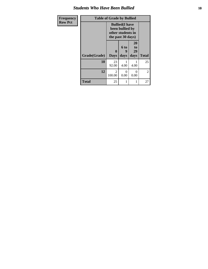#### *Students Who Have Been Bullied* **10**

| Frequency<br><b>Row Pct</b> |              | <b>Table of Grade by Bullied</b><br><b>Bullied</b> (I have<br>been bullied by |                   |                               |                |
|-----------------------------|--------------|-------------------------------------------------------------------------------|-------------------|-------------------------------|----------------|
|                             |              | other students in<br>the past 30 days)                                        |                   |                               |                |
|                             | Grade(Grade) | 0<br><b>Days</b>                                                              | 6 to<br>9<br>days | <b>20</b><br>to<br>29<br>days | <b>Total</b>   |
|                             | 10           | 23<br>92.00                                                                   | 4.00              | 4.00                          | 25             |
|                             | 12           | 2<br>100.00                                                                   | 0<br>0.00         | $\Omega$<br>0.00              | $\mathfrak{D}$ |
|                             | <b>Total</b> | 25                                                                            | 1                 | 1                             | 27             |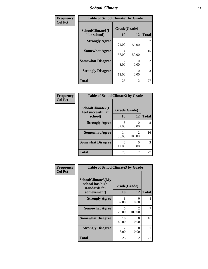#### *School Climate* **11**

| Frequency      | <b>Table of SchoolClimate1 by Grade</b> |                    |                           |                |  |
|----------------|-----------------------------------------|--------------------|---------------------------|----------------|--|
| <b>Col Pct</b> | SchoolClimate1(I<br>like school)        | Grade(Grade)<br>10 | 12                        | <b>Total</b>   |  |
|                | <b>Strongly Agree</b>                   | 6<br>24.00         | 50.00                     |                |  |
|                | <b>Somewhat Agree</b>                   | 14<br>56.00        | 50.00                     | 15             |  |
|                | <b>Somewhat Disagree</b>                | 2<br>8.00          | 0.00                      | $\overline{2}$ |  |
|                | <b>Strongly Disagree</b>                | 3<br>12.00         | $\mathbf{\Omega}$<br>0.00 | 3              |  |
|                | <b>Total</b>                            | 25                 | $\overline{2}$            | 27             |  |

| <b>Frequency</b> |  |
|------------------|--|
| <b>Col Pet</b>   |  |

| <b>Table of SchoolClimate2 by Grade</b>           |                    |                                       |    |  |  |  |
|---------------------------------------------------|--------------------|---------------------------------------|----|--|--|--|
| SchoolClimate2(I<br>feel successful at<br>school) | Grade(Grade)<br>10 | <b>Total</b>                          |    |  |  |  |
| <b>Strongly Agree</b>                             | 8<br>32.00         | 0.00                                  | 8  |  |  |  |
| <b>Somewhat Agree</b>                             | 14<br>56.00        | $\mathcal{D}_{\mathcal{L}}$<br>100.00 | 16 |  |  |  |
| <b>Somewhat Disagree</b>                          | 3<br>12.00         | 0.00                                  | 3  |  |  |  |
| <b>Total</b>                                      | 25                 | 2                                     | 27 |  |  |  |

| Frequency      | <b>Table of SchoolClimate3 by Grade</b>                               |                        |                                       |                             |
|----------------|-----------------------------------------------------------------------|------------------------|---------------------------------------|-----------------------------|
| <b>Col Pct</b> | SchoolClimate3(My<br>school has high<br>standards for<br>achievement) | Grade(Grade)<br>10     | 12                                    | <b>Total</b>                |
|                | <b>Strongly Agree</b>                                                 | 8<br>32.00             | $\mathbf{\Omega}$<br>0.00             | 8                           |
|                | <b>Somewhat Agree</b>                                                 | 5<br>20.00             | $\mathcal{D}_{\mathcal{L}}$<br>100.00 |                             |
|                | <b>Somewhat Disagree</b>                                              | 10<br>40.00            | ∩<br>0.00                             | 10                          |
|                | <b>Strongly Disagree</b>                                              | $\mathfrak{D}$<br>8.00 | $\mathbf{\Omega}$<br>0.00             | $\mathcal{D}_{\mathcal{L}}$ |
|                | <b>Total</b>                                                          | 25                     | $\overline{2}$                        | 27                          |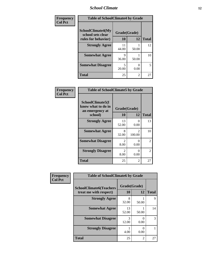#### *School Climate* **12**

| Frequency<br><b>Col Pct</b> | <b>Table of SchoolClimate4 by Grade</b>       |              |       |              |
|-----------------------------|-----------------------------------------------|--------------|-------|--------------|
|                             | <b>SchoolClimate4(My</b><br>school sets clear | Grade(Grade) |       |              |
|                             | rules for behavior)                           | 10           | 12    | <b>Total</b> |
|                             | <b>Strongly Agree</b>                         | 11<br>44.00  | 50.00 | 12           |
|                             | <b>Somewhat Agree</b>                         | 9<br>36.00   | 50.00 | 10           |
|                             | <b>Somewhat Disagree</b>                      | 5<br>20.00   | 0.00  | 5            |
|                             | <b>Total</b>                                  | 25           | 2     | 27           |

| Frequency      | <b>Table of SchoolClimate5 by Grade</b>                              |                                 |                                       |              |
|----------------|----------------------------------------------------------------------|---------------------------------|---------------------------------------|--------------|
| <b>Col Pct</b> | SchoolClimate5(I<br>know what to do in<br>an emergency at<br>school) | Grade(Grade)<br>12<br><b>10</b> |                                       | <b>Total</b> |
|                |                                                                      |                                 |                                       |              |
|                | <b>Strongly Agree</b>                                                | 13<br>52.00                     | 0<br>0.00                             | 13           |
|                | <b>Somewhat Agree</b>                                                | 8<br>32.00                      | $\mathcal{D}_{\mathcal{L}}$<br>100.00 | 10           |
|                | <b>Somewhat Disagree</b>                                             | $\mathfrak{D}$<br>8.00          | 0<br>0.00                             | 2            |
|                | <b>Strongly Disagree</b>                                             | $\mathcal{L}$<br>8.00           | 0<br>0.00                             | 2            |
|                | <b>Total</b>                                                         | 25                              | 2                                     | 27           |

| Frequency<br><b>Col Pct</b> | <b>Table of SchoolClimate6 by Grade</b>                  |                    |                |              |  |
|-----------------------------|----------------------------------------------------------|--------------------|----------------|--------------|--|
|                             | <b>SchoolClimate6(Teachers</b><br>treat me with respect) | Grade(Grade)<br>10 | 12             | <b>Total</b> |  |
|                             | <b>Strongly Agree</b>                                    | 8<br>32.00         | 50.00          | 9            |  |
|                             | <b>Somewhat Agree</b>                                    | 13<br>52.00        | 50.00          | 14           |  |
|                             | <b>Somewhat Disagree</b>                                 | 3<br>12.00         | 0.00           | 3            |  |
|                             | <b>Strongly Disagree</b>                                 | 4.00               | 0.00           |              |  |
|                             | <b>Total</b>                                             | 25                 | $\overline{2}$ | 27           |  |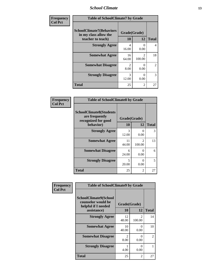#### *School Climate* **13**

| Frequency      | <b>Table of SchoolClimate7 by Grade</b>                                       |                           |                          |                |
|----------------|-------------------------------------------------------------------------------|---------------------------|--------------------------|----------------|
| <b>Col Pct</b> | <b>SchoolClimate7(Behaviors</b><br>in my class allow the<br>teacher to teach) | Grade(Grade)<br><b>10</b> | 12                       | <b>Total</b>   |
|                | <b>Strongly Agree</b>                                                         | 4<br>16.00                | 0<br>0.00                | 4              |
|                | <b>Somewhat Agree</b>                                                         | 16<br>64.00               | $\mathfrak{D}$<br>100.00 | 18             |
|                | <b>Somewhat Disagree</b>                                                      | $\mathfrak{D}$<br>8.00    | 0<br>0.00                | $\overline{2}$ |
|                | <b>Strongly Disagree</b>                                                      | 3<br>12.00                | 0<br>0.00                | 3              |
|                | <b>Total</b>                                                                  | 25                        | $\overline{2}$           | 27             |

| Frequency      | <b>Table of SchoolClimate8 by Grade</b>                                              |                    |                                       |              |
|----------------|--------------------------------------------------------------------------------------|--------------------|---------------------------------------|--------------|
| <b>Col Pct</b> | <b>SchoolClimate8(Students</b><br>are frequently<br>recognized for good<br>behavior) | Grade(Grade)<br>10 | 12                                    | <b>Total</b> |
|                | <b>Strongly Agree</b>                                                                | 3<br>12.00         | ∩<br>0.00                             | 3            |
|                | <b>Somewhat Agree</b>                                                                | 11<br>44.00        | $\mathcal{D}_{\mathcal{L}}$<br>100.00 | 13           |
|                | <b>Somewhat Disagree</b>                                                             | 6<br>24.00         | $\Omega$<br>0.00                      | 6            |
|                | <b>Strongly Disagree</b>                                                             | 5<br>20.00         | $\Omega$<br>0.00                      | 5            |
|                | <b>Total</b>                                                                         | 25                 | 2                                     | 27           |

| Frequency      | <b>Table of SchoolClimate9 by Grade</b>                                           |                        |                          |                |
|----------------|-----------------------------------------------------------------------------------|------------------------|--------------------------|----------------|
| <b>Col Pct</b> | SchoolClimate9(School<br>counselor would be<br>helpful if I needed<br>assistance) | Grade(Grade)<br>10     | 12                       | <b>Total</b>   |
|                | <b>Strongly Agree</b>                                                             | 12<br>48.00            | $\mathfrak{D}$<br>100.00 | 14             |
|                | <b>Somewhat Agree</b>                                                             | 10<br>40.00            | 0<br>0.00                | 10             |
|                | <b>Somewhat Disagree</b>                                                          | $\mathfrak{D}$<br>8.00 | ∩<br>0.00                | $\overline{2}$ |
|                | <b>Strongly Disagree</b>                                                          | 4.00                   | 0<br>0.00                |                |
|                | Total                                                                             | 25                     | $\overline{2}$           | 27             |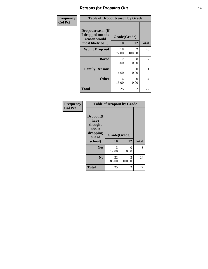#### *Reasons for Dropping Out* **14**

| Frequency      | <b>Table of Dropoutreason by Grade</b>                                   |                        |                           |              |
|----------------|--------------------------------------------------------------------------|------------------------|---------------------------|--------------|
| <b>Col Pct</b> | Dropoutreason(If<br>I dropped out the<br>reason would<br>most likely be) | Grade(Grade)<br>10     | 12                        | <b>Total</b> |
|                | <b>Won't Drop out</b>                                                    | 18<br>72.00            | $\mathfrak{D}$<br>100.00  | 20           |
|                | <b>Bored</b>                                                             | $\mathfrak{D}$<br>8.00 | $\Omega$<br>0.00          | 2            |
|                | <b>Family Reasons</b>                                                    | 4.00                   | $\mathbf{\Omega}$<br>0.00 | 1            |
|                | <b>Other</b>                                                             | 4<br>16.00             | 0<br>0.00                 | 4            |
|                | <b>Total</b>                                                             | 25                     | 2                         | 27           |

| Frequency      | <b>Table of Dropout by Grade</b>                                       |                    |                                       |              |  |
|----------------|------------------------------------------------------------------------|--------------------|---------------------------------------|--------------|--|
| <b>Col Pct</b> | Dropout(I<br>have<br>thought<br>about<br>dropping<br>out of<br>school) | Grade(Grade)<br>10 | 12                                    | <b>Total</b> |  |
|                | Yes                                                                    | 3<br>12.00         | $\mathbf{\Omega}$<br>0.00             | 3            |  |
|                | N <sub>0</sub>                                                         | 22<br>88.00        | $\mathcal{D}_{\mathcal{L}}$<br>100.00 | 24           |  |
|                | <b>Total</b>                                                           | 25                 | 2                                     | 27           |  |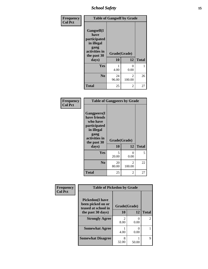*School Safety* **15**

| Frequency      | <b>Table of Gangself by Grade</b>                                                                 |                    |                         |              |
|----------------|---------------------------------------------------------------------------------------------------|--------------------|-------------------------|--------------|
| <b>Col Pct</b> | Gangself(I<br>have<br>participated<br>in illegal<br>gang<br>activities in<br>the past 30<br>days) | Grade(Grade)<br>10 | 12                      | <b>Total</b> |
|                | Yes                                                                                               | 4.00               | 0<br>0.00               | 1            |
|                | N <sub>0</sub>                                                                                    | 24<br>96.00        | $\mathcal{L}$<br>100.00 | 26           |
|                | <b>Total</b>                                                                                      | 25                 | 2                       | 27           |

| Frequency<br><b>Col Pct</b> | <b>Table of Gangpeers by Grade</b>                                                                                             |                                   |                          |              |
|-----------------------------|--------------------------------------------------------------------------------------------------------------------------------|-----------------------------------|--------------------------|--------------|
|                             | <b>Gangpeers</b> (I<br>have friends<br>who have<br>participated<br>in illegal<br>gang<br>activities in<br>the past 30<br>days) | Grade(Grade)<br>10                | 12                       | <b>Total</b> |
|                             | Yes                                                                                                                            | $\overline{\mathcal{L}}$<br>20.00 | 0<br>0.00                | 5            |
|                             | N <sub>0</sub>                                                                                                                 | 20<br>80.00                       | $\overline{c}$<br>100.00 | 22           |
|                             | <b>Total</b>                                                                                                                   | 25                                | 2                        | 27           |

| Frequency<br><b>Col Pct</b> | <b>Table of Pickedon by Grade</b>                                  |                        |           |                |
|-----------------------------|--------------------------------------------------------------------|------------------------|-----------|----------------|
|                             | <b>Pickedon(I have</b><br>been picked on or<br>teased at school in | Grade(Grade)           |           |                |
|                             | the past 30 days)                                                  | 10                     | 12        | <b>Total</b>   |
|                             | <b>Strongly Agree</b>                                              | $\mathfrak{D}$<br>8.00 | 0<br>0.00 | $\mathfrak{D}$ |
|                             | <b>Somewhat Agree</b>                                              | 4.00                   | 0.00      |                |
|                             | <b>Somewhat Disagree</b>                                           | 8<br>32.00             | 50.00     | 9              |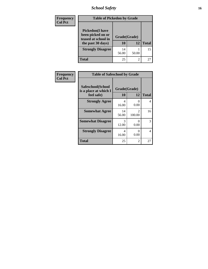*School Safety* **16**

| <b>Frequency</b> | <b>Table of Pickedon by Grade</b>                                                        |                    |                |              |
|------------------|------------------------------------------------------------------------------------------|--------------------|----------------|--------------|
| <b>Col Pct</b>   | <b>Pickedon</b> (I have<br>been picked on or<br>teased at school in<br>the past 30 days) | Grade(Grade)<br>10 | 12             | <b>Total</b> |
|                  | <b>Strongly Disagree</b>                                                                 | 14<br>56.00        | 50.00          | 15           |
|                  | <b>Total</b>                                                                             | 25                 | $\mathfrak{D}$ | 27           |

| <b>Frequency</b> | <b>Table of Safeschool by Grade</b>                      |                    |                          |                |
|------------------|----------------------------------------------------------|--------------------|--------------------------|----------------|
| <b>Col Pct</b>   | Safeschool(School<br>is a place at which I<br>feel safe) | Grade(Grade)<br>10 | 12                       | <b>Total</b>   |
|                  | <b>Strongly Agree</b>                                    | 4<br>16.00         | $\theta$<br>0.00         | $\overline{4}$ |
|                  | <b>Somewhat Agree</b>                                    | 14<br>56.00        | $\mathfrak{D}$<br>100.00 | 16             |
|                  | <b>Somewhat Disagree</b>                                 | 3<br>12.00         | $\Omega$<br>0.00         | 3              |
|                  | <b>Strongly Disagree</b>                                 | 4<br>16.00         | 0<br>0.00                | 4              |
|                  | <b>Total</b>                                             | 25                 | 2                        | 27             |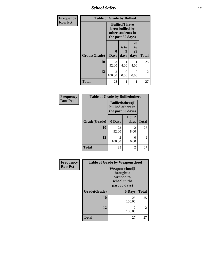*School Safety* **17**

| Frequency      | <b>Table of Grade by Bullied</b> |                                                                                     |                   |                        |                |
|----------------|----------------------------------|-------------------------------------------------------------------------------------|-------------------|------------------------|----------------|
| <b>Row Pct</b> |                                  | <b>Bullied</b> (I have<br>been bullied by<br>other students in<br>the past 30 days) |                   |                        |                |
|                | Grade(Grade)                     | $\bf{0}$<br><b>Days</b>                                                             | 6 to<br>9<br>days | 20<br>to<br>29<br>days | <b>Total</b>   |
|                | 10                               | 23<br>92.00                                                                         | 4.00              | 4.00                   | 25             |
|                | 12                               | 2<br>100.00                                                                         | 0<br>0.00         | $\mathcal{O}$<br>0.00  | $\overline{2}$ |
|                | <b>Total</b>                     | 25                                                                                  | 1                 |                        | 27             |

| Frequency      | <b>Table of Grade by Bulliedothers</b> |                                                                   |                        |                |
|----------------|----------------------------------------|-------------------------------------------------------------------|------------------------|----------------|
| <b>Row Pct</b> |                                        | <b>Bulliedothers(I)</b><br>bullied others in<br>the past 30 days) |                        |                |
|                | Grade(Grade)                           | 0 Days                                                            | 1 or 2<br>days         | <b>Total</b>   |
|                | 10                                     | 23<br>92.00                                                       | $\mathfrak{D}$<br>8.00 | 25             |
|                | 12                                     | 2<br>100.00                                                       | 0.00                   | $\overline{2}$ |
|                | <b>Total</b>                           | 25                                                                | 2                      | 27             |

| Frequency      | <b>Table of Grade by Weaponschool</b> |                                                                                    |                |  |
|----------------|---------------------------------------|------------------------------------------------------------------------------------|----------------|--|
| <b>Row Pct</b> |                                       | <b>Weaponschool</b> (I<br>brought a<br>weapon to<br>school in the<br>past 30 days) |                |  |
|                | Grade(Grade)                          | 0 Days                                                                             | <b>Total</b>   |  |
|                | 10                                    | 25<br>100.00                                                                       | 25             |  |
|                | 12                                    | $\mathfrak{D}$<br>100.00                                                           | $\overline{2}$ |  |
|                | <b>Total</b>                          | 27                                                                                 | 27             |  |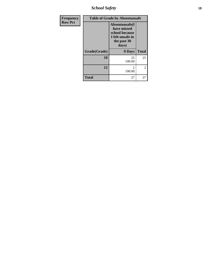*School Safety* **18**

| Frequency      | <b>Table of Grade by Absentunsafe</b> |                                                                                             |              |  |
|----------------|---------------------------------------|---------------------------------------------------------------------------------------------|--------------|--|
| <b>Row Pct</b> |                                       | Absentunsafe(I<br>have missed<br>school because<br>I felt unsafe in<br>the past 30<br>days) |              |  |
|                | Grade(Grade)                          | 0 Days                                                                                      | <b>Total</b> |  |
|                | 10                                    | 25<br>100.00                                                                                | 25           |  |
|                | 12                                    | 2<br>100.00                                                                                 | 2            |  |
|                | <b>Total</b>                          | 27                                                                                          | 27           |  |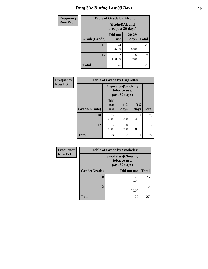# *Drug Use During Last 30 Days* **19**

| <b>Frequency</b> | <b>Table of Grade by Alcohol</b> |                                       |                      |                |
|------------------|----------------------------------|---------------------------------------|----------------------|----------------|
| <b>Row Pct</b>   |                                  | Alcohol(Alcohol<br>use, past 30 days) |                      |                |
|                  | Grade(Grade)                     | Did not<br><b>use</b>                 | $20 - 29$<br>days    | <b>Total</b>   |
|                  | 10                               | 24<br>96.00                           | 4.00                 | 25             |
|                  | 12                               | 2<br>100.00                           | $\mathbf{0}$<br>0.00 | $\overline{2}$ |
|                  | <b>Total</b>                     | 26                                    |                      | 27             |

| Frequency      | <b>Table of Grade by Cigarettes</b> |                                                             |                                     |                 |                |
|----------------|-------------------------------------|-------------------------------------------------------------|-------------------------------------|-----------------|----------------|
| <b>Row Pct</b> |                                     | <b>Cigarettes</b> (Smoking<br>tobacco use,<br>past 30 days) |                                     |                 |                |
|                | Grade(Grade)                        | <b>Did</b><br>not<br><b>use</b>                             | $1 - 2$<br>days                     | $3 - 5$<br>days | <b>Total</b>   |
|                | 10                                  | 22<br>88.00                                                 | $\mathcal{D}_{\mathcal{L}}$<br>8.00 | 4.00            | 25             |
|                | 12                                  | $\mathfrak{D}$<br>100.00                                    | 0<br>0.00                           | 0<br>0.00       | $\overline{2}$ |
|                | <b>Total</b>                        | 24                                                          | $\overline{2}$                      | 1               | 27             |

| Frequency      | <b>Table of Grade by Smokeless</b> |                                                           |                |  |
|----------------|------------------------------------|-----------------------------------------------------------|----------------|--|
| <b>Row Pct</b> |                                    | <b>Smokeless(Chewing</b><br>tobacco use,<br>past 30 days) |                |  |
|                | Grade(Grade)                       | Did not use                                               | <b>Total</b>   |  |
|                | 10                                 | 25<br>100.00                                              | 25             |  |
|                | 12                                 | $\mathfrak{D}$<br>100.00                                  | $\overline{2}$ |  |
|                | <b>Total</b>                       | 27                                                        | 27             |  |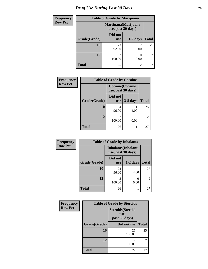# *Drug Use During Last 30 Days* 20

| <b>Frequency</b> | <b>Table of Grade by Marijuana</b> |                                            |                |                |
|------------------|------------------------------------|--------------------------------------------|----------------|----------------|
| <b>Row Pct</b>   |                                    | Marijuana (Marijuana<br>use, past 30 days) |                |                |
|                  | Grade(Grade)                       | Did not<br><b>use</b>                      | $1-2$ days     | <b>Total</b>   |
|                  | 10                                 | 23<br>92.00                                | 2<br>8.00      | 25             |
|                  | 12                                 | 2<br>100.00                                | 0.00           | $\overline{2}$ |
|                  | <b>Total</b>                       | 25                                         | $\mathfrak{D}$ | 27             |

| Frequency      | <b>Table of Grade by Cocaine</b> |                                               |            |                |
|----------------|----------------------------------|-----------------------------------------------|------------|----------------|
| <b>Row Pct</b> |                                  | <b>Cocaine</b> (Cocaine<br>use, past 30 days) |            |                |
|                | Grade(Grade)                     | Did not<br><b>use</b>                         | $3-5$ days | <b>Total</b>   |
|                | <b>10</b>                        | 24<br>96.00                                   | 4.00       | 25             |
|                | 12                               | 100.00                                        | 0.00       | $\overline{2}$ |
|                | <b>Total</b>                     | 26                                            |            | 27             |

| Frequency      | <b>Table of Grade by Inhalants</b> |                                                  |            |                |
|----------------|------------------------------------|--------------------------------------------------|------------|----------------|
| <b>Row Pct</b> |                                    | <b>Inhalants</b> (Inhalant<br>use, past 30 days) |            |                |
|                | Grade(Grade)                       | Did not<br><b>use</b>                            | $1-2$ days | <b>Total</b>   |
|                | 10                                 | 24<br>96.00                                      | 4.00       | 25             |
|                | 12                                 | $\mathfrak{D}$<br>100.00                         | 0.00       | $\overline{2}$ |
|                | <b>Total</b>                       | 26                                               |            | 27             |

| Frequency      | <b>Table of Grade by Steroids</b> |                                                   |                |  |
|----------------|-----------------------------------|---------------------------------------------------|----------------|--|
| <b>Row Pct</b> |                                   | <b>Steroids</b> (Steroid<br>use,<br>past 30 days) |                |  |
|                | Grade(Grade)                      | Did not use                                       | <b>Total</b>   |  |
|                | 10                                | 25<br>100.00                                      | 25             |  |
|                | 12                                | 2<br>100.00                                       | $\overline{2}$ |  |
|                | <b>Total</b>                      | 27                                                | 27             |  |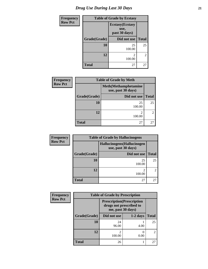| <b>Frequency</b> |                                                  | <b>Table of Grade by Ecstasy</b> |                |  |  |
|------------------|--------------------------------------------------|----------------------------------|----------------|--|--|
| <b>Row Pct</b>   | <b>Ecstasy</b> (Ecstasy<br>use,<br>past 30 days) |                                  |                |  |  |
|                  | Grade(Grade)                                     | Did not use                      | <b>Total</b>   |  |  |
|                  | 10                                               | 25<br>100.00                     | 25             |  |  |
|                  | 12                                               | 2<br>100.00                      | $\overline{2}$ |  |  |
|                  | <b>Total</b>                                     | 27                               | 27             |  |  |

| <b>Frequency</b> | <b>Table of Grade by Meth</b> |                                                    |                |  |
|------------------|-------------------------------|----------------------------------------------------|----------------|--|
| <b>Row Pct</b>   |                               | <b>Meth</b> (Methamphetamine<br>use, past 30 days) |                |  |
|                  | Grade(Grade)                  | Did not use                                        | <b>Total</b>   |  |
|                  | 10                            | 25<br>100.00                                       | 25             |  |
|                  | 12                            | 2<br>100.00                                        | $\mathfrak{D}$ |  |
|                  | <b>Total</b>                  | 27                                                 | 27             |  |

| <b>Frequency</b> | <b>Table of Grade by Hallucinogens</b> |                                                   |                                                                                                                                                                 |  |  |
|------------------|----------------------------------------|---------------------------------------------------|-----------------------------------------------------------------------------------------------------------------------------------------------------------------|--|--|
| <b>Row Pct</b>   |                                        | Hallucinogens (Hallucinogen<br>use, past 30 days) |                                                                                                                                                                 |  |  |
|                  | Grade(Grade)                           | Did not use                                       | <b>Total</b>                                                                                                                                                    |  |  |
|                  | 10                                     | 25<br>100.00                                      | 25                                                                                                                                                              |  |  |
|                  | 12                                     | ∍<br>100.00                                       | $\mathcal{D}_{\mathcal{A}}^{\mathcal{A}}(\mathcal{A})=\mathcal{D}_{\mathcal{A}}^{\mathcal{A}}(\mathcal{A})\mathcal{D}_{\mathcal{A}}^{\mathcal{A}}(\mathcal{A})$ |  |  |
|                  | <b>Total</b>                           | 27                                                | 27                                                                                                                                                              |  |  |

| Frequency      | <b>Table of Grade by Prescription</b> |                                                                                   |            |              |  |
|----------------|---------------------------------------|-----------------------------------------------------------------------------------|------------|--------------|--|
| <b>Row Pct</b> |                                       | <b>Prescription</b> (Prescription<br>drugs not prescribed to<br>me, past 30 days) |            |              |  |
|                | Grade(Grade)                          | Did not use                                                                       | $1-2$ days | <b>Total</b> |  |
|                | 10                                    | 24<br>96.00                                                                       | 4.00       | 25           |  |
|                | 12                                    | 2<br>100.00                                                                       | 0.00       | 2            |  |
|                | <b>Total</b>                          | 26                                                                                |            | 27           |  |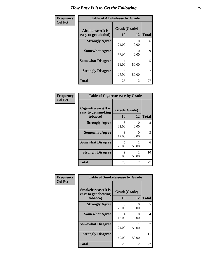| Frequency      | <b>Table of Alcoholease by Grade</b>              |                    |       |              |
|----------------|---------------------------------------------------|--------------------|-------|--------------|
| <b>Col Pct</b> | <b>Alcoholease</b> (It is<br>easy to get alcohol) | Grade(Grade)<br>10 | 12    | <b>Total</b> |
|                | <b>Strongly Agree</b>                             | 6<br>24.00         | 0.00  | 6            |
|                | <b>Somewhat Agree</b>                             | 9<br>36.00         | 0.00  | 9            |
|                | <b>Somewhat Disagree</b>                          | 4<br>16.00         | 50.00 | 5            |
|                | <b>Strongly Disagree</b>                          | 6<br>24.00         | 50.00 | 7            |
|                | <b>Total</b>                                      | 25                 | 2     | 27           |

| Frequency      | <b>Table of Cigarettesease by Grade</b>                 |                           |                           |              |
|----------------|---------------------------------------------------------|---------------------------|---------------------------|--------------|
| <b>Col Pct</b> | Cigarettesease(It is<br>easy to get smoking<br>tobacco) | Grade(Grade)<br><b>10</b> | 12                        | <b>Total</b> |
|                | <b>Strongly Agree</b>                                   | 8<br>32.00                | $\mathbf{\Omega}$<br>0.00 | 8            |
|                | <b>Somewhat Agree</b>                                   | 3<br>12.00                | 0<br>0.00                 | 3            |
|                | <b>Somewhat Disagree</b>                                | 5<br>20.00                | 50.00                     | 6            |
|                | <b>Strongly Disagree</b>                                | 9<br>36.00                | 50.00                     | 10           |
|                | <b>Total</b>                                            | 25                        | 2                         | 27           |

| Frequency      | <b>Table of Smokelessease by Grade</b>             |              |                           |              |  |
|----------------|----------------------------------------------------|--------------|---------------------------|--------------|--|
| <b>Col Pct</b> | <b>Smokelessease</b> (It is<br>easy to get chewing | Grade(Grade) |                           |              |  |
|                | tobacco)                                           | 10           | 12                        | <b>Total</b> |  |
|                | <b>Strongly Agree</b>                              | 5<br>20.00   | 0<br>0.00                 | 5            |  |
|                | <b>Somewhat Agree</b>                              | 4<br>16.00   | $\mathbf{\Omega}$<br>0.00 | 4            |  |
|                | <b>Somewhat Disagree</b>                           | 6<br>24.00   | 50.00                     |              |  |
|                | <b>Strongly Disagree</b>                           | 10<br>40.00  | 50.00                     | 11           |  |
|                | <b>Total</b>                                       | 25           | 2                         | 27           |  |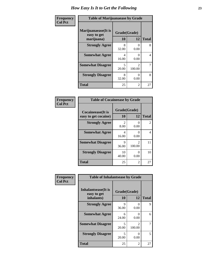| Frequency      | <b>Table of Marijuanaease by Grade</b>           |                                   |                                       |              |
|----------------|--------------------------------------------------|-----------------------------------|---------------------------------------|--------------|
| <b>Col Pct</b> | Marijuanaease(It is<br>easy to get<br>marijuana) | Grade(Grade)<br>10                | 12                                    | <b>Total</b> |
|                | <b>Strongly Agree</b>                            | 8<br>32.00                        | $\mathbf{\Omega}$<br>0.00             | 8            |
|                | <b>Somewhat Agree</b>                            | 4<br>16.00                        | $\mathbf{\Omega}$<br>0.00             | 4            |
|                | <b>Somewhat Disagree</b>                         | $\overline{\phantom{0}}$<br>20.00 | $\mathcal{D}_{\mathcal{L}}$<br>100.00 | 7            |
|                | <b>Strongly Disagree</b>                         | 8<br>32.00                        | $\mathbf{\Omega}$<br>0.00             | 8            |
|                | <b>Total</b>                                     | 25                                | 2                                     | 27           |

| <b>Table of Cocaineease by Grade</b>              |                        |                           |    |  |
|---------------------------------------------------|------------------------|---------------------------|----|--|
| <b>Cocaineease</b> (It is<br>easy to get cocaine) | Grade(Grade)<br>10     | <b>Total</b>              |    |  |
| <b>Strongly Agree</b>                             | $\mathfrak{D}$<br>8.00 | 12<br>0<br>0.00           | 2  |  |
| <b>Somewhat Agree</b>                             | 4<br>16.00             | 0<br>0.00                 | 4  |  |
| <b>Somewhat Disagree</b>                          | 9<br>36.00             | $\mathfrak{D}$<br>100.00  | 11 |  |
| <b>Strongly Disagree</b>                          | 10<br>40.00            | $\mathbf{\Omega}$<br>0.00 | 10 |  |
| <b>Total</b>                                      | 25                     | 2                         | 27 |  |

| Frequency      | <b>Table of Inhalantsease by Grade</b>     |              |                                       |              |  |
|----------------|--------------------------------------------|--------------|---------------------------------------|--------------|--|
| <b>Col Pct</b> | <b>Inhalantsease</b> (It is<br>easy to get | Grade(Grade) |                                       |              |  |
|                | inhalants)                                 | 10           | 12                                    | <b>Total</b> |  |
|                | <b>Strongly Agree</b>                      | 9<br>36.00   | $\Omega$<br>0.00                      | 9            |  |
|                | <b>Somewhat Agree</b>                      | 6<br>24.00   | $\mathbf{\Omega}$<br>0.00             | 6            |  |
|                | <b>Somewhat Disagree</b>                   | 5<br>20.00   | $\mathcal{D}_{\mathcal{L}}$<br>100.00 |              |  |
|                | <b>Strongly Disagree</b>                   | 5<br>20.00   | $\mathbf{\Omega}$<br>0.00             | 5            |  |
|                | <b>Total</b>                               | 25           | 2                                     | 27           |  |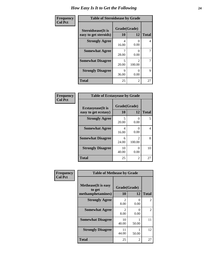| Frequency      | <b>Table of Steroidsease by Grade</b>               |                    |                                       |              |
|----------------|-----------------------------------------------------|--------------------|---------------------------------------|--------------|
| <b>Col Pct</b> | <b>Steroidsease</b> (It is<br>easy to get steroids) | Grade(Grade)<br>10 | 12                                    | <b>Total</b> |
|                | <b>Strongly Agree</b>                               | 4<br>16.00         | 0.00                                  | 4            |
|                | <b>Somewhat Agree</b>                               | 28.00              | $\mathcal{O}$<br>0.00                 | 7            |
|                | <b>Somewhat Disagree</b>                            | 5<br>20.00         | $\mathcal{D}_{\mathcal{L}}$<br>100.00 | 7            |
|                | <b>Strongly Disagree</b>                            | 9<br>36.00         | 0.00                                  | 9            |
|                | <b>Total</b>                                        | 25                 | 2                                     | 27           |

| Frequency      | <b>Table of Ecstasyease by Grade</b>              |                    |                           |              |
|----------------|---------------------------------------------------|--------------------|---------------------------|--------------|
| <b>Col Pct</b> | <b>Ecstasyease</b> (It is<br>easy to get ecstasy) | Grade(Grade)<br>10 | 12                        | <b>Total</b> |
|                | <b>Strongly Agree</b>                             | 5<br>20.00         | 0<br>0.00                 | 5            |
|                | <b>Somewhat Agree</b>                             | 4<br>16.00         | $\mathbf{\Omega}$<br>0.00 | 4            |
|                | <b>Somewhat Disagree</b>                          | 6<br>24.00         | $\mathfrak{D}$<br>100.00  | 8            |
|                | <b>Strongly Disagree</b>                          | 10<br>40.00        | $\Omega$<br>0.00          | 10           |
|                | Total                                             | 25                 | 2                         | 27           |

| Frequency      | <b>Table of Methease by Grade</b>     |                        |                |              |
|----------------|---------------------------------------|------------------------|----------------|--------------|
| <b>Col Pct</b> | <b>Methease</b> (It is easy<br>to get | Grade(Grade)           |                |              |
|                | methamphetamines)                     | 10                     | 12             | <b>Total</b> |
|                | <b>Strongly Agree</b>                 | $\mathfrak{D}$<br>8.00 | 0<br>0.00      | 2            |
|                | <b>Somewhat Agree</b>                 | $\mathfrak{D}$<br>8.00 | 0<br>0.00      | 2            |
|                | <b>Somewhat Disagree</b>              | 10<br>40.00            | 50.00          | 11           |
|                | <b>Strongly Disagree</b>              | 11<br>44.00            | 50.00          | 12           |
|                | <b>Total</b>                          | 25                     | $\overline{2}$ | 27           |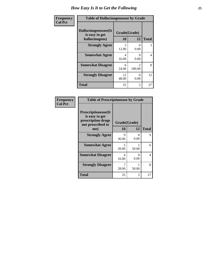| <b>Frequency</b> | <b>Table of Hallucinogensease by Grade</b>               |                    |                                 |                |
|------------------|----------------------------------------------------------|--------------------|---------------------------------|----------------|
| <b>Col Pct</b>   | Hallucinogensease(It<br>is easy to get<br>hallucinogens) | Grade(Grade)<br>10 | 12                              | <b>Total</b>   |
|                  | <b>Strongly Agree</b>                                    | 3<br>12.00         | $\Omega$<br>0.00                | 3              |
|                  | <b>Somewhat Agree</b>                                    | Δ<br>16.00         | $\mathbf{\Omega}$<br>0.00       | $\overline{4}$ |
|                  | <b>Somewhat Disagree</b>                                 | 6<br>24.00         | $\mathcal{D}_{\cdot}$<br>100.00 | 8              |
|                  | <b>Strongly Disagree</b>                                 | 12<br>48.00        | 0<br>0.00                       | 12             |
|                  | <b>Total</b>                                             | 25                 | 2                               | 27             |

| <b>Table of Prescriptionease by Grade</b>                                                |              |           |              |  |
|------------------------------------------------------------------------------------------|--------------|-----------|--------------|--|
| <b>Prescriptionease</b> (It<br>is easy to get<br>prescription drugs<br>not prescribed to | Grade(Grade) |           |              |  |
| me)                                                                                      | 10           | 12        | <b>Total</b> |  |
| <b>Strongly Agree</b>                                                                    | 9<br>36.00   | 0<br>0.00 | 9            |  |
| <b>Somewhat Agree</b>                                                                    | 5<br>20.00   | 50.00     | 6            |  |
| <b>Somewhat Disagree</b>                                                                 | 4<br>16.00   | 0<br>0.00 | 4            |  |
| <b>Strongly Disagree</b>                                                                 | 7<br>28.00   | 50.00     | 8            |  |
| Total                                                                                    | 25           | 2         | 27           |  |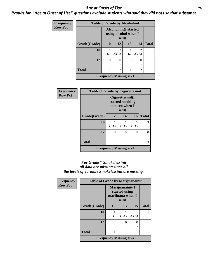#### *Age at Onset of Use* **26** *Results for "Age at Onset of Use" questions exclude students who said they did not use that substance*

| <b>Frequency</b> | <b>Table of Grade by Alcoholinit</b> |          |                                                              |       |            |              |
|------------------|--------------------------------------|----------|--------------------------------------------------------------|-------|------------|--------------|
| <b>Row Pct</b>   |                                      |          | <b>Alcoholinit(I started</b><br>using alcohol when I<br>was) |       |            |              |
|                  | Grade(Grade)                         | 10       | 12                                                           | 13    | 14         | <b>Total</b> |
|                  | 10                                   | 16.67    | $\overline{2}$<br>33.33                                      | 16.67 | 2<br>33.33 | 6            |
|                  | 12                                   | $\Omega$ | 0                                                            | 0     | 0          | 0            |
|                  | <b>Total</b>                         |          | $\overline{2}$                                               | 1     | 2          | 6            |
|                  |                                      |          | <b>Frequency Missing = 21</b>                                |       |            |              |

| <b>Frequency</b> | <b>Table of Grade by Cigarettesinit</b> |                                                                 |       |       |              |
|------------------|-----------------------------------------|-----------------------------------------------------------------|-------|-------|--------------|
| <b>Row Pct</b>   |                                         | Cigare ttesinit(I)<br>started smoking<br>tobacco when I<br>was) |       |       |              |
|                  | Grade(Grade)                            | 12                                                              | 14    | 16    | <b>Total</b> |
|                  | 10                                      | 33.33                                                           | 33.33 | 33.33 | 3            |
|                  | 12                                      | $\Omega$                                                        | 0     | 0     | 0            |
|                  |                                         |                                                                 |       |       |              |
|                  | <b>Total</b>                            |                                                                 |       |       | 3            |
|                  |                                         | <b>Frequency Missing = 24</b>                                   |       |       |              |

#### *For Grade \* Smokelessinit all data are missing since all the levels of variable Smokelessinit are missing.*

| <b>Frequency</b> | <b>Table of Grade by Marijuanainit</b> |                                            |                                                              |       |              |
|------------------|----------------------------------------|--------------------------------------------|--------------------------------------------------------------|-------|--------------|
| <b>Row Pct</b>   |                                        |                                            | Marijuanainit(I<br>started using<br>marijuana when I<br>was) |       |              |
|                  | Grade(Grade)                           | 12                                         | 13                                                           | 15    | <b>Total</b> |
|                  | 10                                     | 33.33                                      | 33.33                                                        | 33.33 | 3            |
|                  | 12                                     | $\Omega$                                   | 0                                                            | 0     | ∩            |
|                  | <b>Total</b>                           |                                            |                                                              |       | 3            |
|                  |                                        |                                            |                                                              |       |              |
|                  |                                        | <b>Frequency Missing <math>= 24</math></b> |                                                              |       |              |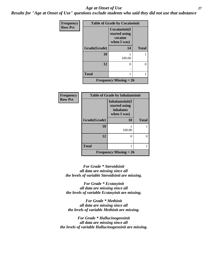#### *Age at Onset of Use* **27**

*Results for "Age at Onset of Use" questions exclude students who said they did not use that substance*

| <b>Frequency</b> | <b>Table of Grade by Cocaineinit</b> |                                                          |              |  |
|------------------|--------------------------------------|----------------------------------------------------------|--------------|--|
| <b>Row Pct</b>   |                                      | Cocaineinit(I<br>started using<br>cocaine<br>when I was) |              |  |
|                  | Grade(Grade)                         | 14                                                       | <b>Total</b> |  |
|                  | 10                                   | 100.00                                                   |              |  |
|                  | 12                                   | $\mathcal{O}$                                            | 0            |  |
|                  | <b>Total</b>                         |                                                          |              |  |
|                  |                                      | <b>Frequency Missing = 26</b>                            |              |  |

| <b>Frequency</b> | <b>Table of Grade by Inhalantsinit</b> |                                                                     |              |  |
|------------------|----------------------------------------|---------------------------------------------------------------------|--------------|--|
| <b>Row Pct</b>   |                                        | Inhalantsinit(I<br>started using<br><i>inhalants</i><br>when I was) |              |  |
|                  | Grade(Grade)                           | 10                                                                  | <b>Total</b> |  |
|                  | 10                                     | 100.00                                                              |              |  |
|                  | 12                                     | $\mathbf{\Omega}$                                                   | ∩            |  |
|                  | <b>Total</b>                           |                                                                     | 1            |  |
|                  |                                        | Frequency Missing $= 26$                                            |              |  |

*For Grade \* Steroidsinit all data are missing since all the levels of variable Steroidsinit are missing.*

*For Grade \* Ecstasyinit all data are missing since all the levels of variable Ecstasyinit are missing.*

*For Grade \* Methinit all data are missing since all the levels of variable Methinit are missing.*

*For Grade \* Hallucinogensinit all data are missing since all the levels of variable Hallucinogensinit are missing.*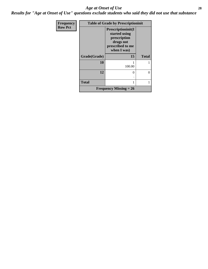#### *Age at Onset of Use* **28**

*Results for "Age at Onset of Use" questions exclude students who said they did not use that substance*

| <b>Frequency</b> |              | <b>Table of Grade by Prescriptioninit</b>                                                                   |              |  |  |
|------------------|--------------|-------------------------------------------------------------------------------------------------------------|--------------|--|--|
| <b>Row Pct</b>   |              | <b>Prescriptioninit(I)</b><br>started using<br>prescription<br>drugs not<br>prescribed to me<br>when I was) |              |  |  |
|                  | Grade(Grade) | 15                                                                                                          | <b>Total</b> |  |  |
|                  | 10           | 100.00                                                                                                      |              |  |  |
|                  | 12           | 0                                                                                                           | 0            |  |  |
|                  | <b>Total</b> | 1                                                                                                           |              |  |  |
|                  |              | <b>Frequency Missing = 26</b>                                                                               |              |  |  |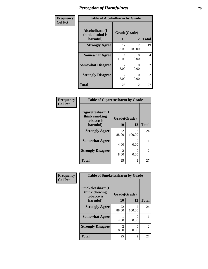| Frequency      | <b>Table of Alcoholharm by Grade</b>          |                                     |                          |                |
|----------------|-----------------------------------------------|-------------------------------------|--------------------------|----------------|
| <b>Col Pct</b> | Alcoholharm(I<br>think alcohol is<br>harmful) | Grade(Grade)<br>10                  | 12                       | <b>Total</b>   |
|                | <b>Strongly Agree</b>                         | 17<br>68.00                         | $\mathfrak{D}$<br>100.00 | 19             |
|                | <b>Somewhat Agree</b>                         | 4<br>16.00                          | 0<br>0.00                | 4              |
|                | <b>Somewhat Disagree</b>                      | $\mathfrak{D}$<br>8.00              | 0<br>0.00                | 2              |
|                | <b>Strongly Disagree</b>                      | $\mathcal{D}_{\mathcal{L}}$<br>8.00 | 0<br>0.00                | $\overline{2}$ |
|                | <b>Total</b>                                  | 25                                  | 2                        | 27             |

| <b>Table of Cigarettesharm by Grade</b>         |              |                          |               |  |  |
|-------------------------------------------------|--------------|--------------------------|---------------|--|--|
| Cigarettesharm(I<br>think smoking<br>tobacco is | Grade(Grade) |                          |               |  |  |
| harmful)                                        | 10           | 12                       | <b>Total</b>  |  |  |
| <b>Strongly Agree</b>                           | 22<br>88.00  | $\mathfrak{D}$<br>100.00 | 24            |  |  |
| <b>Somewhat Agree</b>                           | 4.00         | 0<br>0.00                |               |  |  |
| <b>Strongly Disagree</b>                        | 2<br>8.00    | 0.00                     | $\mathcal{L}$ |  |  |
| <b>Total</b>                                    | 25           | 2                        | 27            |  |  |

| Frequency      | <b>Table of Smokelessharm by Grade</b>         |                        |                          |              |  |
|----------------|------------------------------------------------|------------------------|--------------------------|--------------|--|
| <b>Col Pct</b> | Smokelessharm(I<br>think chewing<br>tobacco is | Grade(Grade)           |                          |              |  |
|                | harmful)                                       | 10                     | 12                       | <b>Total</b> |  |
|                | <b>Strongly Agree</b>                          | 22<br>88.00            | $\mathfrak{D}$<br>100.00 | 24           |  |
|                | <b>Somewhat Agree</b>                          | 4.00                   | ∩<br>0.00                |              |  |
|                | <b>Strongly Disagree</b>                       | $\mathfrak{D}$<br>8.00 | O<br>0.00                | 2            |  |
|                | <b>Total</b>                                   | 25                     | $\overline{2}$           | 27           |  |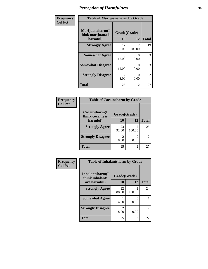| Frequency      | <b>Table of Marijuanaharm by Grade</b>            |                        |                          |              |  |
|----------------|---------------------------------------------------|------------------------|--------------------------|--------------|--|
| <b>Col Pct</b> | Marijuanaharm(I<br>think marijuana is<br>harmful) | Grade(Grade)<br>10     | 12                       | <b>Total</b> |  |
|                | <b>Strongly Agree</b>                             | 17<br>68.00            | $\mathfrak{D}$<br>100.00 | 19           |  |
|                | <b>Somewhat Agree</b>                             | 3<br>12.00             | $\Omega$<br>0.00         | 3            |  |
|                | <b>Somewhat Disagree</b>                          | 3<br>12.00             | $\Omega$<br>0.00         | 3            |  |
|                | <b>Strongly Disagree</b>                          | $\mathfrak{D}$<br>8.00 | $\Omega$<br>0.00         | 2            |  |
|                | <b>Total</b>                                      | 25                     | $\mathfrak{D}$           | 27           |  |

| <b>Table of Cocaineharm by Grade</b> |              |             |              |  |  |  |  |
|--------------------------------------|--------------|-------------|--------------|--|--|--|--|
| Cocaineharm(I<br>think cocaine is    | Grade(Grade) |             |              |  |  |  |  |
| harmful)                             | 10           | 12          | <b>Total</b> |  |  |  |  |
| <b>Strongly Agree</b>                | 23<br>92.00  | 2<br>100.00 | 25           |  |  |  |  |
| <b>Strongly Disagree</b>             | 2<br>8.00    | 0.00        | 2            |  |  |  |  |
| <b>Total</b>                         | 25           | 2           | 27           |  |  |  |  |

| Frequency<br>Col Pct |
|----------------------|
|                      |

| <b>Table of Inhalantsharm by Grade</b> |                       |                          |    |  |  |  |
|----------------------------------------|-----------------------|--------------------------|----|--|--|--|
| Inhalantsharm(I<br>think inhalants     | Grade(Grade)          |                          |    |  |  |  |
| are harmful)                           | 10                    | <b>Total</b>             |    |  |  |  |
| <b>Strongly Agree</b>                  | 22<br>88.00           | $\mathfrak{D}$<br>100.00 | 24 |  |  |  |
| <b>Somewhat Agree</b>                  | 4.00                  | 0.00                     |    |  |  |  |
| <b>Strongly Disagree</b>               | $\mathcal{L}$<br>8.00 | 0<br>0.00                | 2  |  |  |  |
| <b>Total</b>                           | 25                    | 2                        | 27 |  |  |  |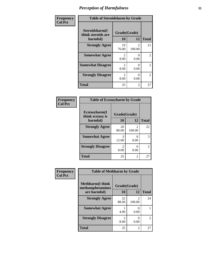| Frequency      | <b>Table of Steroidsharm by Grade</b>            |                                     |                          |                |  |
|----------------|--------------------------------------------------|-------------------------------------|--------------------------|----------------|--|
| <b>Col Pct</b> | Steroidsharm(I<br>think steroids are<br>harmful) | Grade(Grade)<br>10                  | 12                       | <b>Total</b>   |  |
|                | <b>Strongly Agree</b>                            | 19<br>76.00                         | $\mathfrak{D}$<br>100.00 | 21             |  |
|                | <b>Somewhat Agree</b>                            | $\mathcal{D}_{\mathcal{L}}$<br>8.00 | 0<br>0.00                | $\mathfrak{D}$ |  |
|                | <b>Somewhat Disagree</b>                         | $\mathcal{D}_{\mathcal{L}}$<br>8.00 | 0<br>0.00                | $\mathfrak{D}$ |  |
|                | <b>Strongly Disagree</b>                         | $\mathcal{D}_{\mathcal{L}}$<br>8.00 | 0<br>0.00                | 2              |  |
|                | <b>Total</b>                                     | 25                                  | 2                        | 27             |  |

| <b>Table of Ecstasyharm by Grade</b> |                       |                           |              |  |  |  |
|--------------------------------------|-----------------------|---------------------------|--------------|--|--|--|
| Ecstasyharm(I<br>think ecstasy is    | Grade(Grade)          |                           |              |  |  |  |
| harmful)                             | 10                    | 12                        | <b>Total</b> |  |  |  |
| <b>Strongly Agree</b>                | 20<br>80.00           | 2<br>100.00               | 22           |  |  |  |
| <b>Somewhat Agree</b>                | 3<br>12.00            | 0<br>0.00                 | 3            |  |  |  |
| <b>Strongly Disagree</b>             | $\mathcal{L}$<br>8.00 | $\mathbf{\Omega}$<br>0.00 | 2            |  |  |  |
| <b>Total</b>                         | 25                    | 2                         | 27           |  |  |  |

| Frequency      | <b>Table of Methharm by Grade</b>                            |             |                                       |                |  |
|----------------|--------------------------------------------------------------|-------------|---------------------------------------|----------------|--|
| <b>Col Pct</b> | <b>Methharm</b> (I think<br>Grade(Grade)<br>methamphetamines |             |                                       |                |  |
|                | are harmful)                                                 | 10          | 12                                    | <b>Total</b>   |  |
|                | <b>Strongly Agree</b>                                        | 22<br>88.00 | $\mathcal{D}_{\mathcal{L}}$<br>100.00 | 24             |  |
|                | <b>Somewhat Agree</b>                                        | 4.00        | 0<br>0.00                             |                |  |
|                | <b>Strongly Disagree</b>                                     | 2<br>8.00   | 0<br>0.00                             | $\overline{2}$ |  |
|                | <b>Total</b>                                                 | 25          | 2                                     | 27             |  |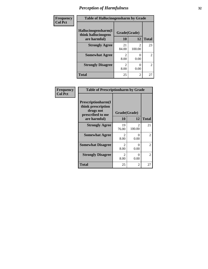| Frequency      | <b>Table of Hallucinogensharm by Grade</b>                 |                        |                                       |                |  |
|----------------|------------------------------------------------------------|------------------------|---------------------------------------|----------------|--|
| <b>Col Pct</b> | Hallucinogensharm(I<br>think hallucinogens<br>are harmful) |                        | Grade(Grade)                          |                |  |
|                |                                                            |                        | 12                                    | <b>Total</b>   |  |
|                | <b>Strongly Agree</b>                                      | 21<br>84.00            | $\mathcal{D}_{\mathcal{L}}$<br>100.00 | 23             |  |
|                | <b>Somewhat Agree</b>                                      | 8.00                   | 0.00                                  | $\overline{c}$ |  |
|                | <b>Strongly Disagree</b>                                   | $\mathfrak{D}$<br>8.00 | $\mathbf{\Omega}$<br>0.00             | $\overline{c}$ |  |
|                | <b>Total</b>                                               | 25                     | $\overline{c}$                        | 27             |  |

| Frequency      | <b>Table of Prescriptionharm by Grade</b>                                 |              |             |                |  |
|----------------|---------------------------------------------------------------------------|--------------|-------------|----------------|--|
| <b>Col Pct</b> | Prescriptionharm(I<br>think prescription<br>drugs not<br>prescribed to me | Grade(Grade) |             |                |  |
|                | are harmful)                                                              | <b>10</b>    | 12          | <b>Total</b>   |  |
|                | <b>Strongly Agree</b>                                                     | 19<br>76.00  | 2<br>100.00 | 21             |  |
|                | <b>Somewhat Agree</b>                                                     | 2<br>8.00    | 0<br>0.00   | $\overline{2}$ |  |
|                | <b>Somewhat Disagree</b>                                                  | 2<br>8.00    | 0<br>0.00   | $\overline{2}$ |  |
|                | <b>Strongly Disagree</b>                                                  | 2<br>8.00    | 0<br>0.00   | $\overline{2}$ |  |
|                | Total                                                                     | 25           | 2           | 27             |  |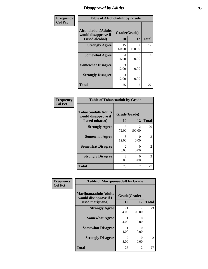### *Disapproval by Adults* **33**

| Frequency      |                                                                       | <b>Table of Alcoholadult by Grade</b> |                          |              |  |
|----------------|-----------------------------------------------------------------------|---------------------------------------|--------------------------|--------------|--|
| <b>Col Pct</b> | <b>Alcoholadult</b> (Adults<br>would disapprove if<br>I used alcohol) | Grade(Grade)<br>10                    | 12                       | <b>Total</b> |  |
|                | <b>Strongly Agree</b>                                                 | 15<br>60.00                           | $\mathfrak{D}$<br>100.00 | 17           |  |
|                | <b>Somewhat Agree</b>                                                 | 4<br>16.00                            | 0.00                     | 4            |  |
|                | <b>Somewhat Disagree</b>                                              | 3<br>12.00                            | 0.00                     | 3            |  |
|                | <b>Strongly Disagree</b>                                              | 3<br>12.00                            | 0.00                     | 3            |  |
|                | <b>Total</b>                                                          | 25                                    | 2                        | 27           |  |

| <b>Table of Tobaccoadult by Grade</b>                                 |                                     |                         |               |  |  |  |
|-----------------------------------------------------------------------|-------------------------------------|-------------------------|---------------|--|--|--|
| <b>Tobaccoadult</b> (Adults<br>would disapprove if<br>I used tobacco) | Grade(Grade)<br>10                  | 12                      | <b>Total</b>  |  |  |  |
| <b>Strongly Agree</b>                                                 | 18<br>72.00                         | $\mathcal{L}$<br>100.00 | 20            |  |  |  |
| <b>Somewhat Agree</b>                                                 | 3<br>12.00                          | 0<br>0.00               | 3             |  |  |  |
| <b>Somewhat Disagree</b>                                              | $\mathcal{D}_{\mathcal{L}}$<br>8.00 | 0<br>0.00               | $\mathcal{L}$ |  |  |  |
| <b>Strongly Disagree</b>                                              | $\mathcal{L}$<br>8.00               | 0.00                    | 2             |  |  |  |
| <b>Total</b>                                                          | 25                                  | 2                       | 27            |  |  |  |

| Frequency      | <b>Table of Marijuanaadult by Grade</b>                           |                    |                          |              |
|----------------|-------------------------------------------------------------------|--------------------|--------------------------|--------------|
| <b>Col Pct</b> | Marijuanaadult(Adults<br>would disapprove if I<br>used marijuana) | Grade(Grade)<br>10 | 12                       | <b>Total</b> |
|                | <b>Strongly Agree</b>                                             | 21<br>84.00        | $\mathfrak{D}$<br>100.00 | 23           |
|                | <b>Somewhat Agree</b>                                             | 4.00               | $\Omega$<br>0.00         |              |
|                | <b>Somewhat Disagree</b>                                          | 4.00               | $\Omega$<br>0.00         |              |
|                | <b>Strongly Disagree</b>                                          | 2<br>8.00          | $\theta$<br>0.00         | 2            |
|                | <b>Total</b>                                                      | 25                 | $\overline{2}$           | 27           |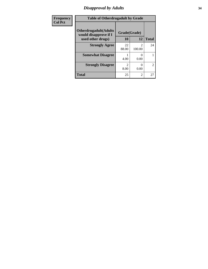### *Disapproval by Adults* **34**

| Frequency      | <b>Table of Otherdrugadult by Grade</b>                                     |                    |                                       |                |
|----------------|-----------------------------------------------------------------------------|--------------------|---------------------------------------|----------------|
| <b>Col Pct</b> | <b>Otherdrugadult</b> (Adults<br>would disapprove if I<br>used other drugs) | Grade(Grade)<br>10 | 12                                    | <b>Total</b>   |
|                | <b>Strongly Agree</b>                                                       | 22<br>88.00        | $\mathcal{D}_{\mathcal{L}}$<br>100.00 | 24             |
|                | <b>Somewhat Disagree</b>                                                    | 4.00               | 0.00                                  |                |
|                | <b>Strongly Disagree</b>                                                    | っ<br>8.00          | 0.00                                  | $\overline{2}$ |
|                | <b>Total</b>                                                                | 25                 | $\overline{2}$                        | 27             |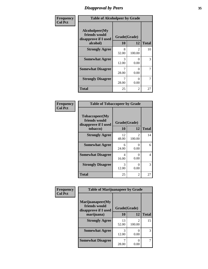### *Disapproval by Peers* **35**

| Frequency      | <b>Table of Alcoholpeer by Grade</b>                                |                    |                          |              |
|----------------|---------------------------------------------------------------------|--------------------|--------------------------|--------------|
| <b>Col Pct</b> | Alcoholpeer(My<br>friends would<br>disapprove if I used<br>alcohol) | Grade(Grade)<br>10 | 12                       | <b>Total</b> |
|                | <b>Strongly Agree</b>                                               | 8<br>32.00         | $\mathfrak{D}$<br>100.00 | 10           |
|                | <b>Somewhat Agree</b>                                               | 3<br>12.00         | $\Omega$<br>0.00         | 3            |
|                | <b>Somewhat Disagree</b>                                            | 7<br>28.00         | 0.00                     | 7            |
|                | <b>Strongly Disagree</b>                                            | 7<br>28.00         | 0.00                     | 7            |
|                | Total                                                               | 25                 | 2                        | 27           |

| Frequency      | <b>Table of Tobaccopeer by Grade</b>                                |                           |                          |              |
|----------------|---------------------------------------------------------------------|---------------------------|--------------------------|--------------|
| <b>Col Pct</b> | Tobaccopeer(My<br>friends would<br>disapprove if I used<br>tobacco) | Grade(Grade)<br><b>10</b> | 12                       | <b>Total</b> |
|                | <b>Strongly Agree</b>                                               | 12<br>48.00               | $\mathfrak{D}$<br>100.00 | 14           |
|                | <b>Somewhat Agree</b>                                               | 6<br>24.00                | 0<br>0.00                | 6            |
|                | <b>Somewhat Disagree</b>                                            | 4<br>16.00                | 0<br>0.00                | 4            |
|                | <b>Strongly Disagree</b>                                            | 3<br>12.00                | 0<br>0.00                | 3            |
|                | <b>Total</b>                                                        | 25                        | 2                        | 27           |

| Frequency      | <b>Table of Marijuanapeer by Grade</b> |              |                          |              |
|----------------|----------------------------------------|--------------|--------------------------|--------------|
| <b>Col Pct</b> | Marijuanapeer(My<br>friends would      | Grade(Grade) |                          |              |
|                | disapprove if I used<br>marijuana)     | 10           | 12                       | <b>Total</b> |
|                | <b>Strongly Agree</b>                  | 13<br>52.00  | $\mathfrak{D}$<br>100.00 | 15           |
|                | <b>Somewhat Agree</b>                  | 3<br>12.00   | 0.00                     | 3            |
|                | <b>Somewhat Disagree</b>               | 28.00        | 0.00                     |              |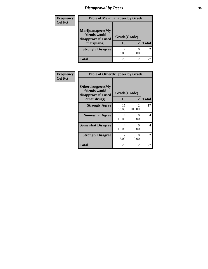# *Disapproval by Peers* **36**

| Frequency      | <b>Table of Marijuanapeer by Grade</b>                                  |                    |                |                |
|----------------|-------------------------------------------------------------------------|--------------------|----------------|----------------|
| <b>Col Pct</b> | Marijuanapeer(My<br>friends would<br>disapprove if I used<br>marijuana) | Grade(Grade)<br>10 | 12             | <b>Total</b>   |
|                | <b>Strongly Disagree</b>                                                | 2<br>8.00          | 0.00           | $\overline{c}$ |
|                | Total                                                                   | 25                 | $\mathfrak{D}$ | 27             |

| Frequency      | <b>Table of Otherdrugpeer by Grade</b>                                    |                    |             |              |
|----------------|---------------------------------------------------------------------------|--------------------|-------------|--------------|
| <b>Col Pct</b> | Otherdrugpeer(My<br>friends would<br>disapprove if I used<br>other drugs) | Grade(Grade)<br>10 | 12          | <b>Total</b> |
|                | <b>Strongly Agree</b>                                                     | 15<br>60.00        | 2<br>100.00 | 17           |
|                | <b>Somewhat Agree</b>                                                     | 4<br>16.00         | 0<br>0.00   | 4            |
|                | <b>Somewhat Disagree</b>                                                  | 4<br>16.00         | 0<br>0.00   | 4            |
|                | <b>Strongly Disagree</b>                                                  | 2<br>8.00          | 0<br>0.00   | 2            |
|                | <b>Total</b>                                                              | 25                 | 2           | 27           |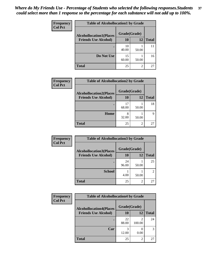| Frequency      | <b>Table of Alcohollocation1 by Grade</b> |              |                |              |  |
|----------------|-------------------------------------------|--------------|----------------|--------------|--|
| <b>Col Pct</b> | <b>Alcohollocation1(Places</b>            | Grade(Grade) |                |              |  |
|                | <b>Friends Use Alcohol)</b>               | 10           | 12             | <b>Total</b> |  |
|                |                                           | 10<br>40.00  | 50.00          | 11           |  |
|                | Do Not Use                                | 15<br>60.00  | 50.00          | 16           |  |
|                | <b>Total</b>                              | 25           | $\overline{2}$ | 27           |  |

| <b>Frequency</b> | <b>Table of Alcohollocation2 by Grade</b>                     |                    |                |              |
|------------------|---------------------------------------------------------------|--------------------|----------------|--------------|
| <b>Col Pct</b>   | <b>Alcohollocation2(Places</b><br><b>Friends Use Alcohol)</b> | Grade(Grade)<br>10 | 12             | <b>Total</b> |
|                  |                                                               |                    |                |              |
|                  |                                                               | 17<br>68.00        | 50.00          | 18           |
|                  | Home                                                          | 8<br>32.00         | 50.00          | q            |
|                  | <b>Total</b>                                                  | 25                 | $\overline{2}$ | 27           |

| Frequency      | <b>Table of Alcohollocation 3 by Grade</b>                    |                    |                |                |
|----------------|---------------------------------------------------------------|--------------------|----------------|----------------|
| <b>Col Pct</b> | <b>Alcohollocation3(Places</b><br><b>Friends Use Alcohol)</b> | Grade(Grade)<br>10 | 12             | <b>Total</b>   |
|                |                                                               | 24<br>96.00        | 50.00          | 25             |
|                | <b>School</b>                                                 | 4.00               | 50.00          | $\mathfrak{D}$ |
|                | <b>Total</b>                                                  | 25                 | $\overline{2}$ | 27             |

| <b>Frequency</b> | <b>Table of Alcohollocation4 by Grade</b> |              |                          |              |  |
|------------------|-------------------------------------------|--------------|--------------------------|--------------|--|
| <b>Col Pct</b>   | <b>Alcohollocation4(Places</b>            | Grade(Grade) |                          |              |  |
|                  | <b>Friends Use Alcohol)</b>               | 10           | 12                       | <b>Total</b> |  |
|                  |                                           | 22<br>88.00  | $\mathfrak{D}$<br>100.00 | 24           |  |
|                  | Car                                       | 3<br>12.00   | 0.00                     | 3            |  |
|                  | <b>Total</b>                              | 25           | 2                        | 27           |  |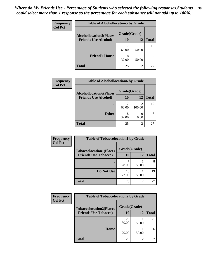| Frequency<br><b>Col Pct</b> | <b>Table of Alcohollocation5 by Grade</b> |              |                |              |  |
|-----------------------------|-------------------------------------------|--------------|----------------|--------------|--|
|                             | <b>Alcohollocation5(Places</b>            | Grade(Grade) |                |              |  |
|                             | <b>Friends Use Alcohol)</b>               | 10           | 12             | <b>Total</b> |  |
|                             |                                           | 17<br>68.00  | 50.00          | 18           |  |
|                             | <b>Friend's House</b>                     | 8<br>32.00   | 50.00          | 9            |  |
|                             | Total                                     | 25           | $\overline{2}$ | 27           |  |

| Frequency      | <b>Table of Alcohollocation6 by Grade</b>                     |                    |                          |              |
|----------------|---------------------------------------------------------------|--------------------|--------------------------|--------------|
| <b>Col Pct</b> | <b>Alcohollocation6(Places</b><br><b>Friends Use Alcohol)</b> | Grade(Grade)<br>10 | 12                       | <b>Total</b> |
|                |                                                               | 17<br>68.00        | $\overline{2}$<br>100.00 | 19           |
|                | <b>Other</b>                                                  | 8<br>32.00         | 0.00                     |              |
|                | <b>Total</b>                                                  | 25                 | $\overline{2}$           | 27           |

| Frequency      | <b>Table of Tobaccolocation1 by Grade</b> |              |                |              |
|----------------|-------------------------------------------|--------------|----------------|--------------|
| <b>Col Pct</b> | <b>Tobaccolocation1(Places</b>            | Grade(Grade) |                |              |
|                | <b>Friends Use Tobacco)</b>               | 10           | 12             | <b>Total</b> |
|                |                                           | 28.00        | 50.00          | 8            |
|                | Do Not Use                                | 18<br>72.00  | 50.00          | 19           |
|                | <b>Total</b>                              | 25           | $\mathfrak{D}$ | 27           |

| <b>Frequency</b> | <b>Table of Tobaccolocation2 by Grade</b> |              |                |              |
|------------------|-------------------------------------------|--------------|----------------|--------------|
| <b>Col Pct</b>   | <b>Tobaccolocation2(Places</b>            | Grade(Grade) |                |              |
|                  | <b>Friends Use Tobacco)</b>               | 10           | 12             | <b>Total</b> |
|                  |                                           | 20<br>80.00  | 50.00          | 21           |
|                  | Home                                      | 20.00        | 50.00          | 6            |
|                  | <b>Total</b>                              | 25           | $\overline{c}$ | 27           |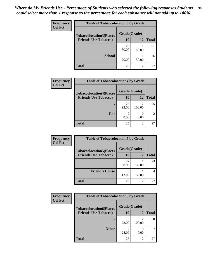| Frequency<br><b>Col Pct</b> | <b>Table of Tobaccolocation 3 by Grade</b> |              |       |              |  |
|-----------------------------|--------------------------------------------|--------------|-------|--------------|--|
|                             | <b>Tobaccolocation3(Places</b>             | Grade(Grade) |       |              |  |
|                             | <b>Friends Use Tobacco)</b>                | 10           | 12    | <b>Total</b> |  |
|                             |                                            | 20<br>80.00  | 50.00 | 21           |  |
|                             | <b>School</b>                              | 5<br>20.00   | 50.00 | 6            |  |
|                             | <b>Total</b>                               | 25           | 2     | 27           |  |

| Frequency      | <b>Table of Tobaccolocation4 by Grade</b> |                        |                          |                |
|----------------|-------------------------------------------|------------------------|--------------------------|----------------|
| <b>Col Pct</b> | <b>Tobaccolocation4(Places</b>            | Grade(Grade)           |                          |                |
|                | <b>Friends Use Tobacco)</b>               | 10                     | 12                       | <b>Total</b>   |
|                |                                           | 23<br>92.00            | $\mathfrak{D}$<br>100.00 | 25             |
|                | Car                                       | $\mathfrak{D}$<br>8.00 | 0.00                     | $\mathfrak{D}$ |
|                | <b>Total</b>                              | 25                     | $\overline{2}$           | 27             |

| Frequency      | <b>Table of Tobaccolocation5 by Grade</b> |              |       |              |
|----------------|-------------------------------------------|--------------|-------|--------------|
| <b>Col Pct</b> | <b>Tobaccolocation5(Places</b>            | Grade(Grade) |       |              |
|                | <b>Friends Use Tobacco)</b>               | 10           | 12    | <b>Total</b> |
|                |                                           | 22<br>88.00  | 50.00 | 23           |
|                | <b>Friend's House</b>                     | 3<br>12.00   | 50.00 |              |
|                | <b>Total</b>                              | 25           | 2     | 27           |

| <b>Frequency</b> | <b>Table of Tobaccolocation6 by Grade</b> |              |                |              |
|------------------|-------------------------------------------|--------------|----------------|--------------|
| <b>Col Pct</b>   | <b>Tobaccolocation6(Places</b>            | Grade(Grade) |                |              |
|                  | <b>Friends Use Tobacco)</b>               | 10           | 12             | <b>Total</b> |
|                  |                                           | 18<br>72.00  | 2<br>100.00    | 20           |
|                  | <b>Other</b>                              | 28.00        | 0.00           |              |
|                  | <b>Total</b>                              | 25           | $\overline{2}$ | 27           |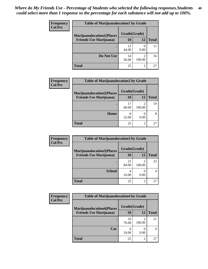| <b>Frequency</b> | <b>Table of Marijuanalocation1 by Grade</b> |              |                          |              |
|------------------|---------------------------------------------|--------------|--------------------------|--------------|
| <b>Col Pct</b>   | <b>Marijuanalocation1(Places</b>            | Grade(Grade) |                          |              |
|                  | <b>Friends Use Marijuana</b> )              | 10           | 12                       | <b>Total</b> |
|                  |                                             | 11<br>44.00  | 0.00                     | 11           |
|                  | Do Not Use                                  | 14<br>56.00  | $\mathfrak{D}$<br>100.00 | 16           |
|                  | Total                                       | 25           | $\mathfrak{D}$           | 27           |

| Frequency      | <b>Table of Marijuanalocation2 by Grade</b>                        |                    |                |              |
|----------------|--------------------------------------------------------------------|--------------------|----------------|--------------|
| <b>Col Pct</b> | <b>Marijuanalocation2(Places</b><br><b>Friends Use Marijuana</b> ) | Grade(Grade)<br>10 | 12             | <b>Total</b> |
|                |                                                                    |                    |                |              |
|                |                                                                    | 17<br>68.00        | 2<br>100.00    | 19           |
|                | Home                                                               | 8<br>32.00         | 0.00           |              |
|                | <b>Total</b>                                                       | 25                 | $\overline{c}$ | 27           |

| Frequency<br><b>Col Pct</b> | <b>Table of Marijuanalocation3 by Grade</b> |              |             |              |
|-----------------------------|---------------------------------------------|--------------|-------------|--------------|
|                             | <b>Marijuanalocation3(Places</b>            | Grade(Grade) |             |              |
|                             | <b>Friends Use Marijuana</b> )              | 10           | 12          | <b>Total</b> |
|                             |                                             | 21<br>84.00  | 2<br>100.00 | 23           |
|                             | <b>School</b>                               | 4<br>16.00   | 0.00        |              |
|                             | <b>Total</b>                                | 25           | 2           | 27           |

| <b>Frequency</b> | <b>Table of Marijuanalocation4 by Grade</b> |              |        |              |  |
|------------------|---------------------------------------------|--------------|--------|--------------|--|
| <b>Col Pct</b>   | <b>Marijuanalocation4(Places</b>            | Grade(Grade) |        |              |  |
|                  | <b>Friends Use Marijuana</b> )              | 10           | 12     | <b>Total</b> |  |
|                  |                                             | 19<br>76.00  | 100.00 | 21           |  |
|                  | Car                                         | 24.00        | 0.00   |              |  |
|                  | <b>Total</b>                                | 25           | 2      | 27           |  |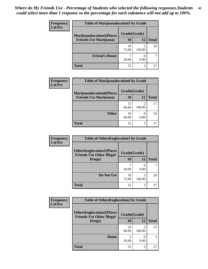| <b>Frequency</b> | <b>Table of Marijuanalocation5 by Grade</b> |              |        |              |
|------------------|---------------------------------------------|--------------|--------|--------------|
| <b>Col Pct</b>   | <b>Marijuanalocation5(Places)</b>           | Grade(Grade) |        |              |
|                  | <b>Friends Use Marijuana</b> )              | 10           | 12     | <b>Total</b> |
|                  |                                             | 18<br>72.00  | 100.00 | 20           |
|                  | <b>Friend's House</b>                       | 28.00        | 0.00   |              |
|                  | <b>Total</b>                                | 25           | ↑      | 25           |

| Frequency      | <b>Table of Marijuanalocation6 by Grade</b> |              |             |              |
|----------------|---------------------------------------------|--------------|-------------|--------------|
| <b>Col Pct</b> | <b>Marijuanalocation6(Places</b>            | Grade(Grade) |             |              |
|                | <b>Friends Use Marijuana</b> )              | 10           | 12          | <b>Total</b> |
|                |                                             | 15<br>60.00  | 2<br>100.00 | 17           |
|                | <b>Other</b>                                | 10<br>40.00  | 0.00        | 10           |
|                | <b>Total</b>                                | 25           | 2           | 27           |

| <b>Frequency</b> | <b>Table of Otherdruglocation1 by Grade</b>                          |              |                       |              |
|------------------|----------------------------------------------------------------------|--------------|-----------------------|--------------|
| <b>Col Pct</b>   | <b>Otherdruglocation1(Places</b><br><b>Friends Use Other Illegal</b> | Grade(Grade) |                       |              |
|                  | Drugs)                                                               | 10           | 12                    | <b>Total</b> |
|                  |                                                                      | 28.00        | $\mathcal{L}$<br>0.00 |              |
|                  | Do Not Use                                                           | 18<br>72.00  | 100.00                | 20           |
|                  | <b>Total</b>                                                         | 25           | 2                     | 27           |

| <b>Frequency</b> | <b>Table of Otherdruglocation2 by Grade</b>                          |              |                                                                                                                                                                           |              |
|------------------|----------------------------------------------------------------------|--------------|---------------------------------------------------------------------------------------------------------------------------------------------------------------------------|--------------|
| <b>Col Pct</b>   | <b>Otherdruglocation2(Places</b><br><b>Friends Use Other Illegal</b> | Grade(Grade) |                                                                                                                                                                           |              |
|                  | Drugs)                                                               | <b>10</b>    | 12                                                                                                                                                                        | <b>Total</b> |
|                  |                                                                      | 20<br>80.00  | $\mathcal{D}_{\mathcal{A}}^{\mathcal{A}}(\mathcal{A})=\mathcal{D}_{\mathcal{A}}^{\mathcal{A}}(\mathcal{A})\mathcal{D}_{\mathcal{A}}^{\mathcal{A}}(\mathcal{A})$<br>100.00 | 22           |
|                  | Home                                                                 | 20.00        | 0<br>0.00                                                                                                                                                                 | 5            |
|                  | <b>Total</b>                                                         | 25           | 2                                                                                                                                                                         | 27           |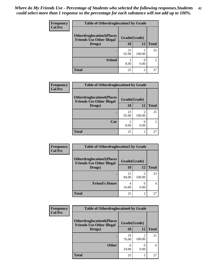| <b>Frequency</b> | <b>Table of Otherdruglocation3 by Grade</b>                          |              |             |              |
|------------------|----------------------------------------------------------------------|--------------|-------------|--------------|
| <b>Col Pct</b>   | <b>Otherdruglocation3(Places</b><br><b>Friends Use Other Illegal</b> | Grade(Grade) |             |              |
|                  | Drugs)                                                               | 10           | 12          | <b>Total</b> |
|                  |                                                                      | 23<br>92.00  | 2<br>100.00 | 25           |
|                  | <b>School</b>                                                        | 2<br>8.00    | 0.00        | 2            |
|                  | <b>Total</b>                                                         | 25           | 2           | 27           |

| <b>Frequency</b> | <b>Table of Otherdruglocation4 by Grade</b>                          |              |                |                |
|------------------|----------------------------------------------------------------------|--------------|----------------|----------------|
| <b>Col Pct</b>   | <b>Otherdruglocation4(Places</b><br><b>Friends Use Other Illegal</b> | Grade(Grade) |                |                |
|                  | Drugs)                                                               | 10           | 12             | <b>Total</b>   |
|                  |                                                                      | 23<br>92.00  | っ<br>100.00    | 25             |
|                  | Car                                                                  | 8.00         | 0.00           | $\mathfrak{D}$ |
|                  | <b>Total</b>                                                         | 25           | $\mathfrak{D}$ | 27             |

| <b>Frequency</b> | <b>Table of Otherdruglocation5 by Grade</b>                          |              |                |              |
|------------------|----------------------------------------------------------------------|--------------|----------------|--------------|
| <b>Col Pct</b>   | <b>Otherdruglocation5(Places</b><br><b>Friends Use Other Illegal</b> | Grade(Grade) |                |              |
|                  | Drugs)                                                               | 10           | 12             | <b>Total</b> |
|                  |                                                                      | 21<br>84.00  | 100.00         | 23           |
|                  | <b>Friend's House</b>                                                | 16.00        | 0.00           | 4            |
|                  | <b>Total</b>                                                         | 25           | $\mathfrak{D}$ | 27           |

| <b>Frequency</b> | <b>Table of Otherdruglocation6 by Grade</b>                          |              |        |              |
|------------------|----------------------------------------------------------------------|--------------|--------|--------------|
| <b>Col Pct</b>   | <b>Otherdruglocation6(Places</b><br><b>Friends Use Other Illegal</b> | Grade(Grade) |        |              |
|                  | Drugs)                                                               | 10           | 12     | <b>Total</b> |
|                  |                                                                      | 19<br>76.00  | 100.00 | 21           |
|                  | <b>Other</b>                                                         | 6<br>24.00   | 0.00   | 6            |
|                  | <b>Total</b>                                                         | 25           | 2      | 27           |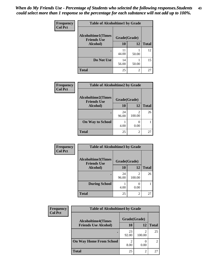| Frequency      | <b>Table of Alcoholtime1 by Grade</b>           |              |           |              |
|----------------|-------------------------------------------------|--------------|-----------|--------------|
| <b>Col Pct</b> | <b>Alcoholtime1(Times</b><br><b>Friends Use</b> | Grade(Grade) |           |              |
|                | Alcohol)                                        | 10           | <b>12</b> | <b>Total</b> |
|                |                                                 | 11<br>44.00  | 50.00     | 12           |
|                | Do Not Use                                      | 14<br>56.00  | 50.00     | 15           |
|                | <b>Total</b>                                    | 25           | 2         | 27           |

| Frequency      |                                                 | <b>Table of Alcoholtime2 by Grade</b> |             |              |  |
|----------------|-------------------------------------------------|---------------------------------------|-------------|--------------|--|
| <b>Col Pct</b> | <b>Alcoholtime2(Times</b><br><b>Friends Use</b> | Grade(Grade)                          |             |              |  |
|                | Alcohol)                                        | 10                                    | 12          | <b>Total</b> |  |
|                |                                                 | 24<br>96.00                           | 2<br>100.00 | 26           |  |
|                | <b>On Way to School</b>                         | 4.00                                  | 0.00        |              |  |
|                | <b>Total</b>                                    | 25                                    | 2           | 27           |  |

| Frequency<br><b>Col Pct</b> | <b>Table of Alcoholtime3 by Grade</b>           |              |                |              |  |
|-----------------------------|-------------------------------------------------|--------------|----------------|--------------|--|
|                             | <b>Alcoholtime3(Times</b><br><b>Friends Use</b> | Grade(Grade) |                |              |  |
|                             | Alcohol)                                        | 10           | 12             | <b>Total</b> |  |
|                             |                                                 | 24<br>96.00  | 2<br>100.00    | 26           |  |
|                             | <b>During School</b>                            | 4.00         | 0.00           |              |  |
|                             | <b>Total</b>                                    | 25           | $\overline{c}$ | 27           |  |

| <b>Frequency</b> | <b>Table of Alcoholtime4 by Grade</b> |              |        |              |  |
|------------------|---------------------------------------|--------------|--------|--------------|--|
| <b>Col Pct</b>   | <b>Alcoholtime4(Times</b>             | Grade(Grade) |        |              |  |
|                  | <b>Friends Use Alcohol)</b>           | 10           | 12     | <b>Total</b> |  |
|                  | ٠                                     | 23<br>92.00  | 100.00 | 25           |  |
|                  | <b>On Way Home From School</b>        | 2<br>8.00    | 0.00   | 2            |  |
|                  | <b>Total</b>                          | 25           | 2      | 27           |  |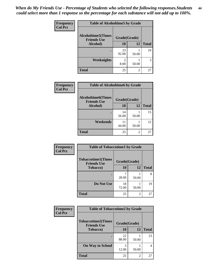*When do My Friends Use - Percentage of Students who selected the following responses.Students could select more than 1 response so the percentage for each substance will not add up to 100%.* **44**

| Frequency      | <b>Table of Alcoholtime5 by Grade</b>           |              |           |              |
|----------------|-------------------------------------------------|--------------|-----------|--------------|
| <b>Col Pct</b> | <b>Alcoholtime5(Times</b><br><b>Friends Use</b> | Grade(Grade) |           |              |
|                | Alcohol)                                        | 10           | <b>12</b> | <b>Total</b> |
|                |                                                 | 23<br>92.00  | 50.00     | 24           |
|                | <b>Weeknights</b>                               | 8.00         | 50.00     | 3            |
|                | <b>Total</b>                                    | 25           | 2         | 27           |

| <b>Frequency</b> | <b>Table of Alcoholtime6 by Grade</b>           |              |                |              |
|------------------|-------------------------------------------------|--------------|----------------|--------------|
| <b>Col Pct</b>   | <b>Alcoholtime6(Times</b><br><b>Friends Use</b> | Grade(Grade) |                |              |
|                  | Alcohol)                                        | 10           | 12             | <b>Total</b> |
|                  |                                                 | 14<br>56.00  | 50.00          | 15           |
|                  | Weekends                                        | 11<br>44.00  | 50.00          | 12           |
|                  | <b>Total</b>                                    | 25           | $\mathfrak{D}$ | 27           |

| Frequency      | <b>Table of Tobaccotime1 by Grade</b>           |              |                |              |
|----------------|-------------------------------------------------|--------------|----------------|--------------|
| <b>Col Pct</b> | <b>Tobaccotime1(Times</b><br><b>Friends Use</b> | Grade(Grade) |                |              |
|                | <b>Tobacco</b> )                                | 10           | 12             | <b>Total</b> |
|                | ٠                                               | 28.00        | 50.00          | 8            |
|                | Do Not Use                                      | 18<br>72.00  | 50.00          | 19           |
|                | <b>Total</b>                                    | 25           | $\overline{2}$ | 27           |

| <b>Frequency</b> | <b>Table of Tobaccotime2 by Grade</b>           |              |                |              |
|------------------|-------------------------------------------------|--------------|----------------|--------------|
| <b>Col Pct</b>   | <b>Tobaccotime2(Times</b><br><b>Friends Use</b> | Grade(Grade) |                |              |
|                  | <b>Tobacco</b> )                                | 10           | 12             | <b>Total</b> |
|                  |                                                 | 22<br>88.00  | 50.00          | 23           |
|                  | <b>On Way to School</b>                         | 3<br>12.00   | 50.00          | 4            |
|                  | <b>Total</b>                                    | 25           | $\overline{2}$ | 27           |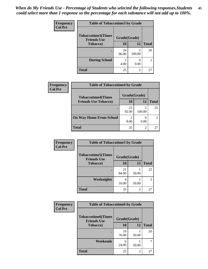| <b>Frequency</b> | <b>Table of Tobaccotime3 by Grade</b>           |              |                          |              |
|------------------|-------------------------------------------------|--------------|--------------------------|--------------|
| <b>Col Pct</b>   | <b>Tobaccotime3(Times</b><br><b>Friends Use</b> | Grade(Grade) |                          |              |
|                  | <b>Tobacco</b> )                                | 10           | 12                       | <b>Total</b> |
|                  |                                                 | 24<br>96.00  | $\mathfrak{D}$<br>100.00 | 26           |
|                  | <b>During School</b>                            | 4.00         | 0.00                     |              |
|                  | <b>Total</b>                                    | 25           | $\overline{2}$           | 27           |

| <b>Frequency</b> | <b>Table of Tobaccotime4 by Grade</b> |              |               |                             |
|------------------|---------------------------------------|--------------|---------------|-----------------------------|
| <b>Col Pct</b>   | <b>Tobaccotime4(Times</b>             | Grade(Grade) |               |                             |
|                  | <b>Friends Use Tobacco)</b>           | 10           | 12            | <b>Total</b>                |
|                  |                                       | 23<br>92.00  | 100.00        | 25                          |
|                  | <b>On Way Home From School</b>        | 8.00         | 0.00          | $\mathcal{D}_{\mathcal{L}}$ |
|                  | <b>Total</b>                          | 25           | $\mathcal{D}$ | 27                          |

| <b>Frequency</b> | <b>Table of Tobaccotime5 by Grade</b>           |              |                |              |
|------------------|-------------------------------------------------|--------------|----------------|--------------|
| <b>Col Pct</b>   | <b>Tobaccotime5(Times</b><br><b>Friends Use</b> | Grade(Grade) |                |              |
|                  | <b>Tobacco</b> )                                | 10           | 12             | <b>Total</b> |
|                  |                                                 | 21<br>84.00  | 50.00          | 22           |
|                  | Weeknights                                      | 4<br>16.00   | 50.00          | 5            |
|                  | <b>Total</b>                                    | 25           | $\overline{2}$ | 27           |

| Frequency<br><b>Col Pct</b> | <b>Table of Tobaccotime6 by Grade</b>           |              |       |              |
|-----------------------------|-------------------------------------------------|--------------|-------|--------------|
|                             | <b>Tobaccotime6(Times</b><br><b>Friends Use</b> | Grade(Grade) |       |              |
|                             | <b>Tobacco</b> )                                | 10           | 12    | <b>Total</b> |
|                             |                                                 | 19<br>76.00  | 50.00 | 20           |
|                             | Weekends                                        | 6<br>24.00   | 50.00 | 7            |
|                             | <b>Total</b>                                    | 25           | 2     | 27           |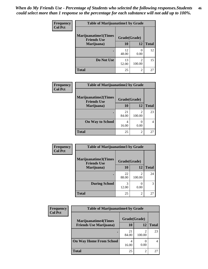| Frequency      | <b>Table of Marijuanatime1 by Grade</b>           |              |                          |              |  |
|----------------|---------------------------------------------------|--------------|--------------------------|--------------|--|
| <b>Col Pct</b> | <b>Marijuanatime1(Times</b><br><b>Friends Use</b> | Grade(Grade) |                          |              |  |
|                | Marijuana)                                        | 10           | 12                       | <b>Total</b> |  |
|                |                                                   | 12<br>48.00  | 0<br>0.00                | 12           |  |
|                | Do Not Use                                        | 13<br>52.00  | $\mathfrak{D}$<br>100.00 | 15           |  |
|                | <b>Total</b>                                      | 25           | 2                        | 27           |  |

| Frequency      | <b>Table of Marijuanatime2 by Grade</b>           |              |                          |              |  |
|----------------|---------------------------------------------------|--------------|--------------------------|--------------|--|
| <b>Col Pct</b> | <b>Marijuanatime2(Times</b><br><b>Friends Use</b> | Grade(Grade) |                          |              |  |
|                | Marijuana)                                        | 10           | 12                       | <b>Total</b> |  |
|                |                                                   | 21<br>84.00  | $\mathfrak{D}$<br>100.00 | 23           |  |
|                | <b>On Way to School</b>                           | 4<br>16.00   | 0.00                     | 4            |  |
|                | <b>Total</b>                                      | 25           | $\mathfrak{D}$           | 27           |  |

| <b>Frequency</b> | <b>Table of Marijuanatime3 by Grade</b>    |              |                          |              |
|------------------|--------------------------------------------|--------------|--------------------------|--------------|
| <b>Col Pct</b>   | Marijuanatime3(Times<br><b>Friends Use</b> | Grade(Grade) |                          |              |
|                  | Marijuana)                                 | 10           | 12                       | <b>Total</b> |
|                  |                                            | 22<br>88.00  | $\mathfrak{D}$<br>100.00 | 24           |
|                  | <b>During School</b>                       | 3<br>12.00   | 0.00                     | 3            |
|                  | <b>Total</b>                               | 25           | $\overline{c}$           | 27           |

| <b>Frequency</b> | <b>Table of Marijuanatime4 by Grade</b> |              |        |              |
|------------------|-----------------------------------------|--------------|--------|--------------|
| <b>Col Pct</b>   | <b>Marijuanatime4</b> (Times            | Grade(Grade) |        |              |
|                  | <b>Friends Use Marijuana</b> )          | 10           | 12     | <b>Total</b> |
|                  |                                         | 21<br>84.00  | 100.00 | 23           |
|                  | <b>On Way Home From School</b>          | 4<br>16.00   | 0.00   |              |
|                  | <b>Total</b>                            | 25           | ∍      | 27           |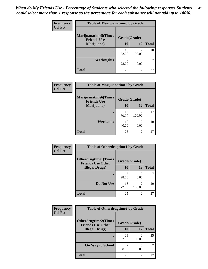| Frequency<br><b>Col Pct</b> | <b>Table of Marijuanatime5 by Grade</b>            |              |                |              |
|-----------------------------|----------------------------------------------------|--------------|----------------|--------------|
|                             | <b>Marijuanatime5</b> (Times<br><b>Friends Use</b> | Grade(Grade) |                |              |
|                             | Marijuana)                                         | 10           | 12             | <b>Total</b> |
|                             |                                                    | 18<br>72.00  | 2<br>100.00    | 20           |
|                             | <b>Weeknights</b>                                  | 28.00        | 0.00           |              |
|                             | <b>Total</b>                                       | 25           | $\overline{c}$ | 27           |

| Frequency      | <b>Table of Marijuanatime6 by Grade</b>            |              |                          |              |
|----------------|----------------------------------------------------|--------------|--------------------------|--------------|
| <b>Col Pct</b> | <b>Marijuanatime6</b> (Times<br><b>Friends Use</b> | Grade(Grade) |                          |              |
|                | Marijuana)                                         | 10           | 12                       | <b>Total</b> |
|                |                                                    | 15<br>60.00  | $\mathfrak{D}$<br>100.00 | 17           |
|                | Weekends                                           | 10<br>40.00  | 0.00                     | 10           |
|                | <b>Total</b>                                       | 25           | 2                        | 27           |

| Frequency      | <b>Table of Otherdrugtime1 by Grade</b>                 |              |                          |              |
|----------------|---------------------------------------------------------|--------------|--------------------------|--------------|
| <b>Col Pct</b> | <b>Otherdrugtime1(Times</b><br><b>Friends Use Other</b> | Grade(Grade) |                          |              |
|                | <b>Illegal Drugs</b> )                                  | 10           | 12                       | <b>Total</b> |
|                |                                                         | 28.00        | 0.00                     |              |
|                | Do Not Use                                              | 18<br>72.00  | $\mathfrak{D}$<br>100.00 | 20           |
|                | Total                                                   | 25           | $\overline{c}$           | 27           |

| <b>Frequency</b> | <b>Table of Otherdrugtime2 by Grade</b>                 |              |                |              |  |
|------------------|---------------------------------------------------------|--------------|----------------|--------------|--|
| <b>Col Pct</b>   | <b>Otherdrugtime2(Times</b><br><b>Friends Use Other</b> | Grade(Grade) |                |              |  |
|                  | <b>Illegal Drugs</b> )                                  | 10           | 12             | <b>Total</b> |  |
|                  |                                                         | 23<br>92.00  | 2<br>100.00    | 25           |  |
|                  | <b>On Way to School</b>                                 | 2<br>8.00    | 0.00           | 2            |  |
|                  | <b>Total</b>                                            | 25           | $\overline{2}$ | 27           |  |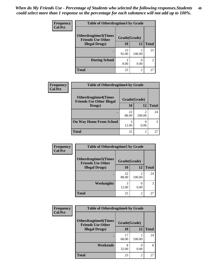| <b>Frequency</b> | <b>Table of Otherdrugtime3 by Grade</b>          |                        |                           |                |
|------------------|--------------------------------------------------|------------------------|---------------------------|----------------|
| <b>Col Pct</b>   | Otherdrugtime3(Times<br><b>Friends Use Other</b> | Grade(Grade)           |                           |                |
|                  | <b>Illegal Drugs</b> )                           | 10                     | 12                        | <b>Total</b>   |
|                  |                                                  | 23<br>92.00            | $\mathfrak{D}$<br>100.00  | 25             |
|                  | <b>During School</b>                             | $\mathfrak{D}$<br>8.00 | $\mathbf{\Omega}$<br>0.00 | $\overline{c}$ |
|                  | <b>Total</b>                                     | 25                     | $\mathfrak{D}$            | 27             |

| Frequency      | <b>Table of Otherdrugtime4 by Grade</b>                         |              |        |              |
|----------------|-----------------------------------------------------------------|--------------|--------|--------------|
| <b>Col Pct</b> | <b>Otherdrugtime4(Times</b><br><b>Friends Use Other Illegal</b> | Grade(Grade) |        |              |
|                | Drugs)                                                          | 10           | 12     | <b>Total</b> |
|                | ٠                                                               | 22<br>88.00  | 100.00 | 24           |
|                | <b>On Way Home From School</b>                                  | 3<br>12.00   | 0.00   | 3            |
|                | <b>Total</b>                                                    | 25           | 2      | 27           |

| <b>Frequency</b> | <b>Table of Otherdrugtime5 by Grade</b>                  |              |                          |              |
|------------------|----------------------------------------------------------|--------------|--------------------------|--------------|
| <b>Col Pct</b>   | <b>Otherdrugtime5</b> (Times<br><b>Friends Use Other</b> | Grade(Grade) |                          |              |
|                  | <b>Illegal Drugs</b> )                                   | 10           | 12                       | <b>Total</b> |
|                  |                                                          | 22<br>88.00  | $\mathfrak{D}$<br>100.00 | 24           |
|                  | Weeknights                                               | 3<br>12.00   | 0.00                     | 3            |
|                  | Total                                                    | 25           | $\overline{c}$           | 27           |

| <b>Frequency</b> | <b>Table of Otherdrugtime6 by Grade</b>                  |              |                |              |
|------------------|----------------------------------------------------------|--------------|----------------|--------------|
| <b>Col Pct</b>   | <b>Otherdrugtime6</b> (Times<br><b>Friends Use Other</b> | Grade(Grade) |                |              |
|                  | <b>Illegal Drugs</b> )                                   | 10           | 12             | <b>Total</b> |
|                  |                                                          | 17<br>68.00  | 2<br>100.00    | 19           |
|                  | Weekends                                                 | 8<br>32.00   | 0.00           | 8            |
|                  | <b>Total</b>                                             | 25           | $\overline{2}$ | 27           |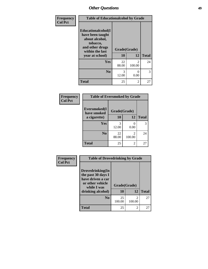| Frequency      | <b>Table of Educationalcohol by Grade</b>                                                                  |              |                                       |              |  |  |
|----------------|------------------------------------------------------------------------------------------------------------|--------------|---------------------------------------|--------------|--|--|
| <b>Col Pct</b> | Educationalcohol(I<br>have been taught<br>about alcohol,<br>tobacco,<br>and other drugs<br>within the last | Grade(Grade) |                                       |              |  |  |
|                | year at school)                                                                                            | 10           | 12                                    | <b>Total</b> |  |  |
|                | Yes                                                                                                        | 22<br>88.00  | $\mathcal{D}_{\mathcal{L}}$<br>100.00 | 24           |  |  |
|                | N <sub>0</sub>                                                                                             | 3<br>12.00   | $\mathbf{\Omega}$<br>0.00             | 3            |  |  |
|                | <b>Total</b>                                                                                               | 25           | $\mathfrak{D}$                        | 27           |  |  |

| Frequency      | <b>Table of Eversmoked by Grade</b>         |             |             |              |  |  |  |
|----------------|---------------------------------------------|-------------|-------------|--------------|--|--|--|
| <b>Col Pct</b> | Eversmoked(I<br>Grade(Grade)<br>have smoked |             |             |              |  |  |  |
|                | a cigarette)                                | <b>10</b>   | 12          | <b>Total</b> |  |  |  |
|                | Yes                                         | 3<br>12.00  | 0.00        | 3            |  |  |  |
|                | N <sub>0</sub>                              | 22<br>88.00 | 2<br>100.00 | 24           |  |  |  |
|                | <b>Total</b>                                | 25          | 2           | 27           |  |  |  |

| Frequency      | <b>Table of Drovedrinking by Grade</b>                                                                              |                    |             |              |
|----------------|---------------------------------------------------------------------------------------------------------------------|--------------------|-------------|--------------|
| <b>Col Pct</b> | Drovedrinking(In<br>the past 30 days I<br>have driven a car<br>or other vehicle<br>while I was<br>drinking alcohol) | Grade(Grade)<br>10 | 12          | <b>Total</b> |
|                | N <sub>0</sub>                                                                                                      | 25<br>100.00       | 2<br>100.00 | 27           |
|                | <b>Total</b>                                                                                                        | 25                 | 2           | 27           |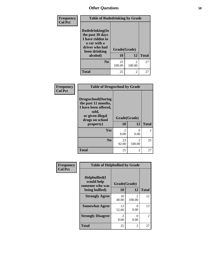| Frequency      | <b>Table of Rodedrinking by Grade</b>                                                                      |              |                          |              |
|----------------|------------------------------------------------------------------------------------------------------------|--------------|--------------------------|--------------|
| <b>Col Pct</b> | Rodedrinking(In<br>the past 30 days<br>I have ridden in<br>a car with a<br>driver who had<br>been drinking | Grade(Grade) |                          |              |
|                | alcohol)                                                                                                   | 10           | 12                       | <b>Total</b> |
|                | N <sub>0</sub>                                                                                             | 25<br>100.00 | $\mathfrak{D}$<br>100.00 | 27           |
|                | <b>Total</b>                                                                                               | 25           | $\overline{2}$           | 27           |

| Frequency      | <b>Table of Drugsschool by Grade</b>                                                                                                   |                        |                          |              |  |  |  |
|----------------|----------------------------------------------------------------------------------------------------------------------------------------|------------------------|--------------------------|--------------|--|--|--|
| <b>Col Pct</b> | <b>Drugsschool</b> (During<br>the past 12 months,<br>I have been offered,<br>sold,<br>or given illegal<br>drugs on school<br>property) | Grade(Grade)<br>10     | 12                       | <b>Total</b> |  |  |  |
|                |                                                                                                                                        |                        |                          |              |  |  |  |
|                | Yes                                                                                                                                    | $\mathfrak{D}$<br>8.00 | 0<br>0.00                | 2            |  |  |  |
|                | N <sub>0</sub>                                                                                                                         | 23<br>92.00            | $\mathfrak{D}$<br>100.00 | 25           |  |  |  |
|                | <b>Total</b>                                                                                                                           | 25                     | 2                        | 27           |  |  |  |

| Frequency      | <b>Table of Helpbullied by Grade</b>                                   |                        |             |              |
|----------------|------------------------------------------------------------------------|------------------------|-------------|--------------|
| <b>Col Pct</b> | $Helpb$ ullied $(I$<br>would help<br>someone who was<br>being bullied) | Grade(Grade)<br>10     | 12          | <b>Total</b> |
|                | <b>Strongly Agree</b>                                                  | 10<br>40.00            | 2<br>100.00 | 12           |
|                | <b>Somewhat Agree</b>                                                  | 13<br>52.00            | 0<br>0.00   | 13           |
|                | <b>Strongly Disagree</b>                                               | $\mathfrak{D}$<br>8.00 | 0<br>0.00   | 2            |
|                | <b>Total</b>                                                           | 25                     | 2           | 27           |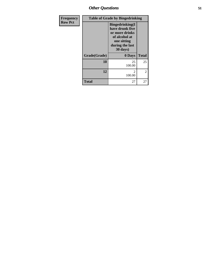| <b>Frequency</b> | <b>Table of Grade by Bingedrinking</b> |                                                                                                                             |                |  |  |
|------------------|----------------------------------------|-----------------------------------------------------------------------------------------------------------------------------|----------------|--|--|
| <b>Row Pct</b>   |                                        | <b>Bingedrinking</b> (I<br>have drunk five<br>or more drinks<br>of alcohol at<br>one sitting<br>during the last<br>30 days) |                |  |  |
|                  | Grade(Grade)                           | 0 Days                                                                                                                      | <b>Total</b>   |  |  |
|                  | 10                                     | 25<br>100.00                                                                                                                | 25             |  |  |
|                  | 12                                     | $\mathfrak{D}$<br>100.00                                                                                                    | $\overline{2}$ |  |  |
|                  | <b>Total</b>                           | 27                                                                                                                          | 27             |  |  |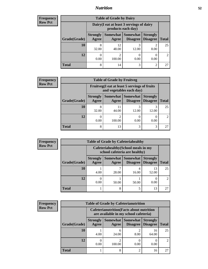## *Nutrition* **52**

| <b>Frequency</b> | <b>Table of Grade by Dairy</b> |                                                                 |                                       |                                    |                                    |              |  |
|------------------|--------------------------------|-----------------------------------------------------------------|---------------------------------------|------------------------------------|------------------------------------|--------------|--|
| <b>Row Pct</b>   |                                | Dairy (I eat at least 3 servings of dairy<br>products each day) |                                       |                                    |                                    |              |  |
|                  | Grade(Grade)                   | <b>Strongly</b><br>Agree                                        | Somewhat  <br>Agree                   | <b>Somewhat</b><br><b>Disagree</b> | <b>Strongly</b><br><b>Disagree</b> | <b>Total</b> |  |
|                  | 10                             | 8<br>32.00                                                      | 12<br>48.00                           | 12.00                              | ◠<br>8.00                          | 25           |  |
|                  | 12                             | 0.00                                                            | $\mathcal{D}_{\mathcal{A}}$<br>100.00 | 0.00                               | 0.00                               | 2            |  |
|                  | <b>Total</b>                   | 8                                                               | 14                                    | 3                                  | 2                                  | 27           |  |

| Frequency      | <b>Table of Grade by Fruitveg</b> |                                                                          |             |                                   |                                    |               |  |  |
|----------------|-----------------------------------|--------------------------------------------------------------------------|-------------|-----------------------------------|------------------------------------|---------------|--|--|
| <b>Row Pct</b> |                                   | Fruitveg(I eat at least 5 servings of fruits<br>and vegetables each day) |             |                                   |                                    |               |  |  |
|                | Grade(Grade)                      | <b>Strongly</b><br>Agree                                                 | Agree       | Somewhat   Somewhat  <br>Disagree | <b>Strongly</b><br><b>Disagree</b> | <b>Total</b>  |  |  |
|                | 10                                | 32.00                                                                    | 11<br>44.00 | 12.00                             | 12.00                              | 25            |  |  |
|                | 12                                | 0.00                                                                     | ◠<br>100.00 | 0.00                              | 0.00                               | $\mathcal{L}$ |  |  |
|                | <b>Total</b>                      | 8                                                                        | 13          | 3                                 | 3                                  | 27            |  |  |

| <b>Frequency</b> | <b>Table of Grade by Cafeteriahealthy</b> |                                                                       |                     |                                    |                                    |               |
|------------------|-------------------------------------------|-----------------------------------------------------------------------|---------------------|------------------------------------|------------------------------------|---------------|
| <b>Row Pct</b>   |                                           | Cafeteriahealthy (School meals in my<br>school cafeteria are healthy) |                     |                                    |                                    |               |
|                  | Grade(Grade)                              | <b>Strongly</b><br>Agree                                              | Somewhat  <br>Agree | <b>Somewhat</b><br><b>Disagree</b> | <b>Strongly</b><br><b>Disagree</b> | <b>Total</b>  |
|                  | 10                                        | 4.00                                                                  | ℸ<br>28.00          | 16.00                              | 13<br>52.00                        | 25            |
|                  | 12                                        | 0.00                                                                  | 50.00               | 50.00                              | 0.00                               | $\mathcal{D}$ |
|                  | <b>Total</b>                              |                                                                       | 8                   |                                    | 13                                 | 27            |

| <b>Frequency</b> | <b>Table of Grade by Cafeterianutrition</b> |                          |                                                                                           |                                        |                                    |                             |  |
|------------------|---------------------------------------------|--------------------------|-------------------------------------------------------------------------------------------|----------------------------------------|------------------------------------|-----------------------------|--|
| <b>Row Pct</b>   |                                             |                          | <b>Cafeterianutrition</b> (Facts about nutrition<br>are available in my school cafeteria) |                                        |                                    |                             |  |
|                  | Grade(Grade)                                | <b>Strongly</b><br>Agree | Agree                                                                                     | Somewhat   Somewhat<br><b>Disagree</b> | <b>Strongly</b><br><b>Disagree</b> | <b>Total</b>                |  |
|                  | 10                                          | 4.00                     | 6<br>24.00                                                                                | 8.00                                   | 16<br>64.00                        | 25                          |  |
|                  | 12                                          | 0.00                     | 2<br>100.00                                                                               | 0.00                                   | 0.00                               | $\mathcal{D}_{\mathcal{L}}$ |  |
|                  | <b>Total</b>                                |                          | 8                                                                                         | $\mathfrak{D}$                         | 16                                 | 27                          |  |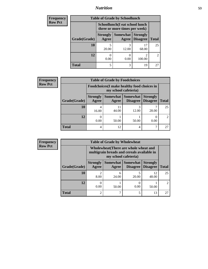## *Nutrition* **53**

| <b>Frequency</b> | <b>Table of Grade by Schoollunch</b> |                                                                 |                     |                                    |                |  |
|------------------|--------------------------------------|-----------------------------------------------------------------|---------------------|------------------------------------|----------------|--|
| <b>Row Pct</b>   |                                      | Schoollunch(I eat school lunch<br>three or more times per week) |                     |                                    |                |  |
|                  | Grade(Grade)                         | <b>Strongly</b><br>Agree                                        | Somewhat  <br>Agree | <b>Strongly</b><br><b>Disagree</b> | <b>Total</b>   |  |
|                  | 10                                   | 20.00                                                           | 3<br>12.00          | 17<br>68.00                        | 25             |  |
|                  | 12                                   | 0.00                                                            | 0.00                | ∍<br>100.00                        | $\mathfrak{D}$ |  |
|                  | <b>Total</b>                         | 5                                                               | 3                   | 19                                 | 27             |  |

| <b>Frequency</b> | <b>Table of Grade by Foodchoices</b> |                                             |             |                                      |                                    |               |
|------------------|--------------------------------------|---------------------------------------------|-------------|--------------------------------------|------------------------------------|---------------|
| <b>Row Pct</b>   |                                      | Foodchoices (I make healthy food choices in |             |                                      |                                    |               |
|                  | Grade(Grade)                         | <b>Strongly</b><br>Agree                    | Agree       | Somewhat Somewhat<br><b>Disagree</b> | <b>Strongly</b><br><b>Disagree</b> | <b>Total</b>  |
|                  | 10                                   | 4<br>16.00                                  | 11<br>44.00 | 3<br>12.00                           | 28.00                              | 25            |
|                  | 12                                   | 0.00                                        | 50.00       | 50.00                                | 0.00                               | $\mathcal{L}$ |
|                  | <b>Total</b>                         | 4                                           | 12          | 4                                    |                                    | 27            |

| <b>Frequency</b> | <b>Table of Grade by Wholewheat</b> |                                                                                                             |            |                                               |                                    |                             |
|------------------|-------------------------------------|-------------------------------------------------------------------------------------------------------------|------------|-----------------------------------------------|------------------------------------|-----------------------------|
| <b>Row Pct</b>   |                                     | Wholewheat (There are whole wheat and<br>multigrain breads and cereals available in<br>my school cafeteria) |            |                                               |                                    |                             |
|                  | Grade(Grade)                        | <b>Strongly</b><br>Agree                                                                                    | Agree      | <b>Somewhat   Somewhat</b><br><b>Disagree</b> | <b>Strongly</b><br><b>Disagree</b> | <b>Total</b>                |
|                  | 10                                  | 8.00                                                                                                        | 6<br>24.00 | 20.00                                         | 12<br>48.00                        | 25                          |
|                  | 12                                  | 0.00                                                                                                        | 50.00      | 0.00                                          | 50.00                              | $\mathcal{D}_{\mathcal{L}}$ |
|                  | <b>Total</b>                        | $\overline{2}$                                                                                              | 7          |                                               | 13                                 | 27                          |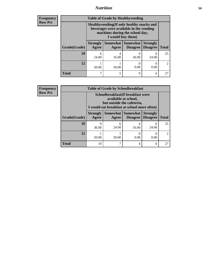## *Nutrition* **54**

**Frequency Row Pct**

| <b>Table of Grade by Healthyvending</b> |                                                                                                                                               |                          |                             |                                    |                             |  |
|-----------------------------------------|-----------------------------------------------------------------------------------------------------------------------------------------------|--------------------------|-----------------------------|------------------------------------|-----------------------------|--|
|                                         | Healthyvending (If only healthy snacks and<br>beverages were available in the vending<br>machines during the school day,<br>I would buy them) |                          |                             |                                    |                             |  |
| Grade(Grade)                            | <b>Strongly</b><br>Agree                                                                                                                      | <b>Somewhat</b><br>Agree | <b>Somewhat</b><br>Disagree | <b>Strongly</b><br><b>Disagree</b> | <b>Total</b>                |  |
| 10                                      | 6<br>24.00                                                                                                                                    | 4<br>16.00               | 9<br>36.00                  | 6<br>24.00                         | 25                          |  |
| 12                                      | 50.00                                                                                                                                         | 50.00                    | 0.00                        | 0<br>0.00                          | $\mathcal{D}_{\mathcal{L}}$ |  |
| <b>Total</b>                            | 7                                                                                                                                             | 5                        | 9                           | 6                                  | 27                          |  |

**Frequency Row Pct**

| <b>Table of Grade by Schoolbreakfast</b> |                                                                                                                                         |            |                               |                                    |              |  |
|------------------------------------------|-----------------------------------------------------------------------------------------------------------------------------------------|------------|-------------------------------|------------------------------------|--------------|--|
|                                          | Schoolbreakfast (If breakfast were<br>available at school,<br>but outside the cafeteria,<br>I would eat breakfast at school more often) |            |                               |                                    |              |  |
| Grade(Grade)                             | <b>Strongly</b><br>Agree                                                                                                                | Agree      | Somewhat Somewhat<br>Disagree | <b>Strongly</b><br><b>Disagree</b> | <b>Total</b> |  |
| 10                                       | 9<br>36.00                                                                                                                              | 6<br>24.00 | 4<br>16.00                    | 6<br>24.00                         | 25           |  |
| 12                                       | 50.00                                                                                                                                   | 50.00      | 0.00                          | 0.00                               |              |  |
| <b>Total</b>                             | 10                                                                                                                                      |            | 4                             | 6                                  | 27           |  |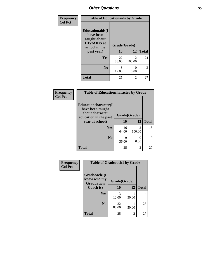| Frequency<br><b>Col Pct</b> | <b>Table of Educationaids by Grade</b>                                                                    |                    |                          |              |  |
|-----------------------------|-----------------------------------------------------------------------------------------------------------|--------------------|--------------------------|--------------|--|
|                             | <b>Educationaids</b> (I<br>have been<br>taught about<br><b>HIV/AIDS</b> at<br>school in the<br>past year) | Grade(Grade)<br>10 | 12                       | <b>Total</b> |  |
|                             | Yes                                                                                                       | 22<br>88.00        | $\mathfrak{D}$<br>100.00 | 24           |  |
|                             | N <sub>0</sub>                                                                                            | 3<br>12.00         | 0<br>0.00                | 3            |  |
|                             | <b>Total</b>                                                                                              | 25                 | 2                        | 27           |  |

| Frequency      | <b>Table of Educationcharacter by Grade</b>                         |              |                          |              |
|----------------|---------------------------------------------------------------------|--------------|--------------------------|--------------|
| <b>Col Pct</b> | <b>Educationcharacter(I)</b><br>have been taught<br>about character | Grade(Grade) |                          |              |
|                | education in the past<br>year at school)                            | 10           | 12                       | <b>Total</b> |
|                | <b>Yes</b>                                                          | 16<br>64.00  | $\mathfrak{D}$<br>100.00 | 18           |
|                | N <sub>0</sub>                                                      | q<br>36.00   | O<br>0.00                | Q            |
|                | <b>Total</b>                                                        | 25           | 2                        | 27           |

| <b>Frequency</b> | <b>Table of Gradcoach1 by Grade</b>              |              |       |              |
|------------------|--------------------------------------------------|--------------|-------|--------------|
| <b>Col Pct</b>   | Gradcoach1(I<br>know who my<br><b>Graduation</b> | Grade(Grade) |       |              |
|                  | Coach is)                                        | 10           | 12    | <b>Total</b> |
|                  | <b>Yes</b>                                       | 3<br>12.00   | 50.00 | 4            |
|                  | N <sub>0</sub>                                   | 22<br>88.00  | 50.00 | 23           |
|                  | <b>Total</b>                                     | 25           | 2     | 27           |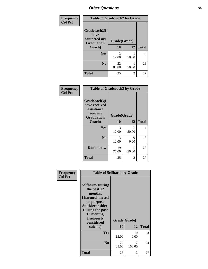| Frequency      | <b>Table of Gradcoach2 by Grade</b> |              |       |              |
|----------------|-------------------------------------|--------------|-------|--------------|
| <b>Col Pct</b> |                                     |              |       |              |
|                | Gradcoach2(I<br>have                |              |       |              |
|                | contacted my<br><b>Graduation</b>   | Grade(Grade) |       |              |
|                | Coach)                              | 10           | 12    | <b>Total</b> |
|                | Yes                                 | 3<br>12.00   | 50.00 | 4            |
|                | N <sub>0</sub>                      | 22<br>88.00  | 50.00 | 23           |
|                | <b>Total</b>                        | 25           | 2     | 27           |

| <b>Frequency</b><br><b>Col Pct</b> | <b>Table of Gradcoach3 by Grade</b>                    |                    |            |              |
|------------------------------------|--------------------------------------------------------|--------------------|------------|--------------|
|                                    | Gradcoach3(I<br>have received<br>assistance<br>from my |                    |            |              |
|                                    | <b>Graduation</b><br>Coach)                            | Grade(Grade)<br>10 | 12         | <b>Total</b> |
|                                    |                                                        |                    |            |              |
|                                    | Yes                                                    | 3<br>12.00         | 1<br>50.00 | 4            |
|                                    | N <sub>0</sub>                                         | 3<br>12.00         | 0<br>0.00  | 3            |
|                                    | Don't know                                             | 19<br>76.00        | 1<br>50.00 | 20           |
|                                    | <b>Total</b>                                           | 25                 | 2          | 27           |

| Frequency      | <b>Table of Selfharm by Grade</b>                                                                                                                                                      |                        |             |              |  |
|----------------|----------------------------------------------------------------------------------------------------------------------------------------------------------------------------------------|------------------------|-------------|--------------|--|
| <b>Col Pct</b> | <b>Selfharm</b> (During<br>the past 12<br>months,<br>I harmed myself<br>on purpose<br><b>Suicideconsider</b><br>During the past<br>12 months,<br>I seriously<br>considered<br>suicide) | Grade(Grade)<br>10     | 12          | <b>Total</b> |  |
|                | Yes                                                                                                                                                                                    | $\mathcal{R}$<br>12.00 | 0<br>0.00   | 3            |  |
|                | N <sub>0</sub>                                                                                                                                                                         | 22<br>88.00            | 2<br>100.00 | 24           |  |
|                | Total                                                                                                                                                                                  | 25                     | 2           | 27           |  |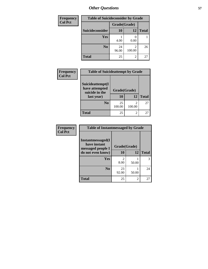| <b>Frequency</b> | <b>Table of Suicideconsider by Grade</b> |              |             |              |  |
|------------------|------------------------------------------|--------------|-------------|--------------|--|
| <b>Col Pct</b>   |                                          | Grade(Grade) |             |              |  |
|                  | Suicideconsider                          | <b>10</b>    | 12          | <b>Total</b> |  |
|                  | <b>Yes</b>                               | 4.00         | 0.00        |              |  |
|                  | N <sub>0</sub>                           | 24<br>96.00  | 2<br>100.00 | 26           |  |
|                  | <b>Total</b>                             | 25           | 2           | 27           |  |

| Frequency<br><b>Col Pct</b> | <b>Table of Suicideattempt by Grade</b>                            |                    |                      |    |  |
|-----------------------------|--------------------------------------------------------------------|--------------------|----------------------|----|--|
|                             | Suicideattempt(I<br>have attempted<br>suicide in the<br>last year) | Grade(Grade)<br>10 | <b>Total</b>         |    |  |
|                             | N <sub>0</sub>                                                     | 25                 | 12<br>$\mathfrak{D}$ | 27 |  |
|                             |                                                                    | 100.00             | 100.00               |    |  |
|                             | <b>Total</b>                                                       | 25                 | 2                    | 27 |  |

| Frequency<br>Col Pct |
|----------------------|
|                      |

| <b>Table of Instantmessaged by Grade</b>                       |             |                |              |  |  |  |  |  |  |
|----------------------------------------------------------------|-------------|----------------|--------------|--|--|--|--|--|--|
| <b>Instantmessaged</b> (I<br>have instant<br>messaged people I |             | Grade(Grade)   |              |  |  |  |  |  |  |
| do not even know)                                              | 10          | 12             | <b>Total</b> |  |  |  |  |  |  |
| Yes                                                            | 2<br>8.00   | 50.00          |              |  |  |  |  |  |  |
| N <sub>0</sub>                                                 |             |                | 24           |  |  |  |  |  |  |
|                                                                | 23<br>92.00 | 50.00          |              |  |  |  |  |  |  |
| Total                                                          | 25          | $\mathfrak{D}$ | 27           |  |  |  |  |  |  |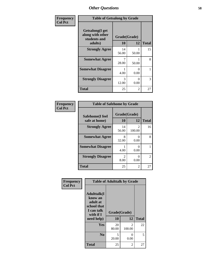| Frequency      | <b>Table of Getsalong by Grade</b>                          |              |           |              |  |  |  |  |  |
|----------------|-------------------------------------------------------------|--------------|-----------|--------------|--|--|--|--|--|
| <b>Col Pct</b> | <b>Getsalong</b> (I get<br>along with other<br>students and | Grade(Grade) |           |              |  |  |  |  |  |
|                | adults)                                                     | 10           | 12        | <b>Total</b> |  |  |  |  |  |
|                | <b>Strongly Agree</b>                                       | 14<br>56.00  | 50.00     | 15           |  |  |  |  |  |
|                | <b>Somewhat Agree</b>                                       | 28.00        | 50.00     | 8            |  |  |  |  |  |
|                | <b>Somewhat Disagree</b>                                    | 4.00         | 0<br>0.00 |              |  |  |  |  |  |
|                | <b>Strongly Disagree</b>                                    | 3<br>12.00   | 0<br>0.00 | 3            |  |  |  |  |  |
|                | <b>Total</b>                                                | 25           | 2         | 27           |  |  |  |  |  |

| Frequency      | <b>Table of Safehome by Grade</b> |                        |                         |                |  |  |  |  |
|----------------|-----------------------------------|------------------------|-------------------------|----------------|--|--|--|--|
| <b>Col Pct</b> | Safehome(I feel<br>safe at home)  | Grade(Grade)<br>10     | <b>Total</b>            |                |  |  |  |  |
|                | <b>Strongly Agree</b>             | 14<br>56.00            | $\mathcal{L}$<br>100.00 | 16             |  |  |  |  |
|                | <b>Somewhat Agree</b>             | 8<br>32.00             | 0<br>0.00               | 8              |  |  |  |  |
|                | <b>Somewhat Disagree</b>          | 4.00                   | $\mathbf{0}$<br>0.00    |                |  |  |  |  |
|                | <b>Strongly Disagree</b>          | $\mathfrak{D}$<br>8.00 | 0<br>0.00               | $\mathfrak{D}$ |  |  |  |  |
|                | Total                             | 25                     | 2                       | 27             |  |  |  |  |

| Frequency      | <b>Table of Adulttalk by Grade</b>                                                                |                    |                          |              |  |  |  |  |
|----------------|---------------------------------------------------------------------------------------------------|--------------------|--------------------------|--------------|--|--|--|--|
| <b>Col Pct</b> | <b>Adulttalk(I</b><br>know an<br>adult at<br>school that<br>I can talk<br>with if I<br>need help) | Grade(Grade)<br>10 | 12                       | <b>Total</b> |  |  |  |  |
|                |                                                                                                   |                    |                          |              |  |  |  |  |
|                | <b>Yes</b>                                                                                        | 20<br>80.00        | $\mathfrak{D}$<br>100.00 | 22           |  |  |  |  |
|                | N <sub>0</sub>                                                                                    | 5<br>20.00         | 0<br>0.00                | 5            |  |  |  |  |
|                | <b>Total</b>                                                                                      | 25                 | 2                        | 27           |  |  |  |  |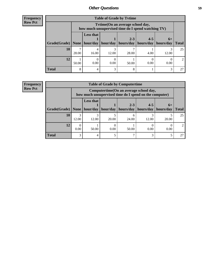| <b>Frequency</b> |
|------------------|
| <b>Row Pct</b>   |

| <b>Table of Grade by Tytime</b> |       |                                                                                        |          |                      |                      |                   |               |  |  |  |
|---------------------------------|-------|----------------------------------------------------------------------------------------|----------|----------------------|----------------------|-------------------|---------------|--|--|--|
|                                 |       | Tvtime(On an average school day,<br>how much unsupervised time do I spend watching TV) |          |                      |                      |                   |               |  |  |  |
| Grade(Grade)   None   hour/day  |       | <b>Less that</b>                                                                       | hour/day | $2 - 3$<br>hours/day | $4 - 5$<br>hours/day | $6+$<br>hours/day | <b>Total</b>  |  |  |  |
| 10                              | 28.00 | 16.00                                                                                  | 12.00    | 28.00                | 4.00                 | 12.00             | 25            |  |  |  |
| 12                              | 50.00 | 0.00                                                                                   | 0.00     | 50.00                | 0.00                 | 0.00              | $\mathcal{L}$ |  |  |  |
| <b>Total</b>                    | 8     | 4                                                                                      | 3        | 8                    |                      | 3                 | 27            |  |  |  |

#### **Frequency Row Pct**

| <b>Table of Grade by Computertime</b> |            |                                                                                                   |          |                      |                      |                   |              |  |  |  |  |
|---------------------------------------|------------|---------------------------------------------------------------------------------------------------|----------|----------------------|----------------------|-------------------|--------------|--|--|--|--|
|                                       |            | Computertime (On an average school day,<br>how much unsupervised time do I spend on the computer) |          |                      |                      |                   |              |  |  |  |  |
| Grade(Grade)                          | None       | <b>Less that</b><br>hour/day                                                                      | hour/day | $2 - 3$<br>hours/day | $4 - 5$<br>hours/day | $6+$<br>hours/day | <b>Total</b> |  |  |  |  |
| 10                                    | 3<br>12.00 | 3<br>12.00                                                                                        | 20.00    | 24.00                | 12.00                | 20.00             | 25           |  |  |  |  |
| 12                                    | 0.00       | 50.00                                                                                             | 0.00     | 50.00                | 0.00                 | 0.00              |              |  |  |  |  |
| <b>Total</b>                          | 3          | 4                                                                                                 |          |                      | 3                    |                   |              |  |  |  |  |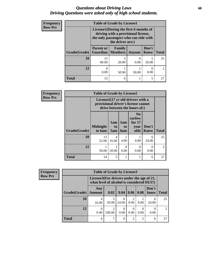### *Questions about Driving Laws* **60** *Driving Questions were asked only of high school students.*

| <b>Frequency</b> | <b>Table of Grade by License1</b> |                                               |                                                                                                                                           |           |                      |                |  |  |  |
|------------------|-----------------------------------|-----------------------------------------------|-------------------------------------------------------------------------------------------------------------------------------------------|-----------|----------------------|----------------|--|--|--|
| <b>Row Pct</b>   |                                   |                                               | License1(During the first 6 months of<br>driving with a provisional license,<br>the only passengers who can ride with<br>the driver are:) |           |                      |                |  |  |  |
|                  | Grade(Grade)                      | <b>Parent or</b><br><b>Guardian</b>   Members | Family                                                                                                                                    | Anyone    | Don't<br><b>Know</b> | <b>Total</b>   |  |  |  |
|                  | 10                                | 15<br>60.00                                   | 20.00                                                                                                                                     | 0<br>0.00 | 20.00                | 25             |  |  |  |
|                  | 12                                | 0<br>0.00                                     | 50.00                                                                                                                                     | 50.00     | 0.00                 | $\mathfrak{D}$ |  |  |  |
|                  | <b>Total</b>                      | 15                                            | 6                                                                                                                                         |           | 5                    | 27             |  |  |  |

| Frequency      | <b>Table of Grade by License2</b> |                           |                  |                  |                                                                                                          |                      |                |  |  |
|----------------|-----------------------------------|---------------------------|------------------|------------------|----------------------------------------------------------------------------------------------------------|----------------------|----------------|--|--|
| <b>Row Pct</b> |                                   |                           |                  |                  | License2(17 yr old drivers with a<br>provisional driver's license cannot<br>drive between the hours of:) |                      |                |  |  |
|                | Grade(Grade)                      | <b>Midnight</b><br>to 6am | 1am<br>to<br>5am | 1am<br>to<br>6am | N <sub>0</sub><br>curfew<br>for $17$<br>year<br>olds                                                     | Don't<br><b>Know</b> | <b>Total</b>   |  |  |
|                | 10                                | 13<br>52.00               | 4<br>16.00       | 4.00             | 4.00                                                                                                     | 6<br>24.00           | 25             |  |  |
|                | 12                                | 50.00                     | 50.00            | $\Omega$<br>0.00 | $\theta$<br>0.00                                                                                         | 0<br>0.00            | $\overline{2}$ |  |  |
|                | <b>Total</b>                      | 14                        | 5                |                  |                                                                                                          | 6                    | 27             |  |  |

| <b>Frequency</b> | <b>Table of Grade by License3</b> |                                                                                        |                          |                  |           |      |               |               |  |
|------------------|-----------------------------------|----------------------------------------------------------------------------------------|--------------------------|------------------|-----------|------|---------------|---------------|--|
| <b>Row Pct</b>   |                                   | License3(For drivers under the age of 21,<br>what level of alcohol is considered DUI?) |                          |                  |           |      |               |               |  |
|                  | Grade(Grade)                      | Any<br>Amount                                                                          | 0.02                     | 0.04             | 0.06      | 0.08 | Don't<br>know | <b>Total</b>  |  |
|                  | 10                                | 4<br>16.00                                                                             | 5<br>20.00               | 6<br>24.00       | 2<br>8.00 | 8.00 | 6<br>24.00    | 25            |  |
|                  | 12                                | 0.00                                                                                   | $\mathfrak{D}$<br>100.00 | $\Omega$<br>0.00 | 0<br>0.00 | 0.00 | 0<br>0.00     | $\mathcal{D}$ |  |
|                  | <b>Total</b>                      | 4                                                                                      | 7                        | 6                | 2         | ∍    | 6             | 27            |  |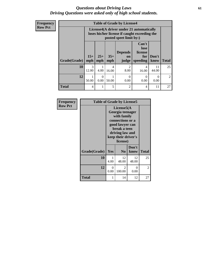### *Questions about Driving Laws* **61** *Driving Questions were asked only of high school students.*

**Frequency Row Pct**

| <b>Table of Grade by License4</b> |                                                                                                                      |                  |              |                                      |                                             |                  |                |  |
|-----------------------------------|----------------------------------------------------------------------------------------------------------------------|------------------|--------------|--------------------------------------|---------------------------------------------|------------------|----------------|--|
|                                   | License4(A driver under 21 automatically<br>loses his/her license if caught exceeding the<br>posted speet limit by:) |                  |              |                                      |                                             |                  |                |  |
| Grade(Grade)                      | $15+$<br>mph                                                                                                         | $25+$<br>mph     | $35+$<br>mph | <b>Depends</b><br><b>on</b><br>judge | Can't<br>lose<br>license<br>for<br>speeding | Don't<br>know    | <b>Total</b>   |  |
| 10                                | $\mathcal{R}$<br>12.00                                                                                               | 4.00             | 4<br>16.00   | $\overline{2}$<br>8.00               | 4<br>16.00                                  | 11<br>44.00      | 25             |  |
| 12                                | 1<br>50.00                                                                                                           | $\Omega$<br>0.00 | 50.00        | $\Omega$<br>0.00                     | 0<br>0.00                                   | $\Omega$<br>0.00 | $\mathfrak{D}$ |  |
| <b>Total</b>                      | 4                                                                                                                    |                  | 5            | $\overline{c}$                       | 4                                           | 11               | 27             |  |

| Frequency      | <b>Table of Grade by License5</b> |                                                                                                                                                            |                |               |              |
|----------------|-----------------------------------|------------------------------------------------------------------------------------------------------------------------------------------------------------|----------------|---------------|--------------|
| <b>Row Pct</b> |                                   | License5(A<br>Georgia teenager<br>with family<br>connections or a<br>good lawyer can<br>break a teen<br>driving law and<br>keep their driver's<br>license) |                |               |              |
|                | Grade(Grade)                      | Yes                                                                                                                                                        | N <sub>0</sub> | Don't<br>know | <b>Total</b> |
|                | 10                                | 1<br>4.00                                                                                                                                                  | 12<br>48.00    | 12<br>48.00   | 25           |
|                | 12                                | $\Omega$<br>0.00                                                                                                                                           | 2<br>100.00    | 0<br>0.00     | 2            |
|                | Total                             | 1                                                                                                                                                          | 14             | 12            | 27           |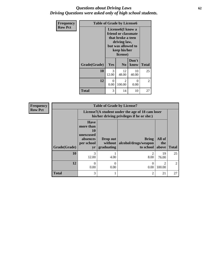### *Questions about Driving Laws* **62** *Driving Questions were asked only of high school students.*

| <b>Frequency</b> | <b>Table of Grade by License6</b> |                                                                                                                                              |                |               |                |
|------------------|-----------------------------------|----------------------------------------------------------------------------------------------------------------------------------------------|----------------|---------------|----------------|
| <b>Row Pct</b>   |                                   | License <sub>6</sub> (I know a<br>friend or classmate<br>that broke a teen<br>driving law,<br>but was allowed to<br>keep his/her<br>license) |                |               |                |
|                  | Grade(Grade)                      | Yes                                                                                                                                          | N <sub>0</sub> | Don't<br>know | <b>Total</b>   |
|                  | 10                                | 3<br>12.00                                                                                                                                   | 12<br>48.00    | 10<br>40.00   | 25             |
|                  | 12                                | $\theta$<br>0.00                                                                                                                             | 2<br>100.00    | 0<br>0.00     | $\overline{2}$ |
|                  | <b>Total</b>                      | 3                                                                                                                                            | 14             | 10            | 27             |

**Frequency Row Pct Table of Grade by License7 Grade(Grade) License7(A student under the age of 18 cam loser his/her driving privileges if he or she:) Total Have more than 10 unexcused absences per school yr Drop out without graduating Bring alcohol/drugs/weapon to school All of the above 10** 3 12.00 1 4.00 2 8.00 19 76.00 25  $\boxed{12}$  0 0.00 0 0.00 0 0.00 2 100.00 2 **Total** 3 3 1 2 21 27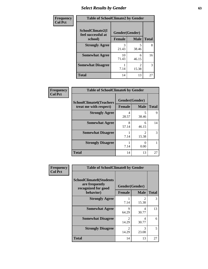# *Select Results by Gender* **63**

| Frequency      | <b>Table of SchoolClimate2 by Gender</b> |                |                                      |              |
|----------------|------------------------------------------|----------------|--------------------------------------|--------------|
| <b>Col Pct</b> | SchoolClimate2(I<br>feel successful at   | Gender(Gender) |                                      |              |
|                | school)                                  | <b>Female</b>  | <b>Male</b>                          | <b>Total</b> |
|                | <b>Strongly Agree</b>                    | 3<br>21.43     | 38.46                                | 8            |
|                | <b>Somewhat Agree</b>                    | 10<br>71.43    | 6<br>46.15                           | 16           |
|                | <b>Somewhat Disagree</b>                 | 7.14           | $\mathcal{D}_{\mathcal{L}}$<br>15.38 | 3            |
|                | <b>Total</b>                             | 14             | 13                                   | 27           |

| <b>Frequency</b><br><b>Col Pct</b> | <b>Table of SchoolClimate6 by Gender</b>                 |                                 |                                      |              |
|------------------------------------|----------------------------------------------------------|---------------------------------|--------------------------------------|--------------|
|                                    | <b>SchoolClimate6(Teachers</b><br>treat me with respect) | Gender(Gender)<br><b>Female</b> | <b>Male</b>                          | <b>Total</b> |
|                                    | <b>Strongly Agree</b>                                    | 4<br>28.57                      | 5<br>38.46                           | 9            |
|                                    | <b>Somewhat Agree</b>                                    | 8<br>57.14                      | 6<br>46.15                           | 14           |
|                                    | <b>Somewhat Disagree</b>                                 | 7.14                            | $\mathcal{D}_{\mathcal{L}}$<br>15.38 | 3            |
|                                    | <b>Strongly Disagree</b>                                 | 7.14                            | 0<br>0.00                            |              |
|                                    | <b>Total</b>                                             | 14                              | 13                                   | 27           |

| <b>Frequency</b> | <b>Table of SchoolClimate8 by Gender</b>                                |                         |             |              |
|------------------|-------------------------------------------------------------------------|-------------------------|-------------|--------------|
| <b>Col Pct</b>   | <b>SchoolClimate8(Students</b><br>are frequently<br>recognized for good | Gender(Gender)          |             |              |
|                  | behavior)                                                               | <b>Female</b>           | <b>Male</b> | <b>Total</b> |
|                  | <b>Strongly Agree</b>                                                   | 7.14                    | っ<br>15.38  | 3            |
|                  | <b>Somewhat Agree</b>                                                   | 9<br>64.29              | 4<br>30.77  | 13           |
|                  | <b>Somewhat Disagree</b>                                                | $\mathfrak{D}$<br>14.29 | 4<br>30.77  | 6            |
|                  | <b>Strongly Disagree</b>                                                | $\mathfrak{D}$<br>14.29 | 3<br>23.08  | 5            |
|                  | <b>Total</b>                                                            | 14                      | 13          | 27           |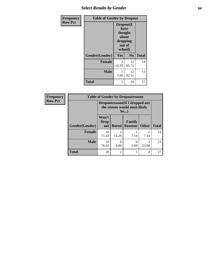# *Select Results by Gender* **64**

| <b>Frequency</b> | <b>Table of Gender by Dropout</b> |                                                                        |                |              |
|------------------|-----------------------------------|------------------------------------------------------------------------|----------------|--------------|
| <b>Row Pct</b>   |                                   | Dropout(I<br>have<br>thought<br>about<br>dropping<br>out of<br>school) |                |              |
|                  | Gender(Gender)                    | Yes                                                                    | N <sub>0</sub> | <b>Total</b> |
|                  | <b>Female</b>                     | 2<br>14.29                                                             | 12<br>85.71    | 14           |
|                  | <b>Male</b>                       | 7.69                                                                   | 12<br>92.31    | 13           |
|                  | <b>Total</b>                      | 3                                                                      | 24             | 27           |

| Frequency      | <b>Table of Gender by Dropoutreason</b> |                                                                 |                |                                 |              |              |
|----------------|-----------------------------------------|-----------------------------------------------------------------|----------------|---------------------------------|--------------|--------------|
| <b>Row Pct</b> |                                         | Dropoutreason (If I dropped out<br>the reason would most likely |                |                                 |              |              |
|                | Gender(Gender)                          | Won't<br><b>Drop</b><br>out                                     | <b>Bored</b>   | <b>Family</b><br><b>Reasons</b> | <b>Other</b> | <b>Total</b> |
|                | <b>Female</b>                           | 10<br>71.43                                                     | 14.29          | 7.14                            | 7.14         | 14           |
|                | <b>Male</b>                             | 10<br>76.92                                                     | 0.00           | $\Omega$<br>0.00                | 3<br>23.08   | 13           |
|                | <b>Total</b>                            | 20                                                              | $\mathfrak{D}$ |                                 | 4            | 27           |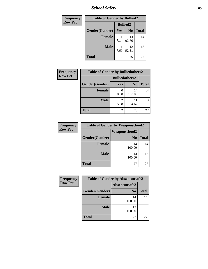*School Safety* **65**

| Frequency      | <b>Table of Gender by Bullied2</b> |                 |                |              |
|----------------|------------------------------------|-----------------|----------------|--------------|
| <b>Row Pct</b> |                                    | <b>Bullied2</b> |                |              |
|                | Gender(Gender)                     | Yes             | N <sub>0</sub> | <b>Total</b> |
|                | <b>Female</b>                      | 7.14            | 13<br>92.86    | 14           |
|                | <b>Male</b>                        | 7.69            | 12<br>92.31    | 13           |
|                | <b>Total</b>                       | 2               | 25             | 27           |

| Frequency      | <b>Table of Gender by Bulliedothers2</b> |                       |                |              |
|----------------|------------------------------------------|-----------------------|----------------|--------------|
| <b>Row Pct</b> |                                          | <b>Bulliedothers2</b> |                |              |
|                | Gender(Gender)                           | Yes                   | N <sub>0</sub> | <b>Total</b> |
|                | <b>Female</b>                            | 0.00                  | 14<br>100.00   | 14           |
|                | <b>Male</b>                              | 15.38                 | 11<br>84.62    | 13           |
|                | <b>Total</b>                             | 2                     | 25             | 27           |

| Frequency      |                | <b>Table of Gender by Weaponschool2</b> |       |  |  |
|----------------|----------------|-----------------------------------------|-------|--|--|
| <b>Row Pct</b> |                | <b>Weaponschool2</b>                    |       |  |  |
|                | Gender(Gender) | N <sub>0</sub>                          | Total |  |  |
|                | <b>Female</b>  | 14<br>100.00                            | 14    |  |  |
|                | <b>Male</b>    | 13<br>100.00                            | 13    |  |  |
|                | <b>Total</b>   | 27                                      | 27    |  |  |

| Frequency      | <b>Table of Gender by Absentunsafe2</b> |                |              |  |
|----------------|-----------------------------------------|----------------|--------------|--|
| <b>Row Pct</b> |                                         | Absentunsafe2  |              |  |
|                | Gender(Gender)                          | N <sub>0</sub> | <b>Total</b> |  |
|                | <b>Female</b>                           | 14<br>100.00   | 14           |  |
|                | <b>Male</b>                             | 13<br>100.00   | 13           |  |
|                | <b>Total</b>                            | 27             | 27           |  |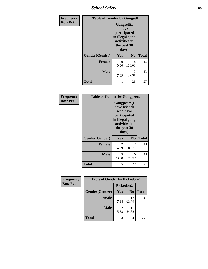*School Safety* **66**

| Frequency      | <b>Table of Gender by Gangself</b> |                                                                                                |                |              |
|----------------|------------------------------------|------------------------------------------------------------------------------------------------|----------------|--------------|
| <b>Row Pct</b> |                                    | Gangself(I<br>have<br>participated<br>in illegal gang<br>activities in<br>the past 30<br>days) |                |              |
|                | Gender(Gender)                     | Yes                                                                                            | N <sub>0</sub> | <b>Total</b> |
|                | <b>Female</b>                      | 0<br>0.00                                                                                      | 14<br>100.00   | 14           |
|                | <b>Male</b>                        | 1<br>7.69                                                                                      | 12<br>92.31    | 13           |
|                | <b>Total</b>                       |                                                                                                | 26             | 27           |

| Frequency      | <b>Table of Gender by Gangpeers</b> |                                                                                                                             |                |              |
|----------------|-------------------------------------|-----------------------------------------------------------------------------------------------------------------------------|----------------|--------------|
| <b>Row Pct</b> |                                     | <b>Gangpeers</b> (I<br>have friends<br>who have<br>participated<br>in illegal gang<br>activities in<br>the past 30<br>days) |                |              |
|                | Gender(Gender)                      | Yes                                                                                                                         | N <sub>0</sub> | <b>Total</b> |
|                | <b>Female</b>                       | 2<br>14.29                                                                                                                  | 12<br>85.71    | 14           |
|                | <b>Male</b>                         | 3<br>23.08                                                                                                                  | 10<br>76.92    | 13           |
|                | <b>Total</b>                        | 5                                                                                                                           | 22             | 27           |

| <b>Frequency</b> | <b>Table of Gender by Pickedon2</b> |       |                |              |
|------------------|-------------------------------------|-------|----------------|--------------|
| <b>Row Pct</b>   |                                     |       | Pickedon2      |              |
|                  | Gender(Gender)                      | Yes   | N <sub>0</sub> | <b>Total</b> |
|                  | <b>Female</b>                       | 7.14  | 13<br>92.86    | 14           |
|                  | <b>Male</b>                         | 15.38 | 11<br>84.62    | 13           |
|                  | <b>Total</b>                        | 3     | 24             | 27           |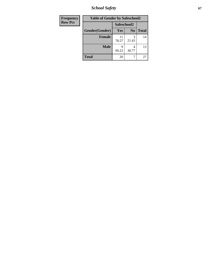*School Safety* **67**

| <b>Frequency</b> | <b>Table of Gender by Safeschool2</b> |             |                |              |  |
|------------------|---------------------------------------|-------------|----------------|--------------|--|
| <b>Row Pct</b>   |                                       | Safeschool2 |                |              |  |
|                  | Gender(Gender)                        | Yes         | N <sub>0</sub> | <b>Total</b> |  |
|                  | <b>Female</b>                         | 11<br>78.57 | 3<br>21.43     | 14           |  |
|                  | <b>Male</b>                           | Q<br>69.23  | 4<br>30.77     | 13           |  |
|                  | <b>Total</b>                          | 20          |                | 27           |  |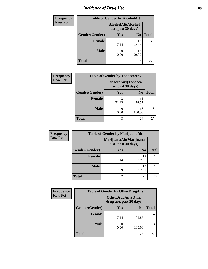# *Incidence of Drug Use* 68

| <b>Frequency</b> | <b>Table of Gender by AlcoholAlt</b> |                                          |                |              |  |
|------------------|--------------------------------------|------------------------------------------|----------------|--------------|--|
| <b>Row Pct</b>   |                                      | AlcoholAlt(Alcohol<br>use, past 30 days) |                |              |  |
|                  | Gender(Gender)                       | Yes                                      | N <sub>0</sub> | <b>Total</b> |  |
|                  | <b>Female</b>                        | 7.14                                     | 13<br>92.86    | 14           |  |
|                  | <b>Male</b>                          | 0.00                                     | 13<br>100.00   | 13           |  |
|                  | <b>Total</b>                         |                                          | 26             | 27           |  |

| <b>Frequency</b> | <b>Table of Gender by TobaccoAny</b> |            |                                          |              |
|------------------|--------------------------------------|------------|------------------------------------------|--------------|
| <b>Row Pct</b>   |                                      |            | TobaccoAny(Tobacco<br>use, past 30 days) |              |
|                  | Gender(Gender)                       | <b>Yes</b> | N <sub>0</sub>                           | <b>Total</b> |
|                  | <b>Female</b>                        | 3<br>21.43 | 11<br>78.57                              | 14           |
|                  | <b>Male</b>                          | 0.00       | 13<br>100.00                             | 13           |
|                  | <b>Total</b>                         | 3          | 24                                       | 27           |

| <b>Frequency</b> | <b>Table of Gender by MarijuanaAlt</b> |            |                                              |              |  |
|------------------|----------------------------------------|------------|----------------------------------------------|--------------|--|
| <b>Row Pct</b>   |                                        |            | MarijuanaAlt(Marijuana<br>use, past 30 days) |              |  |
|                  | Gender(Gender)                         | <b>Yes</b> | N <sub>0</sub>                               | <b>Total</b> |  |
|                  | Female                                 | 7.14       | 13<br>92.86                                  | 14           |  |
|                  | <b>Male</b>                            | 7.69       | 12<br>92.31                                  | 13           |  |
|                  | <b>Total</b>                           | 2          | 25                                           | 27           |  |

| <b>Frequency</b> | <b>Table of Gender by OtherDrugAny</b> |                                                      |                |              |
|------------------|----------------------------------------|------------------------------------------------------|----------------|--------------|
| <b>Row Pct</b>   |                                        | <b>OtherDrugAny(Other</b><br>drug use, past 30 days) |                |              |
|                  | Gender(Gender)                         | Yes                                                  | N <sub>0</sub> | <b>Total</b> |
|                  | <b>Female</b>                          | 7.14                                                 | 13<br>92.86    | 14           |
|                  | <b>Male</b>                            | 0.00                                                 | 13<br>100.00   | 13           |
|                  | <b>Total</b>                           |                                                      | 26             | 27           |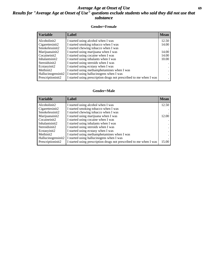### *Average Age at Onset of Use* **69** *Results for "Average Age at Onset of Use" questions exclude students who said they did not use that substance*

#### **Gender=Female**

| Variable           | <b>Label</b>                                                       | <b>Mean</b> |
|--------------------|--------------------------------------------------------------------|-------------|
| Alcoholinit2       | I started using alcohol when I was                                 | 12.50       |
| Cigarettesinit2    | I started smoking tobacco when I was                               | 14.00       |
| Smokelessinit2     | I started chewing tobacco when I was                               |             |
| Marijuanainit2     | I started using marijuana when I was                               | 14.00       |
| Cocaineinit2       | I started using cocaine when I was                                 | 14.00       |
| Inhalantsinit2     | I started using inhalants when I was                               | 10.00       |
| Steroidsinit2      | I started using steroids when I was                                |             |
| Ecstasyinit2       | I started using ecstasy when I was                                 |             |
| Methinit2          | I started using methamphetamines when I was                        |             |
| Hallucinogensinit2 | I started using hallucinogens when I was                           |             |
| Prescription in t2 | I started using prescription drugs not prescribed to me when I was |             |

#### **Gender=Male**

| <b>Variable</b>    | Label                                                              | <b>Mean</b> |
|--------------------|--------------------------------------------------------------------|-------------|
| Alcoholinit2       | I started using alcohol when I was                                 | 12.50       |
| Cigarettesinit2    | I started smoking tobacco when I was                               |             |
| Smokelessinit2     | I started chewing tobacco when I was                               |             |
| Marijuanainit2     | I started using marijuana when I was                               | 12.00       |
| Cocaineinit2       | I started using cocaine when I was                                 |             |
| Inhalantsinit2     | I started using inhalants when I was                               |             |
| Steroidsinit2      | I started using steroids when I was                                |             |
| Ecstasyinit2       | I started using ecstasy when I was                                 |             |
| Methinit2          | I started using methamphetamines when I was                        |             |
| Hallucinogensinit2 | I started using hallucinogens when I was                           |             |
| Prescription in t2 | I started using prescription drugs not prescribed to me when I was | 15.00       |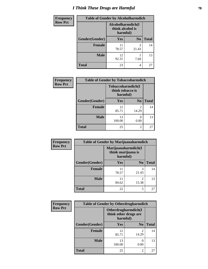# *I Think These Drugs are Harmful* **70**

| Frequency      | <b>Table of Gender by Alcoholharmdich</b> |                                                   |                |              |
|----------------|-------------------------------------------|---------------------------------------------------|----------------|--------------|
| <b>Row Pct</b> |                                           | Alcoholharmdich(I<br>think alcohol is<br>harmful) |                |              |
|                | Gender(Gender)                            | <b>Yes</b>                                        | N <sub>0</sub> | <b>Total</b> |
|                | <b>Female</b>                             | 11<br>78.57                                       | 3<br>21.43     | 14           |
|                | <b>Male</b>                               | 12<br>92.31                                       | 7.69           | 13           |
|                | <b>Total</b>                              | 23                                                | 4              | 27           |

| Frequency      | <b>Table of Gender by Tobaccoharmdich</b> |                                                   |                          |              |
|----------------|-------------------------------------------|---------------------------------------------------|--------------------------|--------------|
| <b>Row Pct</b> |                                           | Tobaccoharmdich(I<br>think tobacco is<br>harmful) |                          |              |
|                | Gender(Gender)                            | Yes                                               | N <sub>0</sub>           | <b>Total</b> |
|                | <b>Female</b>                             | 12<br>85.71                                       | 2<br>14.29               | 14           |
|                | <b>Male</b>                               | 13<br>100.00                                      | $\left( \right)$<br>0.00 | 13           |
|                | <b>Total</b>                              | 25                                                | $\overline{c}$           | 27           |

| Frequency      | <b>Table of Gender by Marijuanaharmdich</b> |                                                       |                         |              |  |
|----------------|---------------------------------------------|-------------------------------------------------------|-------------------------|--------------|--|
| <b>Row Pct</b> |                                             | Marijuanaharmdich(I<br>think marijuana is<br>harmful) |                         |              |  |
|                | Gender(Gender)                              | <b>Yes</b>                                            | N <sub>0</sub>          | <b>Total</b> |  |
|                | <b>Female</b>                               | 78.57                                                 | 3<br>21.43              | 14           |  |
|                | <b>Male</b>                                 | 84.62                                                 | $\mathfrak{D}$<br>15.38 | 13           |  |
|                | <b>Total</b>                                | 22                                                    | 5                       | 27           |  |

| <b>Frequency</b> | <b>Table of Gender by Otherdrugharmdich</b> |                                                          |                         |              |
|------------------|---------------------------------------------|----------------------------------------------------------|-------------------------|--------------|
| <b>Row Pct</b>   |                                             | Otherdrugharmdich(I<br>think other drugs are<br>harmful) |                         |              |
|                  | Gender(Gender)                              | <b>Yes</b>                                               | N <sub>0</sub>          | <b>Total</b> |
|                  | <b>Female</b>                               | 12<br>85.71                                              | $\overline{c}$<br>14.29 | 14           |
|                  | <b>Male</b>                                 | 13<br>100.00                                             | 0<br>0.00               | 13           |
|                  | <b>Total</b>                                | 25                                                       | $\overline{c}$          | 27           |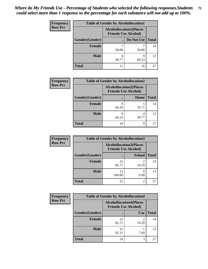| <b>Frequency</b> | <b>Table of Gender by Alcohollocation1</b> |                                                               |            |              |  |
|------------------|--------------------------------------------|---------------------------------------------------------------|------------|--------------|--|
| <b>Row Pct</b>   |                                            | <b>Alcohollocation1(Places</b><br><b>Friends Use Alcohol)</b> |            |              |  |
|                  | <b>Gender</b> (Gender)                     |                                                               | Do Not Use | <b>Total</b> |  |
|                  | <b>Female</b>                              | 50.00                                                         | 50.00      | 14           |  |
|                  | <b>Male</b>                                | 4<br>30.77                                                    | q<br>69.23 | 13           |  |
|                  | Total                                      |                                                               | 16         | 27           |  |

| <b>Frequency</b> |                | <b>Table of Gender by Alcohollocation2</b> |                                                               |              |  |
|------------------|----------------|--------------------------------------------|---------------------------------------------------------------|--------------|--|
| <b>Row Pct</b>   |                |                                            | <b>Alcohollocation2(Places</b><br><b>Friends Use Alcohol)</b> |              |  |
|                  | Gender(Gender) |                                            | Home                                                          | <b>Total</b> |  |
|                  | <b>Female</b>  | 9<br>64.29                                 | 35.71                                                         | 14           |  |
|                  | <b>Male</b>    | Q<br>69.23                                 | 30.77                                                         | 13           |  |
|                  | <b>Total</b>   | 18                                         | q                                                             | 27           |  |

| Frequency      |                | <b>Table of Gender by Alcohollocation3</b>                    |               |              |  |
|----------------|----------------|---------------------------------------------------------------|---------------|--------------|--|
| <b>Row Pct</b> |                | <b>Alcohollocation3(Places</b><br><b>Friends Use Alcohol)</b> |               |              |  |
|                | Gender(Gender) |                                                               | <b>School</b> | <b>Total</b> |  |
|                | <b>Female</b>  | 12<br>85.71                                                   | 14.29         | 14           |  |
|                | <b>Male</b>    | 13<br>100.00                                                  | 0.00          | 13           |  |
|                | <b>Total</b>   | 25                                                            | 2             | 27           |  |

| Frequency      |                | <b>Table of Gender by Alcohollocation4</b>                    |       |              |  |
|----------------|----------------|---------------------------------------------------------------|-------|--------------|--|
| <b>Row Pct</b> |                | <b>Alcohollocation4(Places</b><br><b>Friends Use Alcohol)</b> |       |              |  |
|                | Gender(Gender) |                                                               | Car   | <b>Total</b> |  |
|                | <b>Female</b>  | 12<br>85.71                                                   | 14.29 | 14           |  |
|                | <b>Male</b>    | 12<br>92.31                                                   | 7.69  | 13           |  |
|                | <b>Total</b>   | 24                                                            | 3     | 27           |  |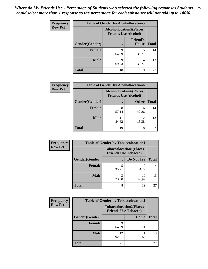| <b>Frequency</b> | <b>Table of Gender by Alcohollocation5</b> |                                                                |                                 |              |
|------------------|--------------------------------------------|----------------------------------------------------------------|---------------------------------|--------------|
| <b>Row Pct</b>   |                                            | <b>Alcohollocation5</b> (Places<br><b>Friends Use Alcohol)</b> |                                 |              |
|                  | Gender(Gender)                             |                                                                | <b>Friend's</b><br><b>House</b> | <b>Total</b> |
|                  | <b>Female</b>                              | Q<br>64.29                                                     | 35.71                           | 14           |
|                  | <b>Male</b>                                | 9<br>69.23                                                     | 4<br>30.77                      | 13           |
|                  | <b>Total</b>                               | 18                                                             | Q                               | 27           |

| <b>Frequency</b> |                | <b>Table of Gender by Alcohollocation6</b>                    |                         |              |
|------------------|----------------|---------------------------------------------------------------|-------------------------|--------------|
| <b>Row Pct</b>   |                | <b>Alcohollocation6(Places</b><br><b>Friends Use Alcohol)</b> |                         |              |
|                  | Gender(Gender) |                                                               | <b>Other</b>            | <b>Total</b> |
|                  | <b>Female</b>  | 8<br>57.14                                                    | 6<br>42.86              | 14           |
|                  | <b>Male</b>    | 84.62                                                         | $\mathfrak{D}$<br>15.38 | 13           |
|                  | <b>Total</b>   | 19                                                            | 8                       | 27           |

| Frequency      | <b>Table of Gender by Tobaccolocation1</b> |                                                               |             |              |  |
|----------------|--------------------------------------------|---------------------------------------------------------------|-------------|--------------|--|
| <b>Row Pct</b> |                                            | <b>Tobaccolocation1(Places</b><br><b>Friends Use Tobacco)</b> |             |              |  |
|                | Gender(Gender)                             |                                                               | Do Not Use  | <b>Total</b> |  |
|                | Female                                     | 35.71                                                         | q<br>64.29  | 14           |  |
|                | <b>Male</b>                                | 23.08                                                         | 10<br>76.92 | 13           |  |
|                | <b>Total</b>                               | 8                                                             | 19          | 27           |  |

| <b>Frequency</b> |                | <b>Table of Gender by Tobaccolocation2</b>                    |       |              |
|------------------|----------------|---------------------------------------------------------------|-------|--------------|
| <b>Row Pct</b>   |                | <b>Tobaccolocation2(Places</b><br><b>Friends Use Tobacco)</b> |       |              |
|                  | Gender(Gender) |                                                               | Home  | <b>Total</b> |
|                  | Female         | 64.29                                                         | 35.71 | 14           |
|                  | <b>Male</b>    | 12<br>92.31                                                   | 7.69  | 13           |
|                  | <b>Total</b>   | 21                                                            | 6     | 27           |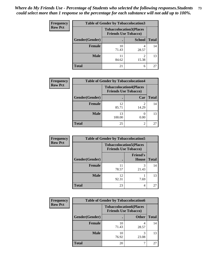| <b>Frequency</b> | <b>Table of Gender by Tobaccolocation3</b> |                                                               |               |              |
|------------------|--------------------------------------------|---------------------------------------------------------------|---------------|--------------|
| <b>Row Pct</b>   |                                            | <b>Tobaccolocation3(Places</b><br><b>Friends Use Tobacco)</b> |               |              |
|                  | Gender(Gender)                             |                                                               | <b>School</b> | <b>Total</b> |
|                  | <b>Female</b>                              | 10<br>71.43                                                   | 28.57         | 14           |
|                  | <b>Male</b>                                | 84.62                                                         | 15.38         | 13           |
|                  | <b>Total</b>                               | 21                                                            | 6             | 27           |

| <b>Frequency</b> | <b>Table of Gender by Tobaccolocation4</b> |                             |                                |              |
|------------------|--------------------------------------------|-----------------------------|--------------------------------|--------------|
| <b>Row Pct</b>   |                                            | <b>Friends Use Tobacco)</b> | <b>Tobaccolocation4(Places</b> |              |
|                  | Gender(Gender)                             |                             | Car                            | <b>Total</b> |
|                  | <b>Female</b>                              | 12<br>85.71                 | ി<br>14.29                     | 14           |
|                  | <b>Male</b>                                | 13<br>100.00                | 0.00                           | 13           |
|                  | <b>Total</b>                               | 25                          | റ                              | 27           |

| <b>Frequency</b> | <b>Table of Gender by Tobaccolocation5</b> |                                                               |                          |              |
|------------------|--------------------------------------------|---------------------------------------------------------------|--------------------------|--------------|
| <b>Row Pct</b>   |                                            | <b>Tobaccolocation5(Places</b><br><b>Friends Use Tobacco)</b> |                          |              |
|                  | Gender(Gender)                             |                                                               | <b>Friend's</b><br>House | <b>Total</b> |
|                  | <b>Female</b>                              | 11<br>78.57                                                   | 3<br>21.43               | 14           |
|                  | <b>Male</b>                                | 12<br>92.31                                                   | 7.69                     | 13           |
|                  | <b>Total</b>                               | 23                                                            | 4                        | 27           |

| <b>Frequency</b> | <b>Table of Gender by Tobaccolocation6</b> |                                                               |              |              |
|------------------|--------------------------------------------|---------------------------------------------------------------|--------------|--------------|
| <b>Row Pct</b>   |                                            | <b>Tobaccolocation6(Places</b><br><b>Friends Use Tobacco)</b> |              |              |
|                  | Gender(Gender)                             |                                                               | <b>Other</b> | <b>Total</b> |
|                  | Female                                     | 10<br>71.43                                                   | 28.57        | 14           |
|                  | <b>Male</b>                                | 10<br>76.92                                                   | 23.08        | 13           |
|                  | <b>Total</b>                               | 20                                                            |              | 27           |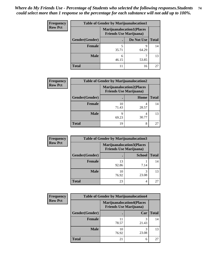| <b>Frequency</b> | <b>Table of Gender by Marijuanalocation1</b> |                                                                    |            |              |
|------------------|----------------------------------------------|--------------------------------------------------------------------|------------|--------------|
| <b>Row Pct</b>   |                                              | <b>Marijuanalocation1(Places</b><br><b>Friends Use Marijuana</b> ) |            |              |
|                  | Gender(Gender)                               |                                                                    | Do Not Use | <b>Total</b> |
|                  | <b>Female</b>                                | 35.71                                                              | Q<br>64.29 | 14           |
|                  | <b>Male</b>                                  | 46.15                                                              | 53.85      | 13           |
|                  | <b>Total</b>                                 | 11                                                                 | 16         | 27           |

| <b>Frequency</b> | <b>Table of Gender by Marijuanalocation2</b> |                                                                    |            |              |
|------------------|----------------------------------------------|--------------------------------------------------------------------|------------|--------------|
| <b>Row Pct</b>   |                                              | <b>Marijuanalocation2(Places</b><br><b>Friends Use Marijuana</b> ) |            |              |
|                  | Gender(Gender)                               |                                                                    | Home       | <b>Total</b> |
|                  | <b>Female</b>                                | 10<br>71.43                                                        | 4<br>28.57 | 14           |
|                  | <b>Male</b>                                  | 69.23                                                              | 4<br>30.77 | 13           |
|                  | <b>Total</b>                                 | 19                                                                 | 8          | 27           |

| Frequency      | <b>Table of Gender by Marijuanalocation3</b> |                                                                    |               |              |
|----------------|----------------------------------------------|--------------------------------------------------------------------|---------------|--------------|
| <b>Row Pct</b> |                                              | <b>Marijuanalocation3(Places</b><br><b>Friends Use Marijuana</b> ) |               |              |
|                | Gender(Gender)                               |                                                                    | <b>School</b> | <b>Total</b> |
|                | Female                                       | 13<br>92.86                                                        | 7.14          | 14           |
|                | <b>Male</b>                                  | 10<br>76.92                                                        | 3<br>23.08    | 13           |
|                | <b>Total</b>                                 | 23                                                                 | 4             | 27           |

| <b>Frequency</b> |                |                                                                    | <b>Table of Gender by Marijuanalocation4</b> |              |  |
|------------------|----------------|--------------------------------------------------------------------|----------------------------------------------|--------------|--|
| <b>Row Pct</b>   |                | <b>Marijuanalocation4(Places</b><br><b>Friends Use Marijuana</b> ) |                                              |              |  |
|                  | Gender(Gender) |                                                                    | Car                                          | <b>Total</b> |  |
|                  | Female         | 11<br>78.57                                                        | 21.43                                        | 14           |  |
|                  | <b>Male</b>    | 10<br>76.92                                                        | 3<br>23.08                                   | 13           |  |
|                  | <b>Total</b>   | 21                                                                 | 6                                            | 27           |  |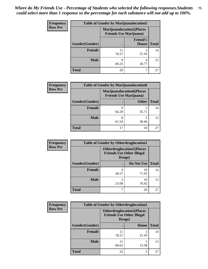| <b>Frequency</b> | <b>Table of Gender by Marijuanalocation5</b> |                                                                    |                          |              |
|------------------|----------------------------------------------|--------------------------------------------------------------------|--------------------------|--------------|
| <b>Row Pct</b>   |                                              | <b>Marijuanalocation5(Places</b><br><b>Friends Use Marijuana</b> ) |                          |              |
|                  | Gender(Gender)                               |                                                                    | <b>Friend's</b><br>House | <b>Total</b> |
|                  | <b>Female</b>                                | 11<br>78.57                                                        | 3<br>21.43               | 14           |
|                  | <b>Male</b>                                  | 9<br>69.23                                                         | 4<br>30.77               | 13           |
|                  | <b>Total</b>                                 | 20                                                                 |                          | 27           |

| <b>Frequency</b> | <b>Table of Gender by Marijuanalocation6</b> |                                                                    |              |              |
|------------------|----------------------------------------------|--------------------------------------------------------------------|--------------|--------------|
| <b>Row Pct</b>   |                                              | <b>Marijuanalocation6(Places</b><br><b>Friends Use Marijuana</b> ) |              |              |
|                  | Gender(Gender)                               |                                                                    | <b>Other</b> | <b>Total</b> |
|                  | <b>Female</b>                                | 64.29                                                              | 35.71        | 14           |
|                  | <b>Male</b>                                  | 61.54                                                              | 38.46        | 13           |
|                  | Total                                        | 17                                                                 | 10           |              |

| <b>Frequency</b> | <b>Table of Gender by Otherdruglocation1</b> |                                                                                |             |              |
|------------------|----------------------------------------------|--------------------------------------------------------------------------------|-------------|--------------|
| <b>Row Pct</b>   |                                              | <b>Otherdruglocation1(Places</b><br><b>Friends Use Other Illegal</b><br>Drugs) |             |              |
|                  | Gender(Gender)                               |                                                                                | Do Not Use  | <b>Total</b> |
|                  | Female                                       | 28.57                                                                          | 10<br>71.43 | 14           |
|                  | <b>Male</b>                                  | 23.08                                                                          | 10<br>76.92 | 13           |
|                  | <b>Total</b>                                 |                                                                                | 20          | 27           |

| <b>Frequency</b> | <b>Table of Gender by Otherdruglocation2</b> |                                                                                |                        |              |
|------------------|----------------------------------------------|--------------------------------------------------------------------------------|------------------------|--------------|
| <b>Row Pct</b>   |                                              | <b>Otherdruglocation2(Places</b><br><b>Friends Use Other Illegal</b><br>Drugs) |                        |              |
|                  | Gender(Gender)                               |                                                                                | <b>Home</b>            | <b>Total</b> |
|                  | Female                                       | 11<br>78.57                                                                    | 3<br>21.43             | 14           |
|                  | <b>Male</b>                                  | 11<br>84.62                                                                    | $\mathcal{D}$<br>15.38 | 13           |
|                  | <b>Total</b>                                 | 22                                                                             | 5                      | 27           |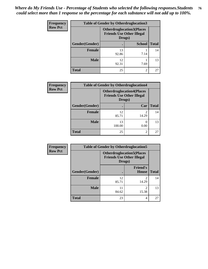| Frequency      | <b>Table of Gender by Otherdruglocation3</b> |                                                                                |                |              |
|----------------|----------------------------------------------|--------------------------------------------------------------------------------|----------------|--------------|
| <b>Row Pct</b> |                                              | <b>Otherdruglocation3(Places</b><br><b>Friends Use Other Illegal</b><br>Drugs) |                |              |
|                | Gender(Gender)                               |                                                                                | <b>School</b>  | <b>Total</b> |
|                | Female                                       | 13<br>92.86                                                                    | 7.14           | 14           |
|                | <b>Male</b>                                  | 12<br>92.31                                                                    | 7.69           | 13           |
|                | <b>Total</b>                                 | 25                                                                             | $\mathfrak{D}$ | 27           |

| Frequency      | <b>Table of Gender by Otherdruglocation4</b> |                                                                                |                |              |
|----------------|----------------------------------------------|--------------------------------------------------------------------------------|----------------|--------------|
| <b>Row Pct</b> |                                              | <b>Otherdruglocation4(Places</b><br><b>Friends Use Other Illegal</b><br>Drugs) |                |              |
|                | Gender(Gender)                               |                                                                                | Car            | <b>Total</b> |
|                | Female                                       | 12<br>85.71                                                                    | 2<br>14.29     | 14           |
|                | <b>Male</b>                                  | 13<br>100.00                                                                   | 0.00           | 13           |
|                | <b>Total</b>                                 | 25                                                                             | $\overline{2}$ | 27           |

| Frequency      | <b>Table of Gender by Otherdruglocation5</b> |                                                                                |                                 |              |
|----------------|----------------------------------------------|--------------------------------------------------------------------------------|---------------------------------|--------------|
| <b>Row Pct</b> |                                              | <b>Otherdruglocation5(Places</b><br><b>Friends Use Other Illegal</b><br>Drugs) |                                 |              |
|                | Gender(Gender)                               |                                                                                | <b>Friend's</b><br><b>House</b> | <b>Total</b> |
|                | <b>Female</b>                                | 12<br>85.71                                                                    | $\mathfrak{D}$<br>14.29         | 14           |
|                | <b>Male</b>                                  | 11<br>84.62                                                                    | 2<br>15.38                      | 13           |
|                | <b>Total</b>                                 | 23                                                                             | 4                               | 27           |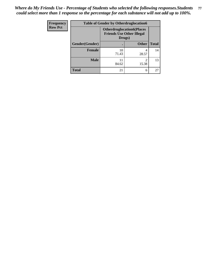| <b>Frequency</b> | <b>Table of Gender by Otherdruglocation6</b> |                                                                                |              |              |
|------------------|----------------------------------------------|--------------------------------------------------------------------------------|--------------|--------------|
| <b>Row Pct</b>   |                                              | <b>Otherdruglocation6(Places</b><br><b>Friends Use Other Illegal</b><br>Drugs) |              |              |
|                  | Gender(Gender)                               |                                                                                | <b>Other</b> | <b>Total</b> |
|                  | Female                                       | 10<br>71.43                                                                    | 4<br>28.57   | 14           |
|                  | <b>Male</b>                                  | 11<br>84.62                                                                    | ↑<br>15.38   | 13           |
|                  | <b>Total</b>                                 | 21                                                                             | 6            | 27           |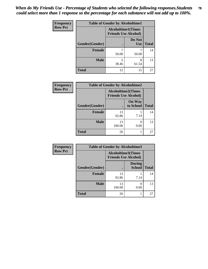| <b>Frequency</b> | <b>Table of Gender by Alcoholtime1</b> |                                                          |                      |              |
|------------------|----------------------------------------|----------------------------------------------------------|----------------------|--------------|
| <b>Row Pct</b>   |                                        | <b>Alcoholtime1(Times</b><br><b>Friends Use Alcohol)</b> |                      |              |
|                  | Gender(Gender)                         | $\bullet$                                                | Do Not<br><b>Use</b> | <b>Total</b> |
|                  | <b>Female</b>                          | 50.00                                                    | 50.00                | 14           |
|                  | <b>Male</b>                            | 5<br>38.46                                               | 8<br>61.54           | 13           |
|                  | <b>Total</b>                           | 12                                                       | 15                   | 27           |

| <b>Frequency</b> | <b>Table of Gender by Alcoholtime2</b> |                                                          |                            |              |
|------------------|----------------------------------------|----------------------------------------------------------|----------------------------|--------------|
| <b>Row Pct</b>   |                                        | <b>Alcoholtime2(Times</b><br><b>Friends Use Alcohol)</b> |                            |              |
|                  | Gender(Gender)                         |                                                          | <b>On Way</b><br>to School | <b>Total</b> |
|                  | <b>Female</b>                          | 13<br>92.86                                              | 7.14                       | 14           |
|                  | <b>Male</b>                            | 13<br>100.00                                             | 0<br>0.00                  | 13           |
|                  | <b>Total</b>                           | 26                                                       |                            | 27           |

| <b>Frequency</b> | <b>Table of Gender by Alcoholtime3</b> |                                                          |                                |              |
|------------------|----------------------------------------|----------------------------------------------------------|--------------------------------|--------------|
| <b>Row Pct</b>   |                                        | <b>Alcoholtime3(Times</b><br><b>Friends Use Alcohol)</b> |                                |              |
|                  | Gender(Gender)                         |                                                          | <b>During</b><br><b>School</b> | <b>Total</b> |
|                  | <b>Female</b>                          | 13<br>92.86                                              | 7.14                           | 14           |
|                  | <b>Male</b>                            | 13<br>100.00                                             | 0<br>0.00                      | 13           |
|                  | <b>Total</b>                           | 26                                                       |                                | 27           |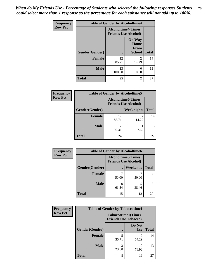*When do My Friends Use - Percentage of Students who selected the following responses.Students could select more than 1 response so the percentage for each substance will not add up to 100%.* **79**

| <b>Frequency</b> | <b>Table of Gender by Alcoholtime4</b> |                                                          |                                                |              |
|------------------|----------------------------------------|----------------------------------------------------------|------------------------------------------------|--------------|
| <b>Row Pct</b>   |                                        | <b>Alcoholtime4(Times</b><br><b>Friends Use Alcohol)</b> |                                                |              |
|                  | Gender(Gender)                         | $\bullet$                                                | <b>On Way</b><br>Home<br>From<br><b>School</b> | <b>Total</b> |
|                  | <b>Female</b>                          | 12<br>85.71                                              | 2<br>14.29                                     | 14           |
|                  | <b>Male</b>                            | 13<br>100.00                                             | $\mathcal{O}$<br>0.00                          | 13           |
|                  | <b>Total</b>                           | 25                                                       | 2                                              | 27           |

| <b>Frequency</b> | <b>Table of Gender by Alcoholtime5</b> |                                                   |                   |              |
|------------------|----------------------------------------|---------------------------------------------------|-------------------|--------------|
| <b>Row Pct</b>   |                                        | Alcoholtime5(Times<br><b>Friends Use Alcohol)</b> |                   |              |
|                  | Gender(Gender)                         | $\bullet$                                         | <b>Weeknights</b> | <b>Total</b> |
|                  | <b>Female</b>                          | 12<br>85.71                                       | 2<br>14.29        | 14           |
|                  | <b>Male</b>                            | 12<br>92.31                                       | 7.69              | 13           |
|                  | <b>Total</b>                           | 24                                                | 3                 | 27           |

| <b>Frequency</b> | <b>Table of Gender by Alcoholtime6</b> |            |                                                          |              |
|------------------|----------------------------------------|------------|----------------------------------------------------------|--------------|
| <b>Row Pct</b>   |                                        |            | <b>Alcoholtime6(Times</b><br><b>Friends Use Alcohol)</b> |              |
|                  | Gender(Gender)                         |            | <b>Weekends</b>                                          | <b>Total</b> |
|                  | <b>Female</b>                          | 7<br>50.00 | 50.00                                                    | 14           |
|                  | <b>Male</b>                            | 8<br>61.54 | 5<br>38.46                                               | 13           |
|                  | <b>Total</b>                           | 15         | 12                                                       | 27           |

| Frequency      | <b>Table of Gender by Tobaccotime1</b> |                           |                             |              |
|----------------|----------------------------------------|---------------------------|-----------------------------|--------------|
| <b>Row Pct</b> |                                        | <b>Tobaccotime1(Times</b> | <b>Friends Use Tobacco)</b> |              |
|                | Gender(Gender)                         |                           | Do Not<br><b>Use</b>        | <b>Total</b> |
|                | <b>Female</b>                          | 5<br>35.71                | 9<br>64.29                  | 14           |
|                | <b>Male</b>                            | 3<br>23.08                | 10<br>76.92                 | 13           |
|                | <b>Total</b>                           | 8                         | 19                          | 27           |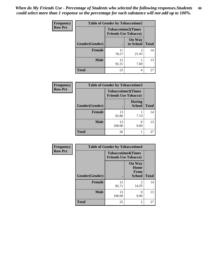| <b>Frequency</b> |                | <b>Table of Gender by Tobaccotime2</b> |                            |              |
|------------------|----------------|----------------------------------------|----------------------------|--------------|
| <b>Row Pct</b>   |                | <b>Friends Use Tobacco)</b>            | <b>Tobaccotime2(Times</b>  |              |
|                  | Gender(Gender) |                                        | <b>On Way</b><br>to School | <b>Total</b> |
|                  | <b>Female</b>  | 11<br>78.57                            | 3<br>21.43                 | 14           |
|                  | <b>Male</b>    | 12<br>92.31                            | 7.69                       | 13           |
|                  | <b>Total</b>   | 23                                     | 4                          | 27           |

| <b>Frequency</b> | <b>Table of Gender by Tobaccotime3</b> |                                                          |                                |              |
|------------------|----------------------------------------|----------------------------------------------------------|--------------------------------|--------------|
| <b>Row Pct</b>   |                                        | <b>Tobaccotime3(Times</b><br><b>Friends Use Tobacco)</b> |                                |              |
|                  | Gender(Gender)                         |                                                          | <b>During</b><br><b>School</b> | <b>Total</b> |
|                  | Female                                 | 13<br>92.86                                              | 7.14                           | 14           |
|                  | <b>Male</b>                            | 13<br>100.00                                             | $\mathbf{0}$<br>0.00           | 13           |
|                  | <b>Total</b>                           | 26                                                       |                                | 27           |

| Frequency      | <b>Table of Gender by Tobaccotime4</b> |                                                          |                                                |              |
|----------------|----------------------------------------|----------------------------------------------------------|------------------------------------------------|--------------|
| <b>Row Pct</b> |                                        | <b>Tobaccotime4(Times</b><br><b>Friends Use Tobacco)</b> |                                                |              |
|                | Gender(Gender)                         |                                                          | <b>On Way</b><br>Home<br>From<br><b>School</b> | <b>Total</b> |
|                | <b>Female</b>                          | 12<br>85.71                                              | $\mathfrak{D}$<br>14.29                        | 14           |
|                | <b>Male</b>                            | 13<br>100.00                                             | 0<br>0.00                                      | 13           |
|                | <b>Total</b>                           | 25                                                       | $\overline{2}$                                 | 27           |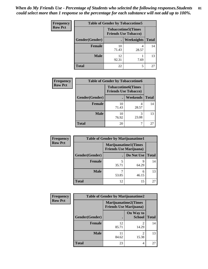*When do My Friends Use - Percentage of Students who selected the following responses.Students could select more than 1 response so the percentage for each substance will not add up to 100%.* **81**

| <b>Frequency</b> | <b>Table of Gender by Tobaccotime5</b> |             |                                                           |              |  |
|------------------|----------------------------------------|-------------|-----------------------------------------------------------|--------------|--|
| <b>Row Pct</b>   |                                        |             | <b>Tobaccotime5</b> (Times<br><b>Friends Use Tobacco)</b> |              |  |
|                  | Gender(Gender)                         |             | Weeknights                                                | <b>Total</b> |  |
|                  | <b>Female</b>                          | 10<br>71.43 | 4<br>28.57                                                | 14           |  |
|                  | <b>Male</b>                            | 12<br>92.31 | 7.69                                                      | 13           |  |
|                  | <b>Total</b>                           | 22          | 5                                                         | 27           |  |

| Frequency      | <b>Table of Gender by Tobaccotime6</b> |                                                          |                 |              |
|----------------|----------------------------------------|----------------------------------------------------------|-----------------|--------------|
| <b>Row Pct</b> |                                        | <b>Tobaccotime6(Times</b><br><b>Friends Use Tobacco)</b> |                 |              |
|                | Gender(Gender)                         |                                                          | <b>Weekends</b> | <b>Total</b> |
|                | Female                                 | 10<br>71.43                                              | 28.57           | 14           |
|                | <b>Male</b>                            | 10<br>76.92                                              | 3<br>23.08      | 13           |
|                | <b>Total</b>                           | 20                                                       |                 | 27           |

| Frequency      | <b>Table of Gender by Marijuanatime1</b> |                                |                             |              |
|----------------|------------------------------------------|--------------------------------|-----------------------------|--------------|
| <b>Row Pct</b> |                                          | <b>Friends Use Marijuana</b> ) | <b>Marijuanatime1(Times</b> |              |
|                | Gender(Gender)                           |                                | Do Not Use                  | <b>Total</b> |
|                | <b>Female</b>                            | 35.71                          | q<br>64.29                  | 14           |
|                | <b>Male</b>                              | 53.85                          | 6<br>46.15                  | 13           |
|                | <b>Total</b>                             | 12                             | 15                          | 27           |

| <b>Frequency</b> | <b>Table of Gender by Marijuanatime2</b> |                                                               |                            |              |
|------------------|------------------------------------------|---------------------------------------------------------------|----------------------------|--------------|
| <b>Row Pct</b>   |                                          | <b>Marijuanatime2(Times</b><br><b>Friends Use Marijuana</b> ) |                            |              |
|                  | Gender(Gender)                           |                                                               | On Way to<br><b>School</b> | <b>Total</b> |
|                  | <b>Female</b>                            | 12<br>85.71                                                   | $\mathfrak{D}$<br>14.29    | 14           |
|                  | <b>Male</b>                              | 11<br>84.62                                                   | $\mathfrak{D}$<br>15.38    | 13           |
|                  | <b>Total</b>                             | 23                                                            | 4                          | 27           |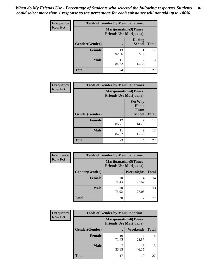| <b>Frequency</b> | <b>Table of Gender by Marijuanatime3</b> |                                                        |                                |              |
|------------------|------------------------------------------|--------------------------------------------------------|--------------------------------|--------------|
| <b>Row Pct</b>   |                                          | Marijuanatime3(Times<br><b>Friends Use Marijuana</b> ) |                                |              |
|                  | Gender(Gender)                           |                                                        | <b>During</b><br><b>School</b> | <b>Total</b> |
|                  | <b>Female</b>                            | 13<br>92.86                                            | 7.14                           | 14           |
|                  | <b>Male</b>                              | 84.62                                                  | $\mathfrak{D}$<br>15.38        | 13           |
|                  | <b>Total</b>                             | 24                                                     | 3                              | 27           |

| Frequency      | <b>Table of Gender by Marijuanatime4</b> |                                |                                                       |              |
|----------------|------------------------------------------|--------------------------------|-------------------------------------------------------|--------------|
| <b>Row Pct</b> |                                          | <b>Friends Use Marijuana</b> ) | <b>Marijuanatime4(Times</b>                           |              |
|                | Gender(Gender)                           |                                | <b>On Way</b><br>Home<br><b>From</b><br><b>School</b> | <b>Total</b> |
|                | <b>Female</b>                            | 12<br>85.71                    | $\mathfrak{D}$<br>14.29                               | 14           |
|                | <b>Male</b>                              | 11<br>84.62                    | $\mathfrak{D}$<br>15.38                               | 13           |
|                | <b>Total</b>                             | 23                             | 4                                                     | 27           |

| Frequency      | <b>Table of Gender by Marijuanatime5</b> |             |                                                                |              |  |
|----------------|------------------------------------------|-------------|----------------------------------------------------------------|--------------|--|
| <b>Row Pct</b> |                                          |             | <b>Marijuanatime5</b> (Times<br><b>Friends Use Marijuana</b> ) |              |  |
|                | Gender(Gender)                           |             | Weeknights                                                     | <b>Total</b> |  |
|                | <b>Female</b>                            | 10<br>71.43 | 28.57                                                          | 14           |  |
|                | <b>Male</b>                              | 10<br>76.92 | 3<br>23.08                                                     | 13           |  |
|                | <b>Total</b>                             | 20          | ┑                                                              | 27           |  |

| Frequency      | <b>Table of Gender by Marijuanatime6</b> |                                                               |                 |              |
|----------------|------------------------------------------|---------------------------------------------------------------|-----------------|--------------|
| <b>Row Pct</b> |                                          | <b>Marijuanatime6(Times</b><br><b>Friends Use Marijuana</b> ) |                 |              |
|                | Gender(Gender)                           |                                                               | <b>Weekends</b> | <b>Total</b> |
|                | <b>Female</b>                            | 10<br>71.43                                                   | 4<br>28.57      | 14           |
|                | <b>Male</b>                              | 53.85                                                         | 6<br>46.15      | 13           |
|                | <b>Total</b>                             | 17                                                            | 10              | 27           |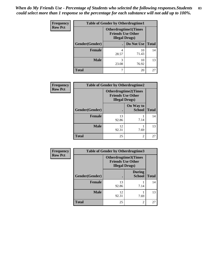| <b>Frequency</b> | <b>Table of Gender by Otherdrugtime1</b> |                                                                                   |                    |    |  |
|------------------|------------------------------------------|-----------------------------------------------------------------------------------|--------------------|----|--|
| <b>Row Pct</b>   |                                          | <b>Otherdrugtime1(Times</b><br><b>Friends Use Other</b><br><b>Illegal Drugs</b> ) |                    |    |  |
|                  | Gender(Gender)                           |                                                                                   | Do Not Use   Total |    |  |
|                  | <b>Female</b>                            | 4<br>28.57                                                                        | 10<br>71.43        | 14 |  |
|                  | <b>Male</b>                              | 3<br>23.08                                                                        | 10<br>76.92        | 13 |  |
|                  | <b>Total</b>                             | 7                                                                                 | 20                 | 27 |  |

| Frequency      | <b>Table of Gender by Otherdrugtime2</b> |                                                                                   |                            |              |
|----------------|------------------------------------------|-----------------------------------------------------------------------------------|----------------------------|--------------|
| <b>Row Pct</b> |                                          | <b>Otherdrugtime2(Times</b><br><b>Friends Use Other</b><br><b>Illegal Drugs</b> ) |                            |              |
|                | Gender(Gender)                           |                                                                                   | On Way to<br><b>School</b> | <b>Total</b> |
|                | <b>Female</b>                            | 13<br>92.86                                                                       | 7.14                       | 14           |
|                | <b>Male</b>                              | 12<br>92.31                                                                       | 7.69                       | 13           |
|                | <b>Total</b>                             | 25                                                                                | $\mathfrak{D}$             | 27           |

| Frequency      | <b>Table of Gender by Otherdrugtime3</b> |                        |                                                  |              |
|----------------|------------------------------------------|------------------------|--------------------------------------------------|--------------|
| <b>Row Pct</b> |                                          | <b>Illegal Drugs</b> ) | Otherdrugtime3(Times<br><b>Friends Use Other</b> |              |
|                | Gender(Gender)                           |                        | <b>During</b><br><b>School</b>                   | <b>Total</b> |
|                | <b>Female</b>                            | 13<br>92.86            | 7.14                                             | 14           |
|                | <b>Male</b>                              | 12<br>92.31            | 7.69                                             | 13           |
|                | <b>Total</b>                             | 25                     | $\overline{c}$                                   | 27           |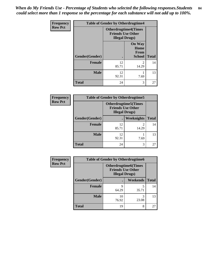*When do My Friends Use - Percentage of Students who selected the following responses.Students could select more than 1 response so the percentage for each substance will not add up to 100%.* **84**

| <b>Frequency</b> | <b>Table of Gender by Otherdrugtime4</b> |                        |                                                         |              |
|------------------|------------------------------------------|------------------------|---------------------------------------------------------|--------------|
| <b>Row Pct</b>   |                                          | <b>Illegal Drugs</b> ) | <b>Otherdrugtime4(Times</b><br><b>Friends Use Other</b> |              |
|                  | Gender(Gender)                           |                        | <b>On Way</b><br>Home<br><b>From</b><br><b>School</b>   | <b>Total</b> |
|                  | <b>Female</b>                            | 12<br>85.71            | っ<br>14.29                                              | 14           |
|                  | <b>Male</b>                              | 12<br>92.31            | 7.69                                                    | 13           |
|                  | <b>Total</b>                             | 24                     | 3                                                       | 27           |

| <b>Frequency</b> | <b>Table of Gender by Otherdrugtime5</b> |                                                                                   |                         |              |
|------------------|------------------------------------------|-----------------------------------------------------------------------------------|-------------------------|--------------|
| <b>Row Pct</b>   |                                          | <b>Otherdrugtime5(Times</b><br><b>Friends Use Other</b><br><b>Illegal Drugs</b> ) |                         |              |
|                  | Gender(Gender)                           |                                                                                   | Weeknights              | <b>Total</b> |
|                  | <b>Female</b>                            | 12<br>85.71                                                                       | $\mathfrak{D}$<br>14.29 | 14           |
|                  | <b>Male</b>                              | 12<br>92.31                                                                       | 7.69                    | 13           |
|                  | <b>Total</b>                             | 24                                                                                | 3                       | 27           |

| Frequency      | <b>Table of Gender by Otherdrugtime6</b> |                                                                                   |            |              |
|----------------|------------------------------------------|-----------------------------------------------------------------------------------|------------|--------------|
| <b>Row Pct</b> |                                          | <b>Otherdrugtime6(Times</b><br><b>Friends Use Other</b><br><b>Illegal Drugs</b> ) |            |              |
|                | Gender(Gender)                           |                                                                                   | Weekends   | <b>Total</b> |
|                | <b>Female</b>                            | q<br>64.29                                                                        | 5<br>35.71 | 14           |
|                | <b>Male</b>                              | 10<br>76.92                                                                       | 3<br>23.08 | 13           |
|                | <b>Total</b>                             | 19                                                                                | 8          | 27           |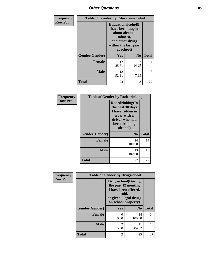# *Other Questions* **85**

| Frequency      | <b>Table of Gender by Educationalcohol</b> |                                                                                                                                       |                |              |
|----------------|--------------------------------------------|---------------------------------------------------------------------------------------------------------------------------------------|----------------|--------------|
| <b>Row Pct</b> |                                            | <b>Educationalcohol</b> (I<br>have been taught<br>about alcohol,<br>tobacco,<br>and other drugs<br>within the last year<br>at school) |                |              |
|                | Gender(Gender)                             | Yes                                                                                                                                   | N <sub>0</sub> | <b>Total</b> |
|                | <b>Female</b>                              | 12<br>85.71                                                                                                                           | 2<br>14.29     | 14           |
|                | <b>Male</b>                                | 12<br>92.31                                                                                                                           | 7.69           | 13           |
|                | <b>Total</b>                               | 24                                                                                                                                    | 3              | 27           |

| Frequency      | <b>Table of Gender by Rodedrinking</b> |                                                                                                                        |              |  |
|----------------|----------------------------------------|------------------------------------------------------------------------------------------------------------------------|--------------|--|
| <b>Row Pct</b> |                                        | Rodedrinking(In<br>the past 30 days<br>I have ridden in<br>a car with a<br>driver who had<br>been drinking<br>alcohol) |              |  |
|                | Gender(Gender)                         | N <sub>0</sub>                                                                                                         | <b>Total</b> |  |
|                | <b>Female</b>                          | 14<br>100.00                                                                                                           | 14           |  |
|                | <b>Male</b>                            | 13<br>100.00                                                                                                           | 13           |  |
|                | <b>Total</b>                           | 27                                                                                                                     | 27           |  |

| Frequency      | <b>Table of Gender by Drugsschool</b> |                                                                                                                                     |                |              |
|----------------|---------------------------------------|-------------------------------------------------------------------------------------------------------------------------------------|----------------|--------------|
| <b>Row Pct</b> |                                       | <b>Drugsschool</b> (During<br>the past 12 months,<br>I have been offered,<br>sold,<br>or given illegal drugs<br>on school property) |                |              |
|                | Gender(Gender)                        | Yes                                                                                                                                 | N <sub>0</sub> | <b>Total</b> |
|                | <b>Female</b>                         | 0<br>0.00                                                                                                                           | 14<br>100.00   | 14           |
|                | <b>Male</b>                           | 2<br>15.38                                                                                                                          | 11<br>84.62    | 13           |
|                | <b>Total</b>                          | $\mathfrak{D}$                                                                                                                      | 25             | 27           |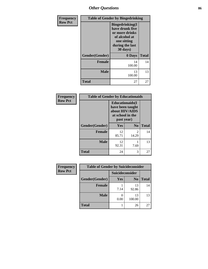*Other Questions* **86**

| Frequency      | <b>Table of Gender by Bingedrinking</b> |                                                                                                                             |              |  |
|----------------|-----------------------------------------|-----------------------------------------------------------------------------------------------------------------------------|--------------|--|
| <b>Row Pct</b> |                                         | <b>Bingedrinking</b> (I<br>have drunk five<br>or more drinks<br>of alcohol at<br>one sitting<br>during the last<br>30 days) |              |  |
|                | Gender(Gender)                          | 0 Days                                                                                                                      | <b>Total</b> |  |
|                | <b>Female</b>                           | 14<br>100.00                                                                                                                | 14           |  |
|                | <b>Male</b>                             | 13<br>100.00                                                                                                                | 13           |  |
|                | <b>Total</b>                            | 27                                                                                                                          | 27           |  |

| Frequency      | <b>Table of Gender by Educationaids</b> |                                                                                                 |                        |              |
|----------------|-----------------------------------------|-------------------------------------------------------------------------------------------------|------------------------|--------------|
| <b>Row Pct</b> |                                         | <b>Educationaids</b> (I<br>have been taught<br>about HIV/AIDS<br>at school in the<br>past year) |                        |              |
|                | Gender(Gender)                          | Yes                                                                                             | $\mathbf{N_0}$         | <b>Total</b> |
|                | <b>Female</b>                           | 12<br>85.71                                                                                     | $\mathcal{L}$<br>14.29 | 14           |
|                | <b>Male</b>                             | 12<br>92.31                                                                                     | 7.69                   | 13           |
|                | <b>Total</b>                            | 24                                                                                              | 3                      | 27           |

| <b>Frequency</b> | <b>Table of Gender by Suicideconsider</b> |                 |                |              |
|------------------|-------------------------------------------|-----------------|----------------|--------------|
| <b>Row Pct</b>   |                                           | Suicideconsider |                |              |
|                  | Gender(Gender)                            | Yes             | N <sub>0</sub> | <b>Total</b> |
|                  | <b>Female</b>                             | 7.14            | 13<br>92.86    | 14           |
|                  | <b>Male</b>                               | 0.00            | 13<br>100.00   | 13           |
|                  | <b>Total</b>                              |                 | 26             | 27           |